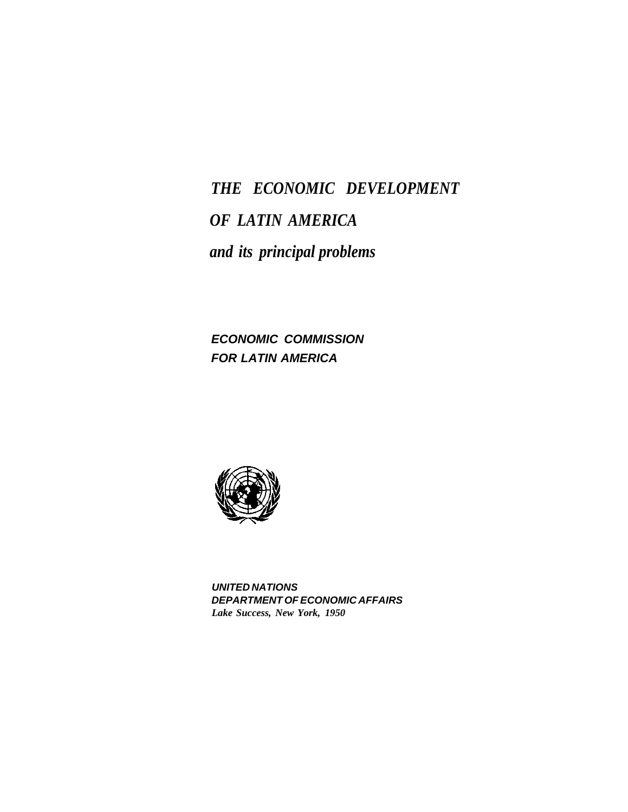# *THE ECONOMIC DEVELOPMENT OF LATIN AMERICA and its principal problems*

**ECONOMIC COMMISSION FOR LATIN AMERICA** 



**UNITED NATIONS DEPARTMENT OF ECONOMIC AFFAIRS**  *Lake Success, New York, 1950*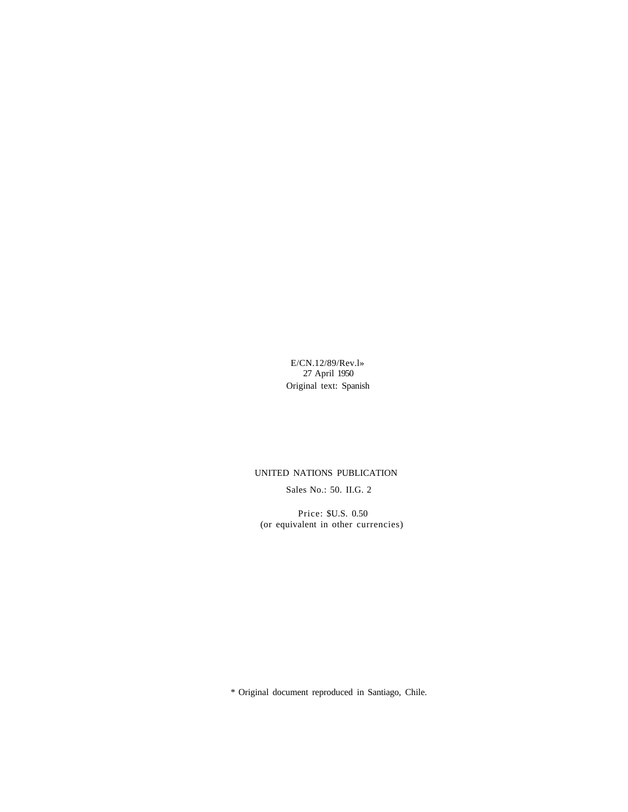E/CN.12/89/Rev.l» 27 April 1950 Original text: Spanish

# UNITED NATIONS PUBLICATION

Sales No.: 50. II.G. 2

Price: \$U.S. 0.50 (or equivalent in other currencies)

\* Original document reproduced in Santiago, Chile.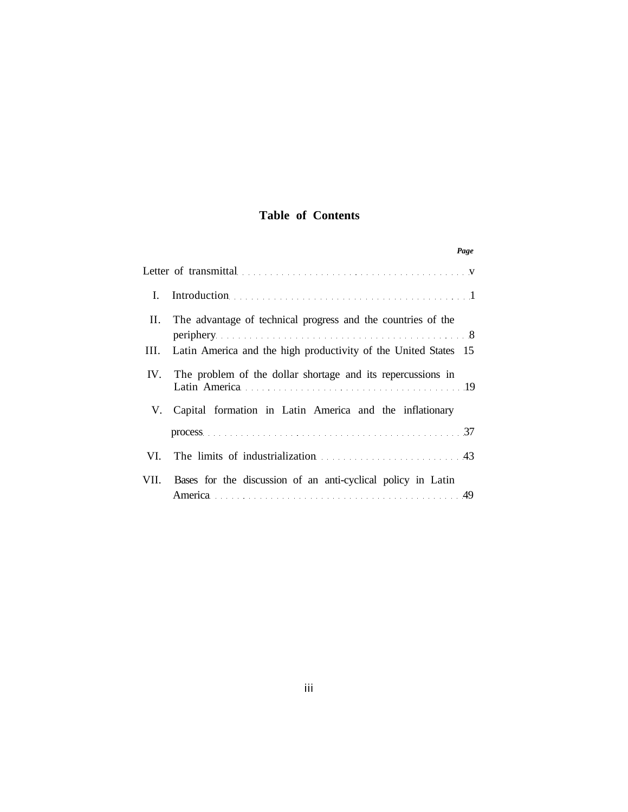# **Table of Contents**

|      | Page                                                                                                                                                                                                                           |
|------|--------------------------------------------------------------------------------------------------------------------------------------------------------------------------------------------------------------------------------|
|      | Letter of transmittal entry and the set of transmittal entry and the set of transmittal entry and the set of the set of the set of the set of the set of the set of the set of the set of the set of the set of the set of the |
| L.   | Introduction entering the contract of the contract of the contract of the contract of the contract of the contract of the contract of the contract of the contract of the contract of the contract of the contract of the cont |
| Н.   | The advantage of technical progress and the countries of the                                                                                                                                                                   |
| III. | Latin America and the high productivity of the United States 15                                                                                                                                                                |
| IV.  | The problem of the dollar shortage and its repercussions in                                                                                                                                                                    |
|      | V. Capital formation in Latin America and the inflationary                                                                                                                                                                     |
|      |                                                                                                                                                                                                                                |
| VL.  | The limits of industrialization 43                                                                                                                                                                                             |
| VII. | Bases for the discussion of an anti-cyclical policy in Latin<br>America 49                                                                                                                                                     |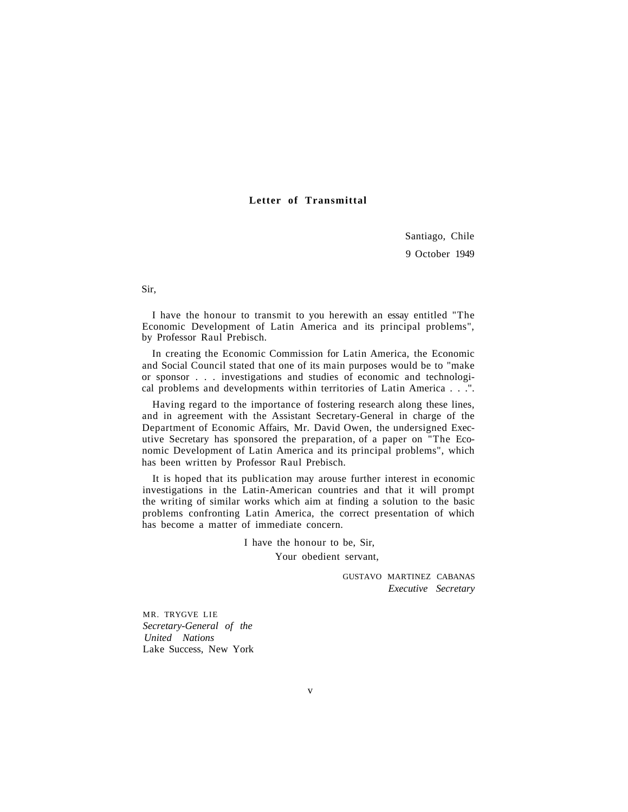# **Letter of Transmittal**

Santiago, Chile 9 October 1949

Sir,

I have the honour to transmit to you herewith an essay entitled "The Economic Development of Latin America and its principal problems", by Professor Raul Prebisch.

In creating the Economic Commission for Latin America, the Economic and Social Council stated that one of its main purposes would be to "make or sponsor . . . investigations and studies of economic and technological problems and developments within territories of Latin America . . .".

Having regard to the importance of fostering research along these lines, and in agreement with the Assistant Secretary-General in charge of the Department of Economic Affairs, Mr. David Owen, the undersigned Executive Secretary has sponsored the preparation, of a paper on "The Economic Development of Latin America and its principal problems", which has been written by Professor Raul Prebisch.

It is hoped that its publication may arouse further interest in economic investigations in the Latin-American countries and that it will prompt the writing of similar works which aim at finding a solution to the basic problems confronting Latin America, the correct presentation of which has become a matter of immediate concern.

I have the honour to be, Sir,

Your obedient servant,

GUSTAVO MARTINEZ CABANAS *Executive Secretary* 

MR. TRYGVE LIE *Secretary-General of the United Nations*  Lake Success, New York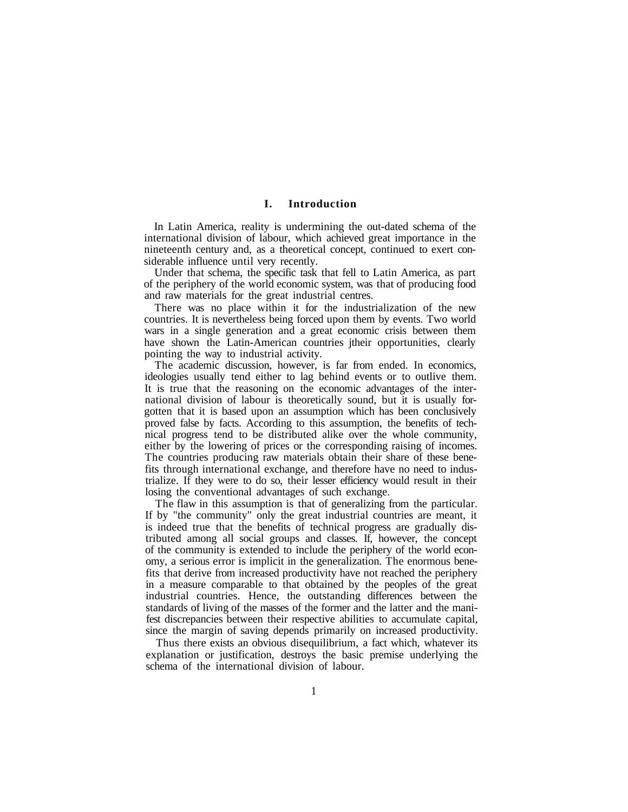# **I. Introduction**

In Latin America, reality is undermining the out-dated schema of the international division of labour, which achieved great importance in the nineteenth century and, as a theoretical concept, continued to exert considerable influence until very recently.

Under that schema, the specific task that fell to Latin America, as part of the periphery of the world economic system, was that of producing food and raw materials for the great industrial centres.

There was no place within it for the industrialization of the new countries. It is nevertheless being forced upon them by events. Two world wars in a single generation and a great economic crisis between them have shown the Latin-American countries jtheir opportunities, clearly pointing the way to industrial activity.

The academic discussion, however, is far from ended. In economics, ideologies usually tend either to lag behind events or to outlive them. It is true that the reasoning on the economic advantages of the international division of labour is theoretically sound, but it is usually forgotten that it is based upon an assumption which has been conclusively proved false by facts. According to this assumption, the benefits of technical progress tend to be distributed alike over the whole community, either by the lowering of prices or the corresponding raising of incomes. The countries producing raw materials obtain their share of these benefits through international exchange, and therefore have no need to industrialize. If they were to do so, their lesser efficiency would result in their losing the conventional advantages of such exchange.

The flaw in this assumption is that of generalizing from the particular. If by "the community" only the great industrial countries are meant, it is indeed true that the benefits of technical progress are gradually distributed among all social groups and classes. If, however, the concept of the community is extended to include the periphery of the world economy, a serious error is implicit in the generalization. The enormous benefits that derive from increased productivity have not reached the periphery in a measure comparable to that obtained by the peoples of the great industrial countries. Hence, the outstanding differences between the standards of living of the masses of the former and the latter and the manifest discrepancies between their respective abilities to accumulate capital, since the margin of saving depends primarily on increased productivity.

Thus there exists an obvious disequilibrium, a fact which, whatever its explanation or justification, destroys the basic premise underlying the schema of the international division of labour.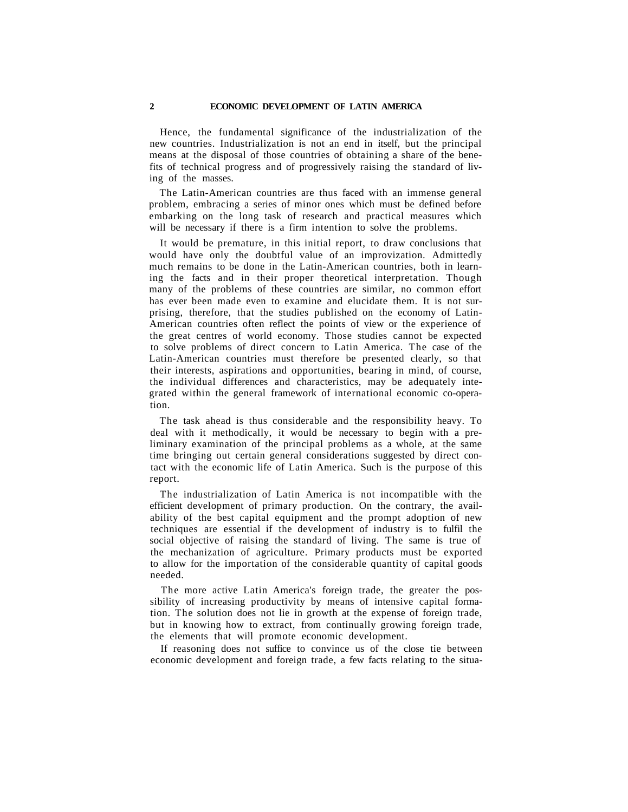#### **2 ECONOMIC DEVELOPMENT OF LATIN AMERICA**

Hence, the fundamental significance of the industrialization of the new countries. Industrialization is not an end in itself, but the principal means at the disposal of those countries of obtaining a share of the benefits of technical progress and of progressively raising the standard of living of the masses.

The Latin-American countries are thus faced with an immense general problem, embracing a series of minor ones which must be defined before embarking on the long task of research and practical measures which will be necessary if there is a firm intention to solve the problems.

It would be premature, in this initial report, to draw conclusions that would have only the doubtful value of an improvization. Admittedly much remains to be done in the Latin-American countries, both in learning the facts and in their proper theoretical interpretation. Though many of the problems of these countries are similar, no common effort has ever been made even to examine and elucidate them. It is not surprising, therefore, that the studies published on the economy of Latin-American countries often reflect the points of view or the experience of the great centres of world economy. Those studies cannot be expected to solve problems of direct concern to Latin America. The case of the Latin-American countries must therefore be presented clearly, so that their interests, aspirations and opportunities, bearing in mind, of course, the individual differences and characteristics, may be adequately integrated within the general framework of international economic co-operation.

The task ahead is thus considerable and the responsibility heavy. To deal with it methodically, it would be necessary to begin with a preliminary examination of the principal problems as a whole, at the same time bringing out certain general considerations suggested by direct contact with the economic life of Latin America. Such is the purpose of this report.

The industrialization of Latin America is not incompatible with the efficient development of primary production. On the contrary, the availability of the best capital equipment and the prompt adoption of new techniques are essential if the development of industry is to fulfil the social objective of raising the standard of living. The same is true of the mechanization of agriculture. Primary products must be exported to allow for the importation of the considerable quantity of capital goods needed.

The more active Latin America's foreign trade, the greater the possibility of increasing productivity by means of intensive capital formation. The solution does not lie in growth at the expense of foreign trade, but in knowing how to extract, from continually growing foreign trade, the elements that will promote economic development.

If reasoning does not suffice to convince us of the close tie between economic development and foreign trade, a few facts relating to the situa-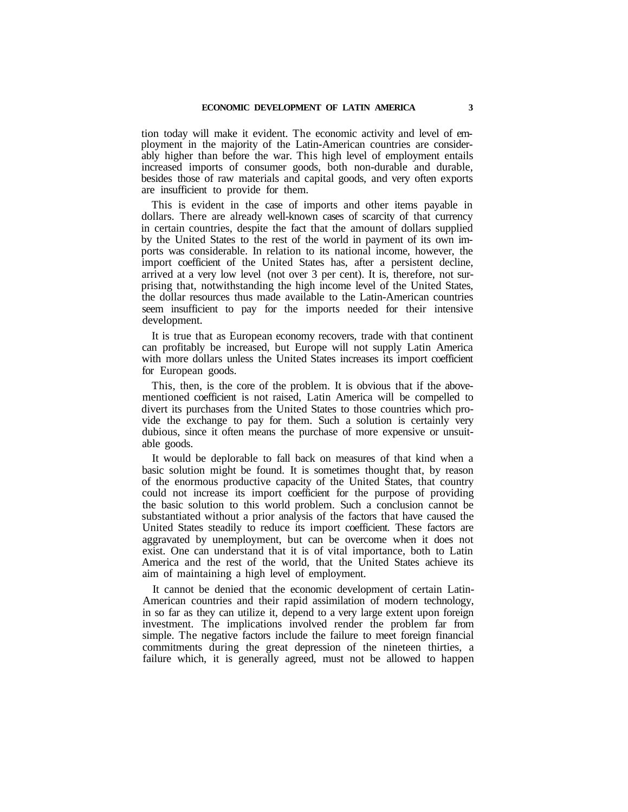tion today will make it evident. The economic activity and level of employment in the majority of the Latin-American countries are considerably higher than before the war. This high level of employment entails increased imports of consumer goods, both non-durable and durable, besides those of raw materials and capital goods, and very often exports are insufficient to provide for them.

This is evident in the case of imports and other items payable in dollars. There are already well-known cases of scarcity of that currency in certain countries, despite the fact that the amount of dollars supplied by the United States to the rest of the world in payment of its own imports was considerable. In relation to its national income, however, the import coefficient of the United States has, after a persistent decline, arrived at a very low level (not over 3 per cent). It is, therefore, not surprising that, notwithstanding the high income level of the United States, the dollar resources thus made available to the Latin-American countries seem insufficient to pay for the imports needed for their intensive development.

It is true that as European economy recovers, trade with that continent can profitably be increased, but Europe will not supply Latin America with more dollars unless the United States increases its import coefficient for European goods.

This, then, is the core of the problem. It is obvious that if the abovementioned coefficient is not raised, Latin America will be compelled to divert its purchases from the United States to those countries which provide the exchange to pay for them. Such a solution is certainly very dubious, since it often means the purchase of more expensive or unsuitable goods.

It would be deplorable to fall back on measures of that kind when a basic solution might be found. It is sometimes thought that, by reason of the enormous productive capacity of the United States, that country could not increase its import coefficient for the purpose of providing the basic solution to this world problem. Such a conclusion cannot be substantiated without a prior analysis of the factors that have caused the United States steadily to reduce its import coefficient. These factors are aggravated by unemployment, but can be overcome when it does not exist. One can understand that it is of vital importance, both to Latin America and the rest of the world, that the United States achieve its aim of maintaining a high level of employment.

It cannot be denied that the economic development of certain Latin-American countries and their rapid assimilation of modern technology, in so far as they can utilize it, depend to a very large extent upon foreign investment. The implications involved render the problem far from simple. The negative factors include the failure to meet foreign financial commitments during the great depression of the nineteen thirties, a failure which, it is generally agreed, must not be allowed to happen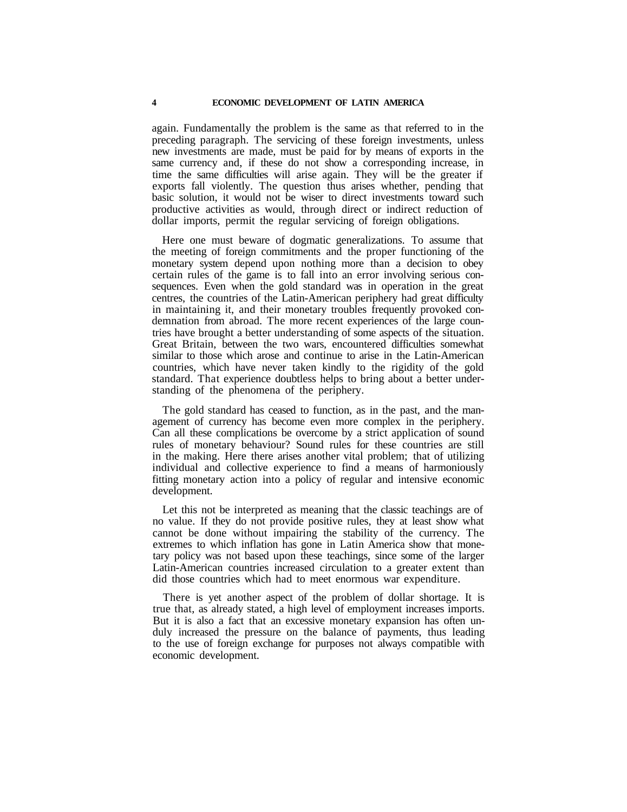again. Fundamentally the problem is the same as that referred to in the preceding paragraph. The servicing of these foreign investments, unless new investments are made, must be paid for by means of exports in the same currency and, if these do not show a corresponding increase, in time the same difficulties will arise again. They will be the greater if exports fall violently. The question thus arises whether, pending that basic solution, it would not be wiser to direct investments toward such productive activities as would, through direct or indirect reduction of dollar imports, permit the regular servicing of foreign obligations.

Here one must beware of dogmatic generalizations. To assume that the meeting of foreign commitments and the proper functioning of the monetary system depend upon nothing more than a decision to obey certain rules of the game is to fall into an error involving serious consequences. Even when the gold standard was in operation in the great centres, the countries of the Latin-American periphery had great difficulty in maintaining it, and their monetary troubles frequently provoked condemnation from abroad. The more recent experiences of the large countries have brought a better understanding of some aspects of the situation. Great Britain, between the two wars, encountered difficulties somewhat similar to those which arose and continue to arise in the Latin-American countries, which have never taken kindly to the rigidity of the gold standard. That experience doubtless helps to bring about a better understanding of the phenomena of the periphery.

The gold standard has ceased to function, as in the past, and the management of currency has become even more complex in the periphery. Can all these complications be overcome by a strict application of sound rules of monetary behaviour? Sound rules for these countries are still in the making. Here there arises another vital problem; that of utilizing individual and collective experience to find a means of harmoniously fitting monetary action into a policy of regular and intensive economic development.

Let this not be interpreted as meaning that the classic teachings are of no value. If they do not provide positive rules, they at least show what cannot be done without impairing the stability of the currency. The extremes to which inflation has gone in Latin America show that monetary policy was not based upon these teachings, since some of the larger Latin-American countries increased circulation to a greater extent than did those countries which had to meet enormous war expenditure.

There is yet another aspect of the problem of dollar shortage. It is true that, as already stated, a high level of employment increases imports. But it is also a fact that an excessive monetary expansion has often unduly increased the pressure on the balance of payments, thus leading to the use of foreign exchange for purposes not always compatible with economic development.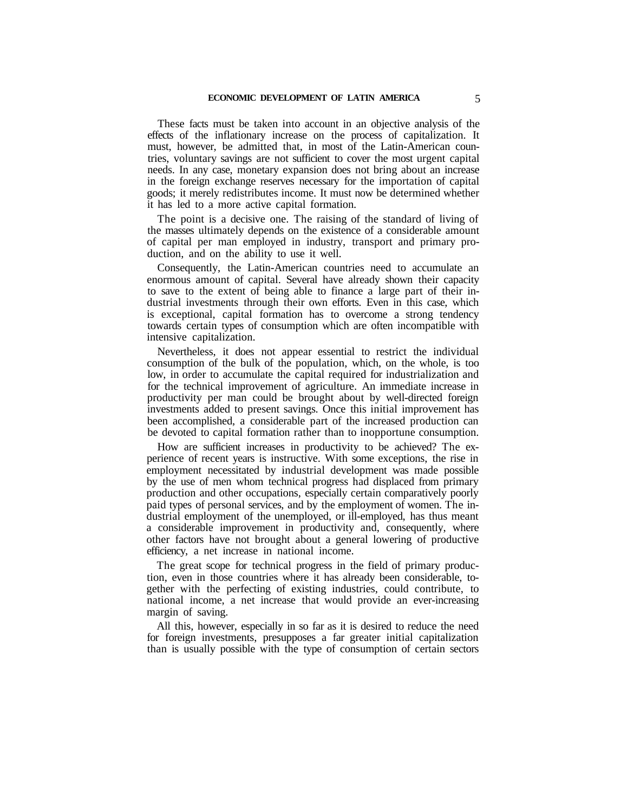These facts must be taken into account in an objective analysis of the effects of the inflationary increase on the process of capitalization. It must, however, be admitted that, in most of the Latin-American countries, voluntary savings are not sufficient to cover the most urgent capital needs. In any case, monetary expansion does not bring about an increase in the foreign exchange reserves necessary for the importation of capital goods; it merely redistributes income. It must now be determined whether it has led to a more active capital formation.

The point is a decisive one. The raising of the standard of living of the masses ultimately depends on the existence of a considerable amount of capital per man employed in industry, transport and primary production, and on the ability to use it well.

Consequently, the Latin-American countries need to accumulate an enormous amount of capital. Several have already shown their capacity to save to the extent of being able to finance a large part of their industrial investments through their own efforts. Even in this case, which is exceptional, capital formation has to overcome a strong tendency towards certain types of consumption which are often incompatible with intensive capitalization.

Nevertheless, it does not appear essential to restrict the individual consumption of the bulk of the population, which, on the whole, is too low, in order to accumulate the capital required for industrialization and for the technical improvement of agriculture. An immediate increase in productivity per man could be brought about by well-directed foreign investments added to present savings. Once this initial improvement has been accomplished, a considerable part of the increased production can be devoted to capital formation rather than to inopportune consumption.

How are sufficient increases in productivity to be achieved? The experience of recent years is instructive. With some exceptions, the rise in employment necessitated by industrial development was made possible by the use of men whom technical progress had displaced from primary production and other occupations, especially certain comparatively poorly paid types of personal services, and by the employment of women. The industrial employment of the unemployed, or ill-employed, has thus meant a considerable improvement in productivity and, consequently, where other factors have not brought about a general lowering of productive efficiency, a net increase in national income.

The great scope for technical progress in the field of primary production, even in those countries where it has already been considerable, together with the perfecting of existing industries, could contribute, to national income, a net increase that would provide an ever-increasing margin of saving.

All this, however, especially in so far as it is desired to reduce the need for foreign investments, presupposes a far greater initial capitalization than is usually possible with the type of consumption of certain sectors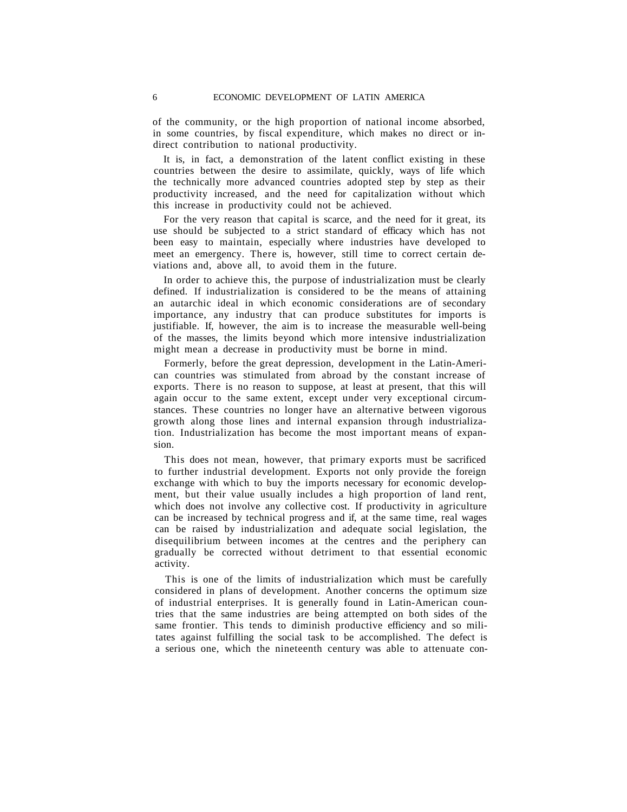of the community, or the high proportion of national income absorbed, in some countries, by fiscal expenditure, which makes no direct or indirect contribution to national productivity.

It is, in fact, a demonstration of the latent conflict existing in these countries between the desire to assimilate, quickly, ways of life which the technically more advanced countries adopted step by step as their productivity increased, and the need for capitalization without which this increase in productivity could not be achieved.

For the very reason that capital is scarce, and the need for it great, its use should be subjected to a strict standard of efficacy which has not been easy to maintain, especially where industries have developed to meet an emergency. There is, however, still time to correct certain deviations and, above all, to avoid them in the future.

In order to achieve this, the purpose of industrialization must be clearly defined. If industrialization is considered to be the means of attaining an autarchic ideal in which economic considerations are of secondary importance, any industry that can produce substitutes for imports is justifiable. If, however, the aim is to increase the measurable well-being of the masses, the limits beyond which more intensive industrialization might mean a decrease in productivity must be borne in mind.

Formerly, before the great depression, development in the Latin-American countries was stimulated from abroad by the constant increase of exports. There is no reason to suppose, at least at present, that this will again occur to the same extent, except under very exceptional circumstances. These countries no longer have an alternative between vigorous growth along those lines and internal expansion through industrialization. Industrialization has become the most important means of expansion.

This does not mean, however, that primary exports must be sacrificed to further industrial development. Exports not only provide the foreign exchange with which to buy the imports necessary for economic development, but their value usually includes a high proportion of land rent, which does not involve any collective cost. If productivity in agriculture can be increased by technical progress and if, at the same time, real wages can be raised by industrialization and adequate social legislation, the disequilibrium between incomes at the centres and the periphery can gradually be corrected without detriment to that essential economic activity.

This is one of the limits of industrialization which must be carefully considered in plans of development. Another concerns the optimum size of industrial enterprises. It is generally found in Latin-American countries that the same industries are being attempted on both sides of the same frontier. This tends to diminish productive efficiency and so militates against fulfilling the social task to be accomplished. The defect is a serious one, which the nineteenth century was able to attenuate con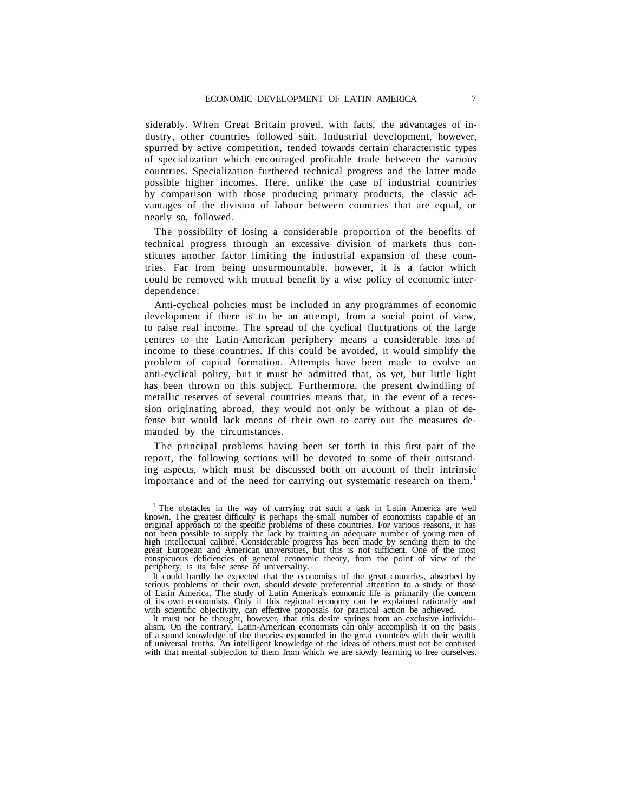siderably. When Great Britain proved, with facts, the advantages of industry, other countries followed suit. Industrial development, however, spurred by active competition, tended towards certain characteristic types of specialization which encouraged profitable trade between the various countries. Specialization furthered technical progress and the latter made possible higher incomes. Here, unlike the case of industrial countries by comparison with those producing primary products, the classic advantages of the division of labour between countries that are equal, or nearly so, followed.

The possibility of losing a considerable proportion of the benefits of technical progress through an excessive division of markets thus constitutes another factor limiting the industrial expansion of these countries. Far from being unsurmountable, however, it is a factor which could be removed with mutual benefit by a wise policy of economic interdependence.

Anti-cyclical policies must be included in any programmes of economic development if there is to be an attempt, from a social point of view, to raise real income. The spread of the cyclical fluctuations of the large centres to the Latin-American periphery means a considerable loss of income to these countries. If this could be avoided, it would simplify the problem of capital formation. Attempts have been made to evolve an anti-cyclical policy, but it must be admitted that, as yet, but little light has been thrown on this subject. Furthermore, the present dwindling of metallic reserves of several countries means that, in the event of a recession originating abroad, they would not only be without a plan of defense but would lack means of their own to carry out the measures demanded by the circumstances.

The principal problems having been set forth in this first part of the report, the following sections will be devoted to some of their outstanding aspects, which must be discussed both on account of their intrinsic importance and of the need for carrying out systematic research on them.<sup>1</sup>

It could hardly be expected that the economists of the great countries, absorbed by serious problems of their own, should devote preferential attention to a study of those of Latin America. The study of Latin America's economic life is primarily the concern of its own economists. Only if this regional economy can be explained rationally and with scientific objectivity, can effective proposals for practical action be achieved.

It must not be thought, however, that this desire springs from an exclusive individualism. On the contrary, Latin-American economists can only accomplish it on the basis of a sound knowledge of the theories expounded in the great countries with their wealth of universal truths. An intelligent knowledge of the ideas of others must not be confused with that mental subjection to them from which we are slowly learning to free ourselves.

<sup>&</sup>lt;sup>1</sup> The obstacles in the way of carrying out such a task in Latin America are well known. The greatest difficulty is perhaps the small number of economists capable of an original approach to the specific problems of these countries. For various reasons, it has not been possible to supply the lack by training an adequate number of young men of high intellectual calibre. Considerable progress has been made by sending them to the great European and American universities, but this is not sufficient. One of the most conspicuous deficiencies of general economic theory, from the point of view of the periphery, is its false sense of universality.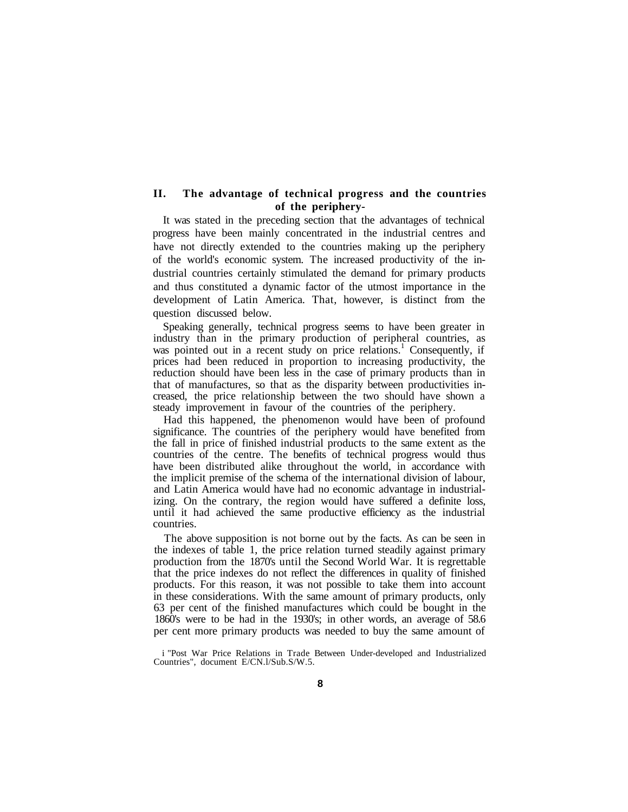# **II. The advantage of technical progress and the countries of the periphery-**

It was stated in the preceding section that the advantages of technical progress have been mainly concentrated in the industrial centres and have not directly extended to the countries making up the periphery of the world's economic system. The increased productivity of the industrial countries certainly stimulated the demand for primary products and thus constituted a dynamic factor of the utmost importance in the development of Latin America. That, however, is distinct from the question discussed below.

Speaking generally, technical progress seems to have been greater in industry than in the primary production of peripheral countries, as was pointed out in a recent study on price relations.<sup>1</sup> Consequently, if prices had been reduced in proportion to increasing productivity, the reduction should have been less in the case of primary products than in that of manufactures, so that as the disparity between productivities increased, the price relationship between the two should have shown a steady improvement in favour of the countries of the periphery.

Had this happened, the phenomenon would have been of profound significance. The countries of the periphery would have benefited from the fall in price of finished industrial products to the same extent as the countries of the centre. The benefits of technical progress would thus have been distributed alike throughout the world, in accordance with the implicit premise of the schema of the international division of labour, and Latin America would have had no economic advantage in industrializing. On the contrary, the region would have suffered a definite loss, until it had achieved the same productive efficiency as the industrial countries.

The above supposition is not borne out by the facts. As can be seen in the indexes of table 1, the price relation turned steadily against primary production from the 1870's until the Second World War. It is regrettable that the price indexes do not reflect the differences in quality of finished products. For this reason, it was not possible to take them into account in these considerations. With the same amount of primary products, only 63 per cent of the finished manufactures which could be bought in the 1860's were to be had in the 1930's; in other words, an average of 58.6 per cent more primary products was needed to buy the same amount of

i "Post War Price Relations in Trade Between Under-developed and Industrialized Countries", document E/CN.l/Sub.S/W.5.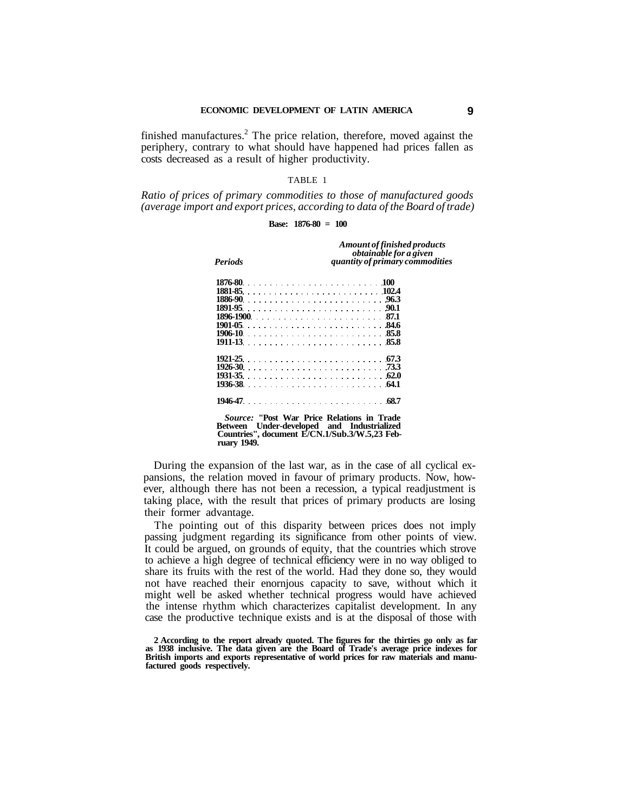finished manufactures. $2$  The price relation, therefore, moved against the periphery, contrary to what should have happened had prices fallen as costs decreased as a result of higher productivity.

## TABLE 1

*Ratio of prices of primary commodities to those of manufactured goods (average import and export prices, according to data of the Board of trade)* 

#### **Base: 1876-80 = 100**

| <b>Periods</b> | <b>Amount of finished products</b><br><i>obtainable for a given</i><br><i>quantity of primary commodities</i>                                                                                                                |
|----------------|------------------------------------------------------------------------------------------------------------------------------------------------------------------------------------------------------------------------------|
|                | $1876-80$ 100                                                                                                                                                                                                                |
|                | $1881-85$ 192.4                                                                                                                                                                                                              |
|                |                                                                                                                                                                                                                              |
|                | 1891-95 0.1                                                                                                                                                                                                                  |
|                | 1896-1900 87.1                                                                                                                                                                                                               |
|                | 1901-05 84.6                                                                                                                                                                                                                 |
|                | $1906-10$ 85.8                                                                                                                                                                                                               |
|                | $1911-13$ 85.8                                                                                                                                                                                                               |
|                | $1921-25$ , 67.3                                                                                                                                                                                                             |
|                | $1926-30$ . The set of the set of the set of the set of the set of the set of the set of the set of the set of the set of the set of the set of the set of the set of the set of the set of the set of the set of the set of |
|                | $1931.35$ 62.0                                                                                                                                                                                                               |
|                | $1936-38$ 64.1                                                                                                                                                                                                               |
|                | 1946-47 68.7                                                                                                                                                                                                                 |
|                | <i>Source:</i> "Post War Price Relations in Trade                                                                                                                                                                            |
|                | Between Under-developed and Industrialized                                                                                                                                                                                   |
| ruary 1949.    | Countries", document E/CN.1/Sub.3/W.5,23 Feb-                                                                                                                                                                                |

During the expansion of the last war, as in the case of all cyclical expansions, the relation moved in favour of primary products. Now, however, although there has not been a recession, a typical readjustment is taking place, with the result that prices of primary products are losing their former advantage.

The pointing out of this disparity between prices does not imply passing judgment regarding its significance from other points of view. It could be argued, on grounds of equity, that the countries which strove to achieve a high degree of technical efficiency were in no way obliged to share its fruits with the rest of the world. Had they done so, they would not have reached their enornjous capacity to save, without which it might well be asked whether technical progress would have achieved the intense rhythm which characterizes capitalist development. In any case the productive technique exists and is at the disposal of those with

**2 According to the report already quoted. The figures for the thirties go only as far as 1938 inclusive. The data given are the Board of Trade's average price indexes for British imports and exports representative of world prices for raw materials and manufactured goods respectively.**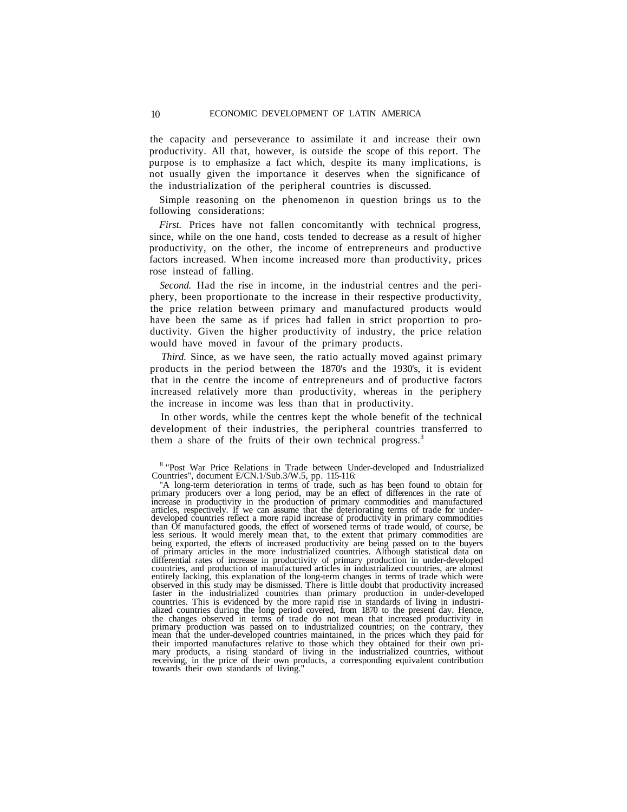the capacity and perseverance to assimilate it and increase their own productivity. All that, however, is outside the scope of this report. The purpose is to emphasize a fact which, despite its many implications, is not usually given the importance it deserves when the significance of the industrialization of the peripheral countries is discussed.

Simple reasoning on the phenomenon in question brings us to the following considerations:

*First.* Prices have not fallen concomitantly with technical progress, since, while on the one hand, costs tended to decrease as a result of higher productivity, on the other, the income of entrepreneurs and productive factors increased. When income increased more than productivity, prices rose instead of falling.

*Second.* Had the rise in income, in the industrial centres and the periphery, been proportionate to the increase in their respective productivity, the price relation between primary and manufactured products would have been the same as if prices had fallen in strict proportion to productivity. Given the higher productivity of industry, the price relation would have moved in favour of the primary products.

*Third.* Since, as we have seen, the ratio actually moved against primary products in the period between the 1870's and the 1930's, it is evident that in the centre the income of entrepreneurs and of productive factors increased relatively more than productivity, whereas in the periphery the increase in income was less than that in productivity.

In other words, while the centres kept the whole benefit of the technical development of their industries, the peripheral countries transferred to them a share of the fruits of their own technical progress. $3$ 

<sup>&</sup>lt;sup>8</sup> "Post War Price Relations in Trade between Under-developed and Industrialized Countries", document E/CN.1/Sub.3/W.5, pp. 115-116:

<sup>&</sup>quot;A long-term deterioration in terms of trade, such as has been found to obtain for primary producers over a long period, may be an effect of differences in the rate of increase in productivity in the production of primary commodities and manufactured articles, respectively. If we can assume that the deteriorating terms of trade for underdeveloped countries reflect a more rapid increase of productivity in primary commodities than Of manufactured goods, the effect of worsened terms of trade would, of course, be less serious. It would merely mean that, to the extent that primary commodities are being exported, the effects of increased productivity are being passed on to the buyers of primary articles in the more industrialized countries. Although statistical data on differential rates of increase in productivity of primary production in under-developed countries, and production of manufactured articles in industrialized countries, are almost entirely lacking, this explanation of the long-term changes in terms of trade which were observed in this study may be dismissed. There is little doubt that productivity increased faster in the industrialized countries than primary production in under-developed countries. This is evidenced by the more rapid rise in standards of living in industrialized countries during the long period covered, from 1870 to the present day. Hence, the changes observed in terms of trade do not mean that increased productivity in primary production was passed on to industrialized countries; on the contrary, they mean that the under-developed countries maintained, in the prices which they paid for their imported manufactures relative to those which they obtained for their own primary products, a rising standard of living in the industrialized countries, without receiving, in the price of their own products, a corresponding equivalent contribution towards their own standards of living.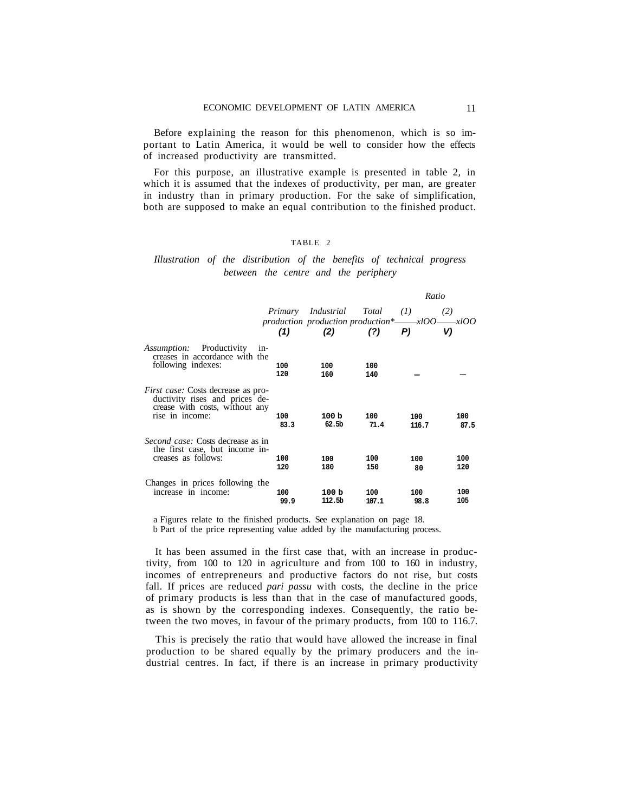Before explaining the reason for this phenomenon, which is so important to Latin America, it would be well to consider how the effects of increased productivity are transmitted.

For this purpose, an illustrative example is presented in table 2, in which it is assumed that the indexes of productivity, per man, are greater in industry than in primary production. For the sake of simplification, both are supposed to make an equal contribution to the finished product.

## TABLE 2

# *Illustration of the distribution of the benefits of technical progress between the centre and the periphery*

|                                                                                                                                  |             |                                       |              | nano         |             |
|----------------------------------------------------------------------------------------------------------------------------------|-------------|---------------------------------------|--------------|--------------|-------------|
|                                                                                                                                  | (1)         | Primary Industrial Total (1)<br>(2)   | (?)          | P)           | (2)<br>V)   |
| <i>Assumption:</i> Productivity<br>$1n-$<br>creases in accordance with the<br>following indexes:                                 | 100<br>120  | 100<br>160                            | 100<br>140   |              |             |
| <i>First case:</i> Costs decrease as pro-<br>ductivity rises and prices de-<br>crease with costs, without any<br>rise in income: | 100<br>83.3 | 100 <sub>b</sub><br>62.5 <sub>b</sub> | 100<br>71.4  | 100<br>116.7 | 100<br>87.5 |
| <i>Second case:</i> Costs decrease as in<br>the first case, but income in-<br>creases as follows:                                | 100<br>120  | 100<br>180                            | 100<br>150   | 100<br>80    | 100<br>120  |
| Changes in prices following the<br>increase in income:                                                                           | 100<br>99.9 | 100 Ъ<br>112.5b                       | 100<br>107.1 | 100<br>98.8  | 100<br>105  |

a Figures relate to the finished products. See explanation on page 18. b Part of the price representing value added by the manufacturing process.

It has been assumed in the first case that, with an increase in productivity, from 100 to 120 in agriculture and from 100 to 160 in industry, incomes of entrepreneurs and productive factors do not rise, but costs fall. If prices are reduced *pari passu* with costs, the decline in the price of primary products is less than that in the case of manufactured goods, as is shown by the corresponding indexes. Consequently, the ratio between the two moves, in favour of the primary products, from 100 to 116.7.

This is precisely the ratio that would have allowed the increase in final production to be shared equally by the primary producers and the industrial centres. In fact, if there is an increase in primary productivity

*Ratio*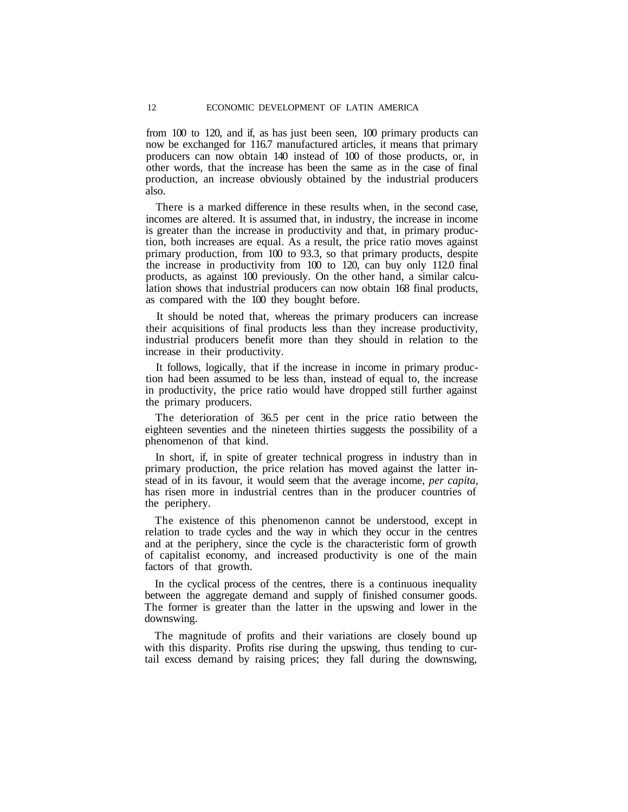from 100 to 120, and if, as has just been seen, 100 primary products can now be exchanged for 116.7 manufactured articles, it means that primary producers can now obtain 140 instead of 100 of those products, or, in other words, that the increase has been the same as in the case of final production, an increase obviously obtained by the industrial producers also.

There is a marked difference in these results when, in the second case, incomes are altered. It is assumed that, in industry, the increase in income is greater than the increase in productivity and that, in primary production, both increases are equal. As a result, the price ratio moves against primary production, from 100 to 93.3, so that primary products, despite the increase in productivity from 100 to 120, can buy only 112.0 final products, as against 100 previously. On the other hand, a similar calculation shows that industrial producers can now obtain 168 final products, as compared with the 100 they bought before.

It should be noted that, whereas the primary producers can increase their acquisitions of final products less than they increase productivity, industrial producers benefit more than they should in relation to the increase in their productivity.

It follows, logically, that if the increase in income in primary production had been assumed to be less than, instead of equal to, the increase in productivity, the price ratio would have dropped still further against the primary producers.

The deterioration of 36.5 per cent in the price ratio between the eighteen seventies and the nineteen thirties suggests the possibility of a phenomenon of that kind.

In short, if, in spite of greater technical progress in industry than in primary production, the price relation has moved against the latter instead of in its favour, it would seem that the average income, *per capita,*  has risen more in industrial centres than in the producer countries of the periphery.

The existence of this phenomenon cannot be understood, except in relation to trade cycles and the way in which they occur in the centres and at the periphery, since the cycle is the characteristic form of growth of capitalist economy, and increased productivity is one of the main factors of that growth.

In the cyclical process of the centres, there is a continuous inequality between the aggregate demand and supply of finished consumer goods. The former is greater than the latter in the upswing and lower in the downswing.

The magnitude of profits and their variations are closely bound up with this disparity. Profits rise during the upswing, thus tending to curtail excess demand by raising prices; they fall during the downswing,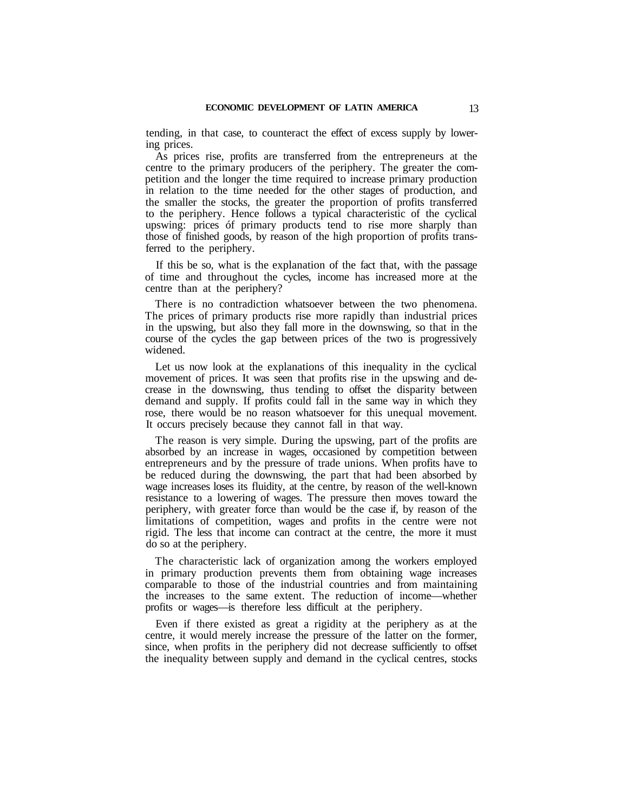tending, in that case, to counteract the effect of excess supply by lowering prices.

As prices rise, profits are transferred from the entrepreneurs at the centre to the primary producers of the periphery. The greater the competition and the longer the time required to increase primary production in relation to the time needed for the other stages of production, and the smaller the stocks, the greater the proportion of profits transferred to the periphery. Hence follows a typical characteristic of the cyclical upswing: prices óf primary products tend to rise more sharply than those of finished goods, by reason of the high proportion of profits transferred to the periphery.

If this be so, what is the explanation of the fact that, with the passage of time and throughout the cycles, income has increased more at the centre than at the periphery?

There is no contradiction whatsoever between the two phenomena. The prices of primary products rise more rapidly than industrial prices in the upswing, but also they fall more in the downswing, so that in the course of the cycles the gap between prices of the two is progressively widened.

Let us now look at the explanations of this inequality in the cyclical movement of prices. It was seen that profits rise in the upswing and decrease in the downswing, thus tending to offset the disparity between demand and supply. If profits could fall in the same way in which they rose, there would be no reason whatsoever for this unequal movement. It occurs precisely because they cannot fall in that way.

The reason is very simple. During the upswing, part of the profits are absorbed by an increase in wages, occasioned by competition between entrepreneurs and by the pressure of trade unions. When profits have to be reduced during the downswing, the part that had been absorbed by wage increases loses its fluidity, at the centre, by reason of the well-known resistance to a lowering of wages. The pressure then moves toward the periphery, with greater force than would be the case if, by reason of the limitations of competition, wages and profits in the centre were not rigid. The less that income can contract at the centre, the more it must do so at the periphery.

The characteristic lack of organization among the workers employed in primary production prevents them from obtaining wage increases comparable to those of the industrial countries and from maintaining the increases to the same extent. The reduction of income—whether profits or wages—is therefore less difficult at the periphery.

Even if there existed as great a rigidity at the periphery as at the centre, it would merely increase the pressure of the latter on the former, since, when profits in the periphery did not decrease sufficiently to offset the inequality between supply and demand in the cyclical centres, stocks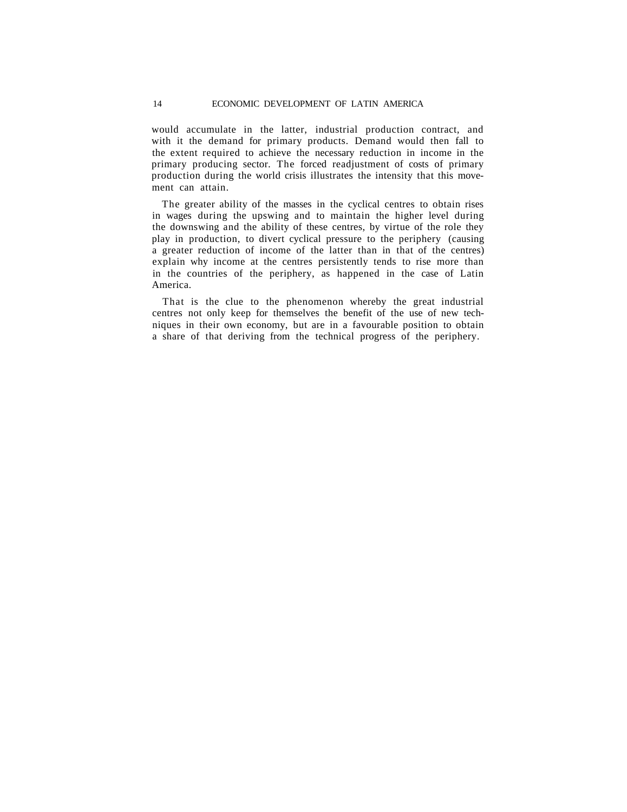would accumulate in the latter, industrial production contract, and with it the demand for primary products. Demand would then fall to the extent required to achieve the necessary reduction in income in the primary producing sector. The forced readjustment of costs of primary production during the world crisis illustrates the intensity that this movement can attain.

The greater ability of the masses in the cyclical centres to obtain rises in wages during the upswing and to maintain the higher level during the downswing and the ability of these centres, by virtue of the role they play in production, to divert cyclical pressure to the periphery (causing a greater reduction of income of the latter than in that of the centres) explain why income at the centres persistently tends to rise more than in the countries of the periphery, as happened in the case of Latin America.

That is the clue to the phenomenon whereby the great industrial centres not only keep for themselves the benefit of the use of new techniques in their own economy, but are in a favourable position to obtain a share of that deriving from the technical progress of the periphery.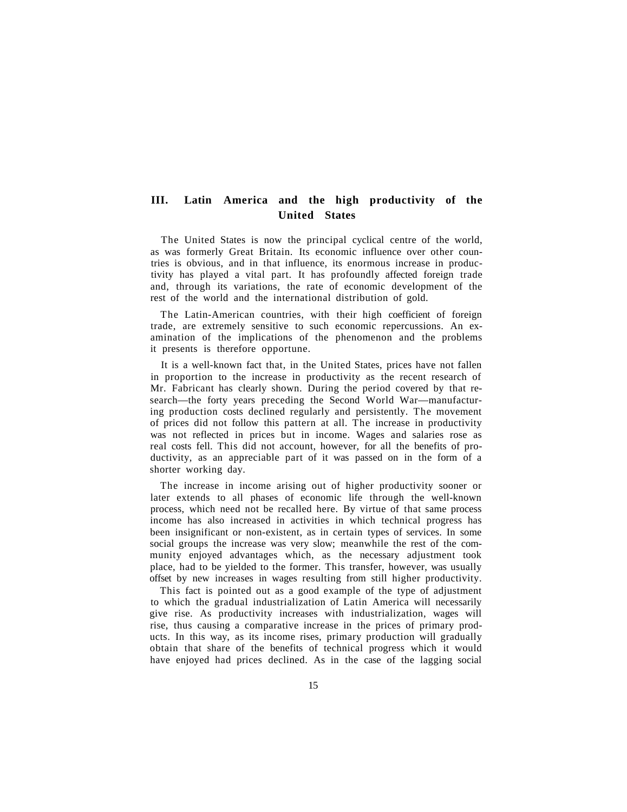# **III. Latin America and the high productivity of the United States**

The United States is now the principal cyclical centre of the world, as was formerly Great Britain. Its economic influence over other countries is obvious, and in that influence, its enormous increase in productivity has played a vital part. It has profoundly affected foreign trade and, through its variations, the rate of economic development of the rest of the world and the international distribution of gold.

The Latin-American countries, with their high coefficient of foreign trade, are extremely sensitive to such economic repercussions. An examination of the implications of the phenomenon and the problems it presents is therefore opportune.

It is a well-known fact that, in the United States, prices have not fallen in proportion to the increase in productivity as the recent research of Mr. Fabricant has clearly shown. During the period covered by that research—the forty years preceding the Second World War—manufacturing production costs declined regularly and persistently. The movement of prices did not follow this pattern at all. The increase in productivity was not reflected in prices but in income. Wages and salaries rose as real costs fell. This did not account, however, for all the benefits of productivity, as an appreciable part of it was passed on in the form of a shorter working day.

The increase in income arising out of higher productivity sooner or later extends to all phases of economic life through the well-known process, which need not be recalled here. By virtue of that same process income has also increased in activities in which technical progress has been insignificant or non-existent, as in certain types of services. In some social groups the increase was very slow; meanwhile the rest of the community enjoyed advantages which, as the necessary adjustment took place, had to be yielded to the former. This transfer, however, was usually offset by new increases in wages resulting from still higher productivity.

This fact is pointed out as a good example of the type of adjustment to which the gradual industrialization of Latin America will necessarily give rise. As productivity increases with industrialization, wages will rise, thus causing a comparative increase in the prices of primary products. In this way, as its income rises, primary production will gradually obtain that share of the benefits of technical progress which it would have enjoyed had prices declined. As in the case of the lagging social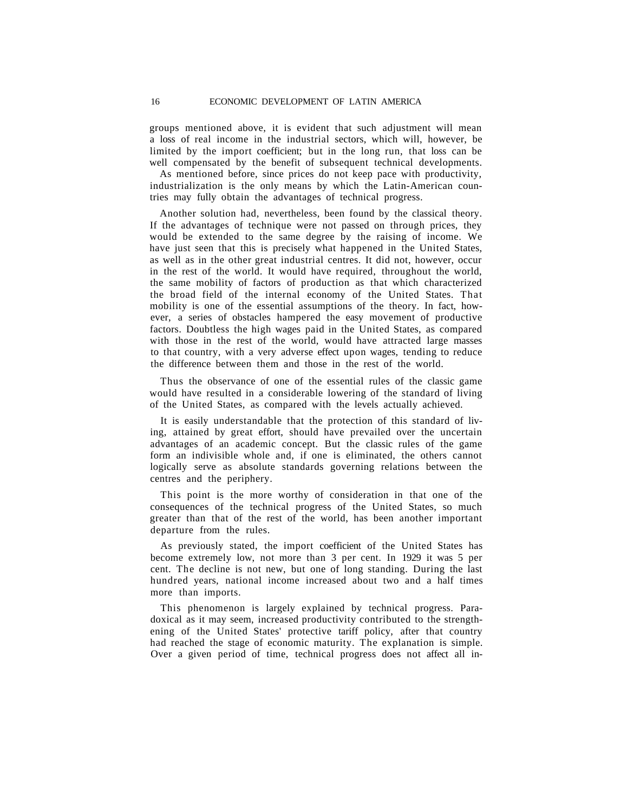groups mentioned above, it is evident that such adjustment will mean a loss of real income in the industrial sectors, which will, however, be limited by the import coefficient; but in the long run, that loss can be well compensated by the benefit of subsequent technical developments.

As mentioned before, since prices do not keep pace with productivity, industrialization is the only means by which the Latin-American countries may fully obtain the advantages of technical progress.

Another solution had, nevertheless, been found by the classical theory. If the advantages of technique were not passed on through prices, they would be extended to the same degree by the raising of income. We have just seen that this is precisely what happened in the United States, as well as in the other great industrial centres. It did not, however, occur in the rest of the world. It would have required, throughout the world, the same mobility of factors of production as that which characterized the broad field of the internal economy of the United States. That mobility is one of the essential assumptions of the theory. In fact, however, a series of obstacles hampered the easy movement of productive factors. Doubtless the high wages paid in the United States, as compared with those in the rest of the world, would have attracted large masses to that country, with a very adverse effect upon wages, tending to reduce the difference between them and those in the rest of the world.

Thus the observance of one of the essential rules of the classic game would have resulted in a considerable lowering of the standard of living of the United States, as compared with the levels actually achieved.

It is easily understandable that the protection of this standard of living, attained by great effort, should have prevailed over the uncertain advantages of an academic concept. But the classic rules of the game form an indivisible whole and, if one is eliminated, the others cannot logically serve as absolute standards governing relations between the centres and the periphery.

This point is the more worthy of consideration in that one of the consequences of the technical progress of the United States, so much greater than that of the rest of the world, has been another important departure from the rules.

As previously stated, the import coefficient of the United States has become extremely low, not more than 3 per cent. In 1929 it was 5 per cent. The decline is not new, but one of long standing. During the last hundred years, national income increased about two and a half times more than imports.

This phenomenon is largely explained by technical progress. Paradoxical as it may seem, increased productivity contributed to the strengthening of the United States' protective tariff policy, after that country had reached the stage of economic maturity. The explanation is simple. Over a given period of time, technical progress does not affect all in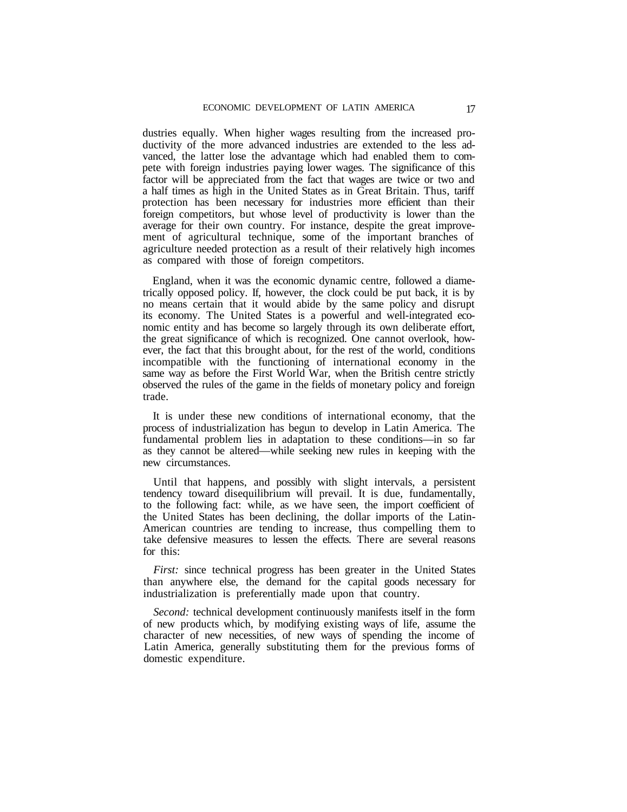dustries equally. When higher wages resulting from the increased productivity of the more advanced industries are extended to the less advanced, the latter lose the advantage which had enabled them to compete with foreign industries paying lower wages. The significance of this factor will be appreciated from the fact that wages are twice or two and a half times as high in the United States as in Great Britain. Thus, tariff protection has been necessary for industries more efficient than their foreign competitors, but whose level of productivity is lower than the average for their own country. For instance, despite the great improvement of agricultural technique, some of the important branches of agriculture needed protection as a result of their relatively high incomes as compared with those of foreign competitors.

England, when it was the economic dynamic centre, followed a diametrically opposed policy. If, however, the clock could be put back, it is by no means certain that it would abide by the same policy and disrupt its economy. The United States is a powerful and well-integrated economic entity and has become so largely through its own deliberate effort, the great significance of which is recognized. One cannot overlook, however, the fact that this brought about, for the rest of the world, conditions incompatible with the functioning of international economy in the same way as before the First World War, when the British centre strictly observed the rules of the game in the fields of monetary policy and foreign trade.

It is under these new conditions of international economy, that the process of industrialization has begun to develop in Latin America. The fundamental problem lies in adaptation to these conditions—in so far as they cannot be altered—while seeking new rules in keeping with the new circumstances.

Until that happens, and possibly with slight intervals, a persistent tendency toward disequilibrium will prevail. It is due, fundamentally, to the following fact: while, as we have seen, the import coefficient of the United States has been declining, the dollar imports of the Latin-American countries are tending to increase, thus compelling them to take defensive measures to lessen the effects. There are several reasons for this:

*First:* since technical progress has been greater in the United States than anywhere else, the demand for the capital goods necessary for industrialization is preferentially made upon that country.

*Second:* technical development continuously manifests itself in the form of new products which, by modifying existing ways of life, assume the character of new necessities, of new ways of spending the income of Latin America, generally substituting them for the previous forms of domestic expenditure.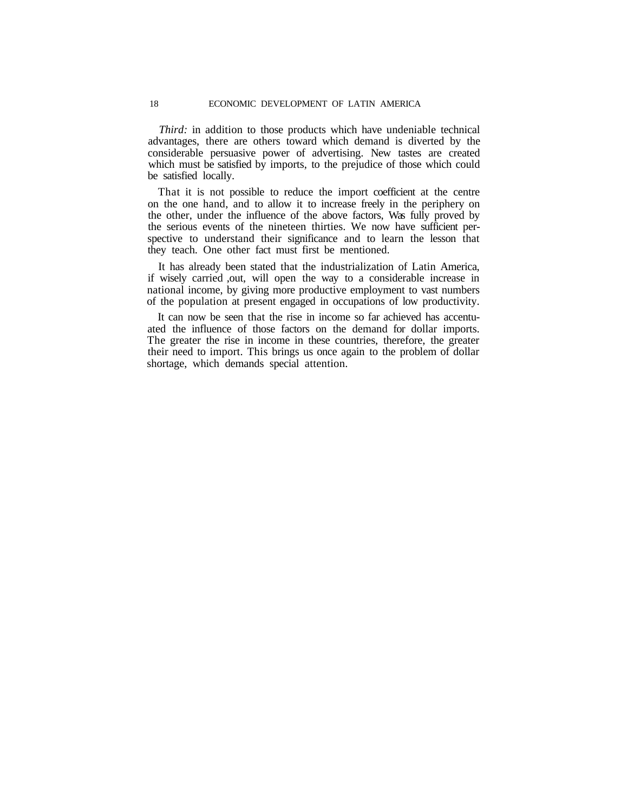*Third:* in addition to those products which have undeniable technical advantages, there are others toward which demand is diverted by the considerable persuasive power of advertising. New tastes are created which must be satisfied by imports, to the prejudice of those which could be satisfied locally.

That it is not possible to reduce the import coefficient at the centre on the one hand, and to allow it to increase freely in the periphery on the other, under the influence of the above factors, Was fully proved by the serious events of the nineteen thirties. We now have sufficient perspective to understand their significance and to learn the lesson that they teach. One other fact must first be mentioned.

It has already been stated that the industrialization of Latin America, if wisely carried ,out, will open the way to a considerable increase in national income, by giving more productive employment to vast numbers of the population at present engaged in occupations of low productivity.

It can now be seen that the rise in income so far achieved has accentuated the influence of those factors on the demand for dollar imports. The greater the rise in income in these countries, therefore, the greater their need to import. This brings us once again to the problem of dollar shortage, which demands special attention.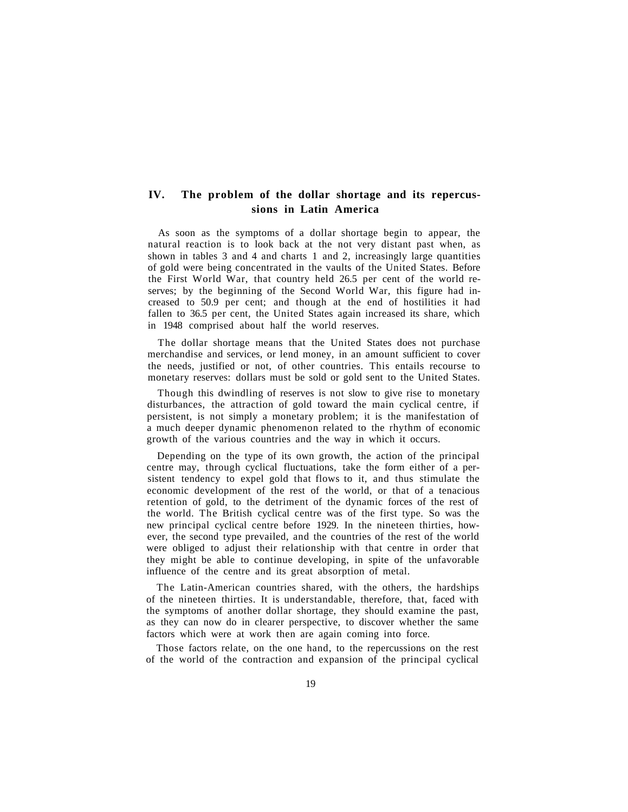# **IV. The problem of the dollar shortage and its repercussions in Latin America**

As soon as the symptoms of a dollar shortage begin to appear, the natural reaction is to look back at the not very distant past when, as shown in tables 3 and 4 and charts 1 and 2, increasingly large quantities of gold were being concentrated in the vaults of the United States. Before the First World War, that country held 26.5 per cent of the world reserves; by the beginning of the Second World War, this figure had increased to 50.9 per cent; and though at the end of hostilities it had fallen to 36.5 per cent, the United States again increased its share, which in 1948 comprised about half the world reserves.

The dollar shortage means that the United States does not purchase merchandise and services, or lend money, in an amount sufficient to cover the needs, justified or not, of other countries. This entails recourse to monetary reserves: dollars must be sold or gold sent to the United States.

Though this dwindling of reserves is not slow to give rise to monetary disturbances, the attraction of gold toward the main cyclical centre, if persistent, is not simply a monetary problem; it is the manifestation of a much deeper dynamic phenomenon related to the rhythm of economic growth of the various countries and the way in which it occurs.

Depending on the type of its own growth, the action of the principal centre may, through cyclical fluctuations, take the form either of a persistent tendency to expel gold that flows to it, and thus stimulate the economic development of the rest of the world, or that of a tenacious retention of gold, to the detriment of the dynamic forces of the rest of the world. The British cyclical centre was of the first type. So was the new principal cyclical centre before 1929. In the nineteen thirties, however, the second type prevailed, and the countries of the rest of the world were obliged to adjust their relationship with that centre in order that they might be able to continue developing, in spite of the unfavorable influence of the centre and its great absorption of metal.

The Latin-American countries shared, with the others, the hardships of the nineteen thirties. It is understandable, therefore, that, faced with the symptoms of another dollar shortage, they should examine the past, as they can now do in clearer perspective, to discover whether the same factors which were at work then are again coming into force.

Those factors relate, on the one hand, to the repercussions on the rest of the world of the contraction and expansion of the principal cyclical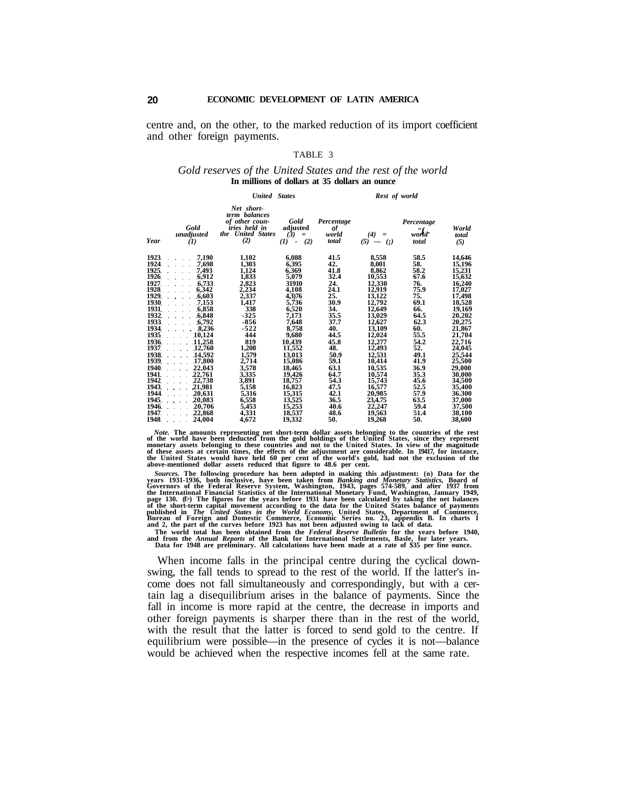centre and, on the other, to the marked reduction of its import coefficient and other foreign payments.

#### TABLE 3

#### *Gold reserves of the United States and the rest of the world*  **In millions of dollars at 35 dollars an ounce**

*United States* 

*Net short-*

|  |  | Rest of world |
|--|--|---------------|
|--|--|---------------|

|                |                              | net snort-<br>term balances |                                   |            |                |                    |        |
|----------------|------------------------------|-----------------------------|-----------------------------------|------------|----------------|--------------------|--------|
|                |                              | of other coun-              | Gold                              | Percentage |                | Percentage         |        |
|                | Gold                         | tries held in               | adjusted                          | οf         |                |                    | World  |
|                | unadjusted                   | <b>United States</b><br>the | (3)<br>$\equiv$                   | world      | (4)            | world <sup>.</sup> | total  |
| Year           | $\mathcal{L}(I)$             | (2)                         | (2)<br>$\bf(1)$<br>$\blacksquare$ | total      | $(5)$ —<br>(i) | total              | (5)    |
|                |                              |                             |                                   |            |                |                    |        |
| 1923           | 7,190                        | 1,102                       | 6,088                             | 41.5       | 8,558          | 58.5               | 14,646 |
| 1924           | 7,698                        | 1,303                       | 6,395                             | 42.        | 8,001          | 58.                | 15,196 |
| 1925           | 7.493<br>and the control     | 1,124                       | 6,369                             | 41.8       | 8,862          | 58.2               | 15,231 |
| 1926<br>$\sim$ | 6.912                        | 1,833                       | 5,079                             | 32.4       | 10,553         | 67.6               | 15,632 |
| 1927           | 6.733                        | 2,823                       | 31910                             | 24.        | 12,330         | 76.                | 16,240 |
| 1928           | 6.342                        | 2.234                       | 4.108                             | 24.1       | 12,919         | 75.9               | 17,027 |
| 1929           | 6,603                        | 2,337                       | 4,3)76                            | 25.        | 13,122         | 75.                | 17,498 |
| 1930           | 7.153                        | 1,417                       | 5,736                             | 30.9       | 12.792         | 69.1               | 18,528 |
| 1931.          | 6,858                        | 338                         | 6,520                             | 34.        | 12,649         | 66.                | 19,169 |
| 1932           | 6,848                        | $-325$                      | 7,173                             | 35.5       | 13,029         | 64.5               | 20,202 |
| 1933.          | 6,792<br><b>Contractor</b>   | $-856$                      | 7,648                             | 37.7       | 12,627         | 62.3               | 20,275 |
| 1934           | 8.236                        | $-522$                      | 8,758                             | 40.        | 13,109         | 60.                | 21,867 |
| 1935<br>$\sim$ | 10.124                       | 444                         | 9,680                             | 44.5       | 12,024         | 55.5               | 21,704 |
| 1936.          | 11,258                       | 819                         | 10,439                            | 45.8       | 12,277         | 54.2               | 22,716 |
| 1937           | 12,760                       | 1,208                       | 11,552                            | 48.        | 12,493         | 52.                | 24,045 |
| 1938           | 14.592<br>and the control of | 1,579                       | 13,013                            | 50.9       | 12,531         | 49.1               | 25,544 |
| 1939           | 17,800                       | 2,714                       | 15,086                            | 59.1       | 10,414         | 41.9               | 25,500 |
| 1940           | 22,043                       | 3,578                       | 18,465                            | 63.1       | 10,535         | 36.9               | 29,000 |
| 1941.          | 22,761                       | 3,335                       | 19.426                            | 64.7       | 10,574         | 35.3               | 30,000 |
| 1942           | 22,738<br>and the control    | 3,891                       | 18,757                            | 54.3       | 15,743         | 45.6               | 34,500 |
| 1943           | 21,981                       | 5,158                       | 16,823                            | 47.5       | 16,577         | 52.5               | 35,400 |
| 1944           | 20,631                       | 5,316                       | 15,315                            | 42.1       | 20,985         | 57.9               | 36.300 |
| 1945           | 20.083                       | 6,558                       | 13,525                            | 36.5       | 23,4.75        | 63.5               | 37,000 |
| 1946           | 20,706                       | 5,453                       | 15,253                            | 40.6       | 22,247         | 59.4               | 37,500 |
| 1947           | 22,868                       | 4,331                       | 18,537                            | 48.6       | 19,563         | 51.4               | 38,100 |
| 1948           | 24,004                       | 4,672                       | 19,332                            | 50.        | 19,268         | 50.                | 38,600 |
|                |                              |                             |                                   |            |                |                    |        |

*Note.* The amounts representing net short-term dollar assets belonging to the countries of the rest of the world have been deducted from the gold holdings of the United States, since they represent monetary assets belongi

*Sources.* **The following procedure has been adopted in making this adjustment: (o) Data for the**  years 1931-1936, both inclusive, have been taken from *Banking and Monetary Statistics*, Board of Governors of the Federal Reserve System, Washington, 1943, pages 574-589, and after 1937 from the International Financial St

The world total has been obtained from the *Federal Reserve Bulletin* for the years before 1940,<br>and from the *Annual Reports* of the Bank for International Settlements, Basle, for later years.<br>Data for 1948 are preliminar

When income falls in the principal centre during the cyclical downswing, the fall tends to spread to the rest of the world. If the latter's income does not fall simultaneously and correspondingly, but with a certain lag a disequilibrium arises in the balance of payments. Since the fall in income is more rapid at the centre, the decrease in imports and other foreign payments is sharper there than in the rest of the world, with the result that the latter is forced to send gold to the centre. If equilibrium were possible—in the presence of cycles it is not—balance would be achieved when the respective incomes fell at the same rate.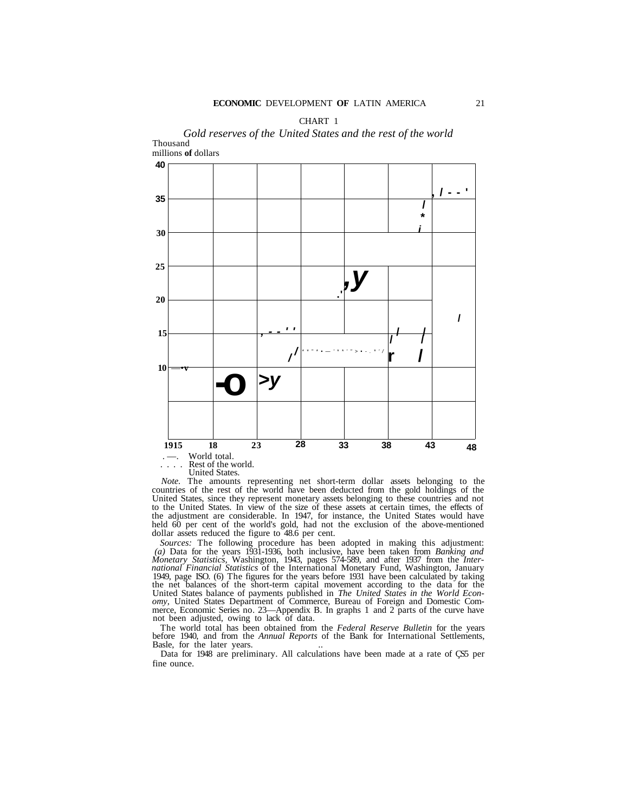

*Gold reserves of the United States and the rest of the world*  Thousand millions **of** dollars



. . . . Rest of the world.

United States.

*Note.* The amounts representing net short-term dollar assets belonging to the countries of the rest of the world have been deducted from the gold holdings of the United States, since they represent monetary assets belonging to these countries and not to the United States. In view of the size of these assets at certain times, the effects of the adjustment are considerable. In 1947, for instance, the United States would have held 60 per cent of the world's gold, had not the exclusion of the above-mentioned dollar assets reduced the figure to 48.6 per cent.

*Sources:* The following procedure has been adopted in making this adjustment: *(a)* Data for the years 1931-1936, both inclusive, have been taken from *Banking and Monetary Statistics,* Washington, 1943, pages 574-589, and after 1937 from the *International Financial Statistics* of the International Monetary Fund, Washington, January 1949, page ISO. (6) The figures for the years before 1931 have been calculated by taking the net balances of the short-term capital movement according to the data for the United States balance of payments published in *The United States in the World Economy,* United States Department of Commerce, Bureau of Foreign and Domestic Commerce, Economic Series no. 23—Appendix B. In graphs 1 and 2 parts of the curve have not been adjusted, owing to lack of data.

The world total has been obtained from the *Federal Reserve Bulletin* for the years before 1940, and from the *Annual Reports* of the Bank for International Settlements, Basle, for the later years.

Data for 1948 are preliminary. All calculations have been made at a rate of CSS per fine ounce.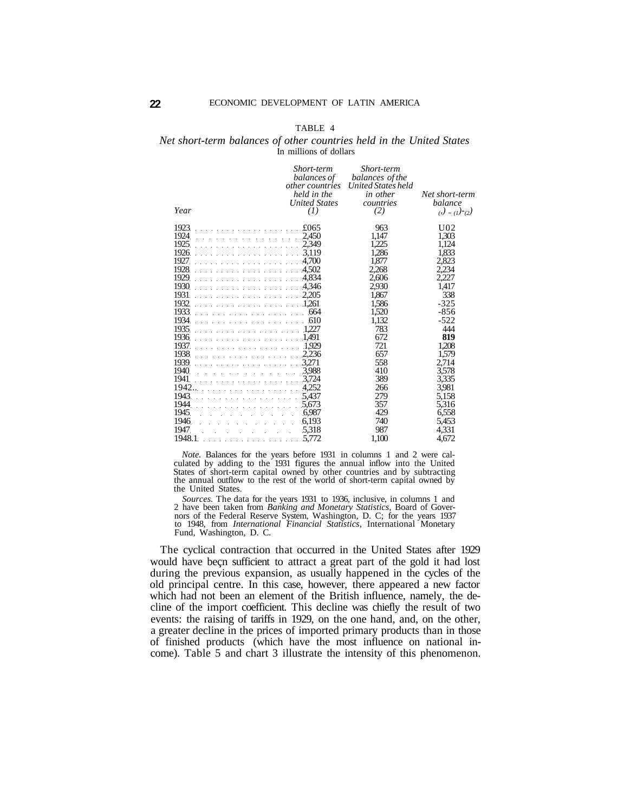#### TABLE 4

#### *Net short-term balances of other countries held in the United States*  In millions of dollars

|                                                      | Short-term<br>balances of<br><i>other countries</i> | Short-term<br>balances of the<br>United States held |                 |
|------------------------------------------------------|-----------------------------------------------------|-----------------------------------------------------|-----------------|
|                                                      | held in the                                         | <i>in other</i>                                     | Net short-term  |
| Year                                                 | <b>United States</b>                                | countries                                           | balance         |
|                                                      | (I)                                                 | (2)                                                 | $(t) = (1)-(2)$ |
| $1923 \t\t\t 6065$                                   |                                                     | 963                                                 | U <sub>02</sub> |
| $1924 \t 2,450$                                      |                                                     | 1.147                                               | 1,303           |
| $1925$ 2,349                                         |                                                     | 1,225                                               | 1,124           |
| $1926$ 3,119                                         |                                                     | 1,286                                               | 1,833           |
| $1927$ 4,700                                         |                                                     | 1,877                                               | 2,823           |
| $1928$ $4,502$                                       |                                                     | 2.268                                               | 2.234           |
| $1929$ $4,834$                                       |                                                     | 2,606                                               | 2.227           |
| $1930 \t\t 4,346$                                    |                                                     | 2,930                                               | 1,417           |
| $1931 \t 2,205$                                      |                                                     | 1,867                                               | 338             |
| 1932<br>1.261                                        |                                                     | 1,586                                               | $-325$          |
| $1933 \t\t 664$                                      |                                                     | 1,520                                               | $-856$          |
| $1934$ 610                                           |                                                     | 1,132                                               | $-522$          |
| 1935<br>1.227                                        |                                                     | 783                                                 | 444             |
| $1936$ 1,491                                         |                                                     | 672                                                 | 819             |
| $1937$ $1,929$                                       |                                                     | 721                                                 | 1,208           |
| $1938$ 2,236                                         |                                                     | 657                                                 | 1.579           |
| $1939 \t 3,271$                                      |                                                     | 558                                                 | 2,714           |
| 1940.<br>3.988                                       |                                                     | 410                                                 | 3,578           |
| $1941 \t 3,724$                                      |                                                     | 389                                                 | 3,335           |
| $1942$ $4,252$                                       |                                                     | 266                                                 | 3.981           |
| 1943.<br>5,437                                       |                                                     | 279                                                 | 5,158           |
| 1944.<br>5.673                                       |                                                     | 357                                                 | 5,316           |
| 1945<br>6.987                                        |                                                     | 429                                                 | 6,558           |
| 1946<br>the control of the control of the control of | 6,193                                               | 740                                                 | 5,453           |
| 1947.<br>the company of the company of the company   | 5,318                                               | 987                                                 | 4,331           |
| 1948.1 5,772                                         |                                                     | 1,100                                               | 4,672           |

*Note.* Balances for the years before 1931 in columns 1 and 2 were calculated by adding to the 1931 figures the annual inflow into the United States of short-term capital owned by other countries and by subtracting the annual outflow to the rest of the world of short-term capital owned by the United States.

*Sources.* The data for the years 1931 to 1936, inclusive, in columns 1 and 2 have been taken from *Banking and Monetary Statistics,* Board of Governors of the Federal Reserve System, Washington, D. C; for the years 1937 to 1948, from *International Financial Statistics,* International Monetary Fund, Washington, D. C.

The cyclical contraction that occurred in the United States after 1929 would have beçn sufficient to attract a great part of the gold it had lost during the previous expansion, as usually happened in the cycles of the old principal centre. In this case, however, there appeared a new factor which had not been an element of the British influence, namely, the decline of the import coefficient. This decline was chiefly the result of two events: the raising of tariffs in 1929, on the one hand, and, on the other, a greater decline in the prices of imported primary products than in those of finished products (which have the most influence on national income). Table 5 and chart 3 illustrate the intensity of this phenomenon.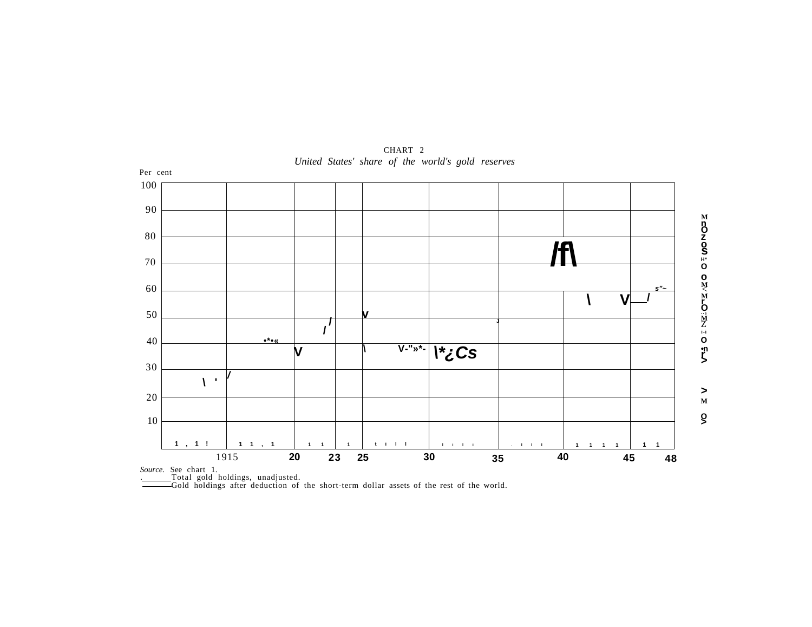

CHART 2 *United States' share of the world's gold reserves*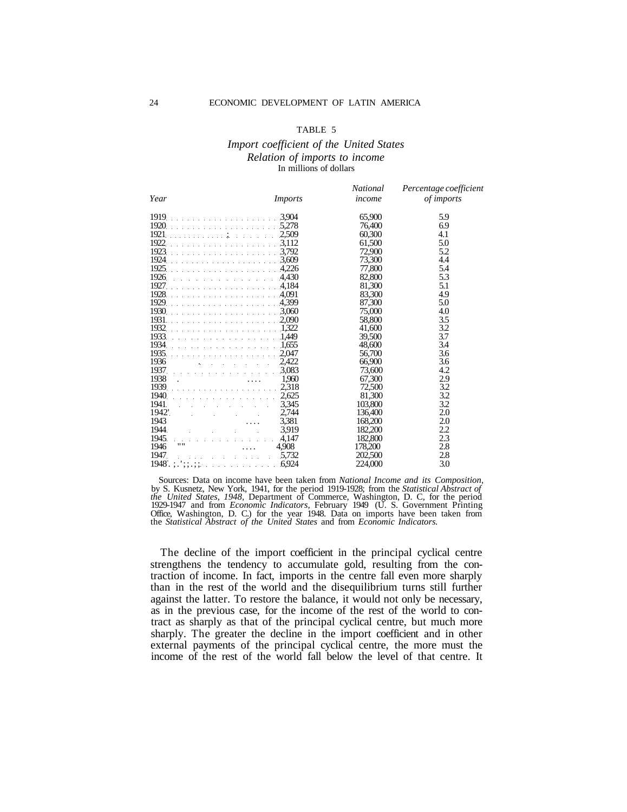#### TABLE 5

# *Import coefficient of the United States Relation of imports to income*  In millions of dollars

| Year                                            | <i>Imports</i> | <b>National</b><br>income | Percentage coefficient<br>of imports |
|-------------------------------------------------|----------------|---------------------------|--------------------------------------|
| $1919 \t 3,904$                                 |                | 65,900                    | 5.9                                  |
| $1920$ 5,278                                    |                | 76,400                    | 6.9                                  |
| $1921 \t\t ; \t\t 2,509$                        |                | 60.300                    | 4.1                                  |
| $1922$ 3,112                                    |                | 61.500                    | 5.0                                  |
| $1923 \t\t 3,792$                               |                | 72,900                    | 5.2                                  |
| $1924$ 3,609                                    |                | 73,300                    | 4.4                                  |
| $1925$ $4,226$                                  |                | 77,800                    | 5.4                                  |
| 1926.<br>4,430                                  |                | 82,800                    | 5.3                                  |
| $1927 \t\t 4,184$                               |                | 81.300                    | 5.1                                  |
| $1928$ 4,091                                    |                | 83.300                    | 4.9                                  |
| $1929$ $4,399$                                  |                | 87,300                    | 5.0                                  |
| $1930 \t\t 3,060$                               |                | 75,000                    | 4.0                                  |
| $1931 \t 2,090$                                 |                | 58,800                    | 3.5                                  |
| $1932 \t\t 1,322$                               |                | 41,600                    | 3.2                                  |
| 1933 1,449                                      |                | 39.500                    | 3.7                                  |
| $1934$ $1,655$                                  |                | 48,600                    | 3.4                                  |
| $1935$ 2,047                                    |                | 56,700                    | 3.6                                  |
| 1936<br>and the control of the                  | 2,422          | 66,900                    | 3.6                                  |
| 1937<br>3,083                                   |                | 73,600                    | 4.2                                  |
| 1938<br>$\mathcal{L} = \mathcal{L} \mathcal{L}$ | 1.960          | 67,300                    | 2.9                                  |
| 1939.                                           |                | 72.500                    | 3.2                                  |
| 1940.<br>2.625                                  |                | 81,300                    | 3.2                                  |
| 1941                                            | 3,345          | 103,800                   | 3.2                                  |
| 1942'                                           | 2,744          | 136.400                   | 2.0                                  |
| 1943                                            | 3,381          | 168,200                   | 2.0                                  |
| 1944.                                           | 3.919          | 182.200                   | 2.2                                  |
| 1945<br>the control of the control of the       | 4,147          | 182,800                   | 2.3                                  |
| 1946                                            | 4,908          | 178.200                   | 2.8                                  |
| 1947<br>and the control of the control of       | 5.732          | 202.500                   | 2.8                                  |
| $\frac{1}{2}; \ldots;$ 6,924<br>1948            |                | 224,000                   | 3.0                                  |

Sources: Data on income have been taken from *National Income and its Composition,*  by S. Kusnetz, New York, 1941, for the period 1919-1928; from the *Statistical Abstract of the United States, 1948,* Department of Commerce, Washington, D. C, for the period 1929-1947 and from *Economic Indicators,* February 1949 (U. S. Government Printing Office, Washington, D. C.) for the year 1948. Data on imports have been taken from the *Statistical Abstract of the United States* and from *Economic Indicators.* 

The decline of the import coefficient in the principal cyclical centre strengthens the tendency to accumulate gold, resulting from the contraction of income. In fact, imports in the centre fall even more sharply than in the rest of the world and the disequilibrium turns still further against the latter. To restore the balance, it would not only be necessary, as in the previous case, for the income of the rest of the world to contract as sharply as that of the principal cyclical centre, but much more sharply. The greater the decline in the import coefficient and in other external payments of the principal cyclical centre, the more must the income of the rest of the world fall below the level of that centre. It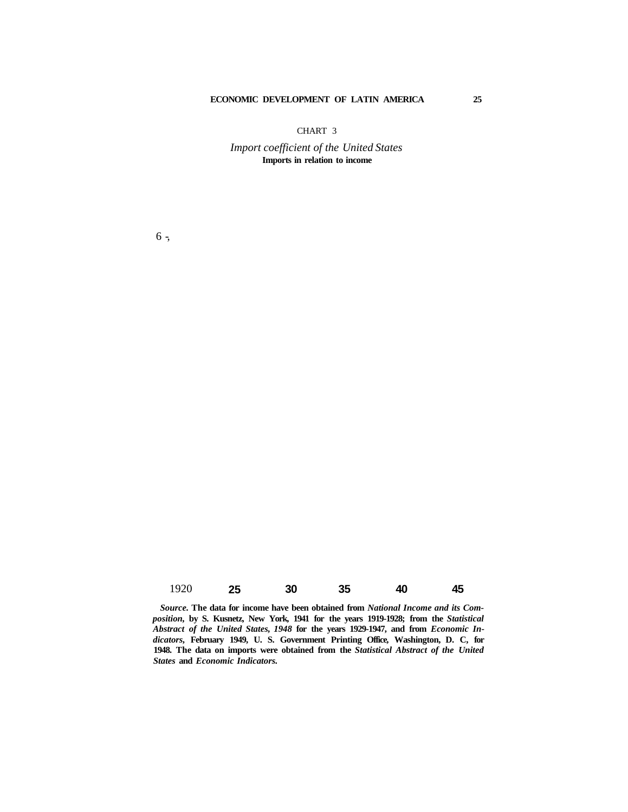## **ECONOMIC DEVELOPMENT OF LATIN AMERICA 25**

CHART 3

*Import coefficient of the United States*  **Imports in relation to income** 

6 -,

|  | 1920 | 25 | 30 | 35 | 40 | 45 |
|--|------|----|----|----|----|----|
|--|------|----|----|----|----|----|

*Source.* **The data for income have been obtained from** *National Income and its Composition,* **by S. Kusnetz, New York, 1941 for the years 1919-1928; from the** *Statistical Abstract of the United States, 1948* **for the years 1929-1947, and from** *Economic Indicators,* **February 1949, U. S. Government Printing Office, Washington, D. C, for 1948. The data on imports were obtained from the** *Statistical Abstract of the United States* **and** *Economic Indicators.*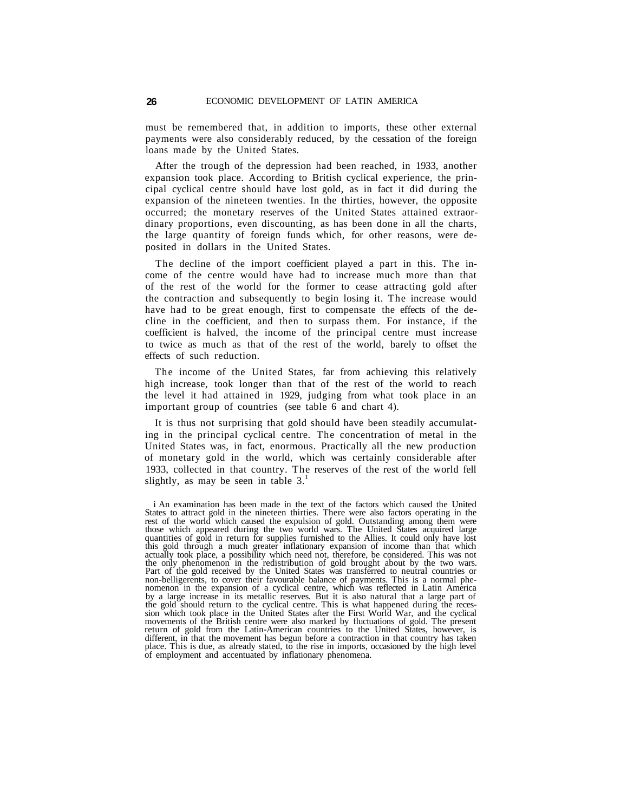must be remembered that, in addition to imports, these other external payments were also considerably reduced, by the cessation of the foreign loans made by the United States.

After the trough of the depression had been reached, in 1933, another expansion took place. According to British cyclical experience, the principal cyclical centre should have lost gold, as in fact it did during the expansion of the nineteen twenties. In the thirties, however, the opposite occurred; the monetary reserves of the United States attained extraordinary proportions, even discounting, as has been done in all the charts, the large quantity of foreign funds which, for other reasons, were deposited in dollars in the United States.

The decline of the import coefficient played a part in this. The income of the centre would have had to increase much more than that of the rest of the world for the former to cease attracting gold after the contraction and subsequently to begin losing it. The increase would have had to be great enough, first to compensate the effects of the decline in the coefficient, and then to surpass them. For instance, if the coefficient is halved, the income of the principal centre must increase to twice as much as that of the rest of the world, barely to offset the effects of such reduction.

The income of the United States, far from achieving this relatively high increase, took longer than that of the rest of the world to reach the level it had attained in 1929, judging from what took place in an important group of countries (see table 6 and chart 4).

It is thus not surprising that gold should have been steadily accumulating in the principal cyclical centre. The concentration of metal in the United States was, in fact, enormous. Practically all the new production of monetary gold in the world, which was certainly considerable after 1933, collected in that country. The reserves of the rest of the world fell slightly, as may be seen in table  $3<sup>1</sup>$ 

i An examination has been made in the text of the factors which caused the United States to attract gold in the nineteen thirties. There were also factors operating in the rest of the world which caused the expulsion of gold. Outstanding among them were those which appeared during the two world wars. The United States acquired large quantities of gold in return for supplies furnished to the Allies. It could only have lost this gold through a much greater inflationary expansion of income than that which actually took place, a possibility which need not, therefore, be considered. This was not the only phenomenon in the redistribution of gold brought about by the two wars. Part of the gold received by the United States was transferred to neutral countries or non-belligerents, to cover their favourable balance of payments. This is a normal phenomenon in the expansion of a cyclical centre, which was reflected in Latin America by a large increase in its metallic reserves. But it is also natural that a large part of the gold should return to the cyclical centre. This is what happened during the recession which took place in the United States after the First World War, and the cyclical movements of the British centre were also marked by fluctuations of gold. The present return of gold from the Latin-American countries to the United States, however, is different, in that the movement has begun before a contraction in that country has taken place. This is due, as already stated, to the rise in imports, occasioned by the high level of employment and accentuated by inflationary phenomena.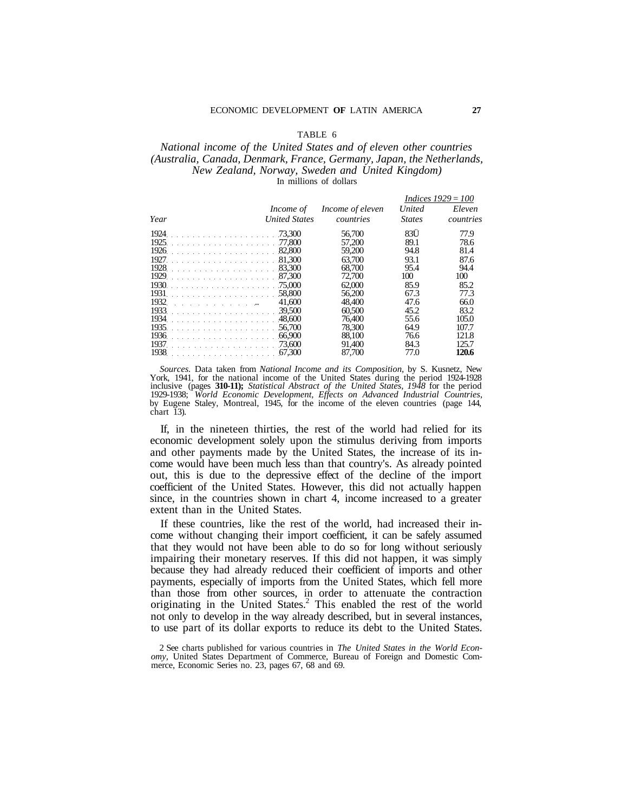#### TABLE 6

#### *National income of the United States and of eleven other countries (Australia, Canada, Denmark, France, Germany, Japan, the Netherlands, New Zealand, Norway, Sweden and United Kingdom)*  In millions of dollars

|                                                       |                      |                  |               | <i>Indices</i> $1929 = 100$ |
|-------------------------------------------------------|----------------------|------------------|---------------|-----------------------------|
|                                                       | Income of            | Income of eleven | <b>United</b> | Eleven                      |
| Year                                                  | <b>United States</b> | countries        | <b>States</b> | countries                   |
| $1924$ $73,300$                                       |                      | 56,700           | 83U           | 77.9                        |
| 1925 77,800                                           |                      | 57.200           | 89.1          | 78.6                        |
| $1926$ 82,800                                         |                      | 59,200           | 94.8          | 81.4                        |
| $1927$ 81,300                                         |                      | 63.700           | 93.1          | 87.6                        |
| $1928$ 83,300                                         |                      | 68.700           | 95.4          | 94.4                        |
| $1929$ 87,300                                         |                      | 72,700           | 100           | 100                         |
| $1930 \t\t 75,000$                                    |                      | 62,000           | 85.9          | 85.2                        |
| $1931 \t\t 58,800$                                    |                      | 56,200           | 67.3          | 77.3                        |
| 1932.<br>the control of the control of the control of | 41,600               | 48,400           | 47.6          | 66.0                        |
| $1933 \t\t 39,500$                                    |                      | 60.500           | 45.2          | 83.2                        |
| $1934 \t\t 48,600$                                    |                      | 76.400           | 55.6          | 105.0                       |
| $1935$ 56,700                                         |                      | 78.300           | 64.9          | 107.7                       |
| $1936$ 66,900                                         |                      | 88.100           | 76.6          | 121.8                       |
| 1937 73,600                                           |                      | 91.400           | 84.3          | 125.7                       |
| $1938$ 67,300                                         |                      | 87.700           | 77.0          | 120.6                       |

*Sources.* Data taken from *National Income and its Composition,* by S. Kusnetz, New York, 1941, for the national income of the United States during the period 1924-1928 inclusive (pages **310-11);** *Statistical Abstract of the United States, 1948* for the period 1929-1938; *World Economic Development, Effects on Advanced Industrial Countries,*  by Eugene Staley, Montreal, 1945, for the income of the eleven countries (page 144, chart 13).

If, in the nineteen thirties, the rest of the world had relied for its economic development solely upon the stimulus deriving from imports and other payments made by the United States, the increase of its income would have been much less than that country's. As already pointed out, this is due to the depressive effect of the decline of the import coefficient of the United States. However, this did not actually happen since, in the countries shown in chart 4, income increased to a greater extent than in the United States.

If these countries, like the rest of the world, had increased their income without changing their import coefficient, it can be safely assumed that they would not have been able to do so for long without seriously impairing their monetary reserves. If this did not happen, it was simply because they had already reduced their coefficient of imports and other payments, especially of imports from the United States, which fell more than those from other sources, in order to attenuate the contraction originating in the United States. $2$  This enabled the rest of the world not only to develop in the way already described, but in several instances, to use part of its dollar exports to reduce its debt to the United States.

<sup>2</sup> See charts published for various countries in *The United States in the World Economy,* United States Department of Commerce, Bureau of Foreign and Domestic Commerce, Economic Series no. 23, pages 67, 68 and 69.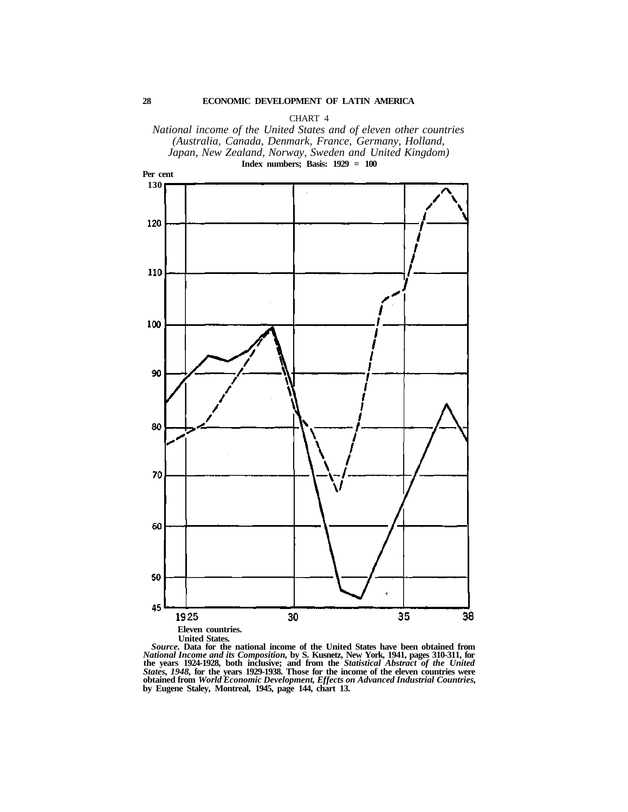CHART 4





*Source.* **Data for the national income of the United States have been obtained from**  *National Income and its Composition,* **by S. Kusnetz, New York, 1941, pages 310-311, for the years 1924-1928, both inclusive; and from the** *Statistical Abstract of the United States, 1948,* **for the years 1929-1938. Those for the income of the eleven countries were obtained from** *World Economic Development, Effects on Advanced Industrial Countries,*  **by Eugene Staley, Montreal, 1945, page 144, chart 13.**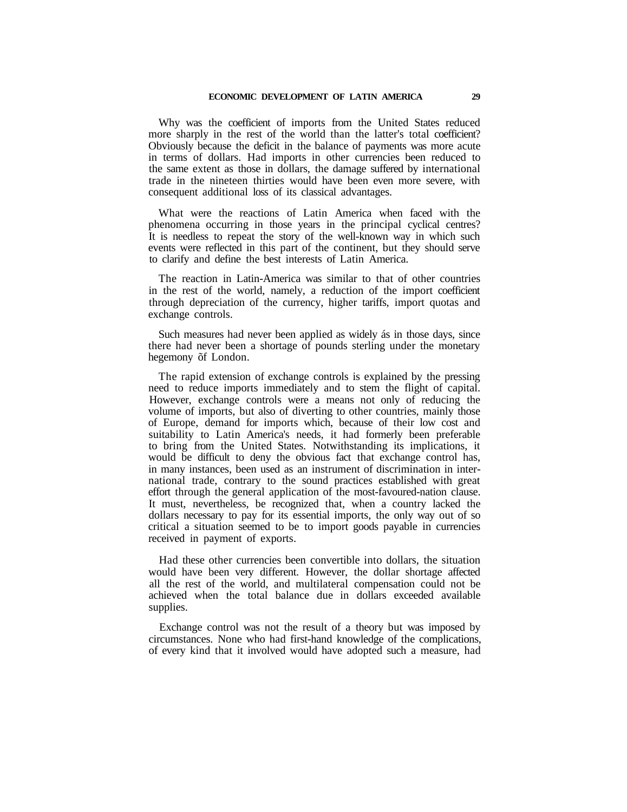Why was the coefficient of imports from the United States reduced more sharply in the rest of the world than the latter's total coefficient? Obviously because the deficit in the balance of payments was more acute in terms of dollars. Had imports in other currencies been reduced to the same extent as those in dollars, the damage suffered by international trade in the nineteen thirties would have been even more severe, with consequent additional loss of its classical advantages.

What were the reactions of Latin America when faced with the phenomena occurring in those years in the principal cyclical centres? It is needless to repeat the story of the well-known way in which such events were reflected in this part of the continent, but they should serve to clarify and define the best interests of Latin America.

The reaction in Latin-America was similar to that of other countries in the rest of the world, namely, a reduction of the import coefficient through depreciation of the currency, higher tariffs, import quotas and exchange controls.

Such measures had never been applied as widely ás in those days, since there had never been a shortage of pounds sterling under the monetary hegemony õf London.

The rapid extension of exchange controls is explained by the pressing need to reduce imports immediately and to stem the flight of capital. However, exchange controls were a means not only of reducing the volume of imports, but also of diverting to other countries, mainly those of Europe, demand for imports which, because of their low cost and suitability to Latin America's needs, it had formerly been preferable to bring from the United States. Notwithstanding its implications, it would be difficult to deny the obvious fact that exchange control has, in many instances, been used as an instrument of discrimination in international trade, contrary to the sound practices established with great effort through the general application of the most-favoured-nation clause. It must, nevertheless, be recognized that, when a country lacked the dollars necessary to pay for its essential imports, the only way out of so critical a situation seemed to be to import goods payable in currencies received in payment of exports.

Had these other currencies been convertible into dollars, the situation would have been very different. However, the dollar shortage affected all the rest of the world, and multilateral compensation could not be achieved when the total balance due in dollars exceeded available supplies.

Exchange control was not the result of a theory but was imposed by circumstances. None who had first-hand knowledge of the complications, of every kind that it involved would have adopted such a measure, had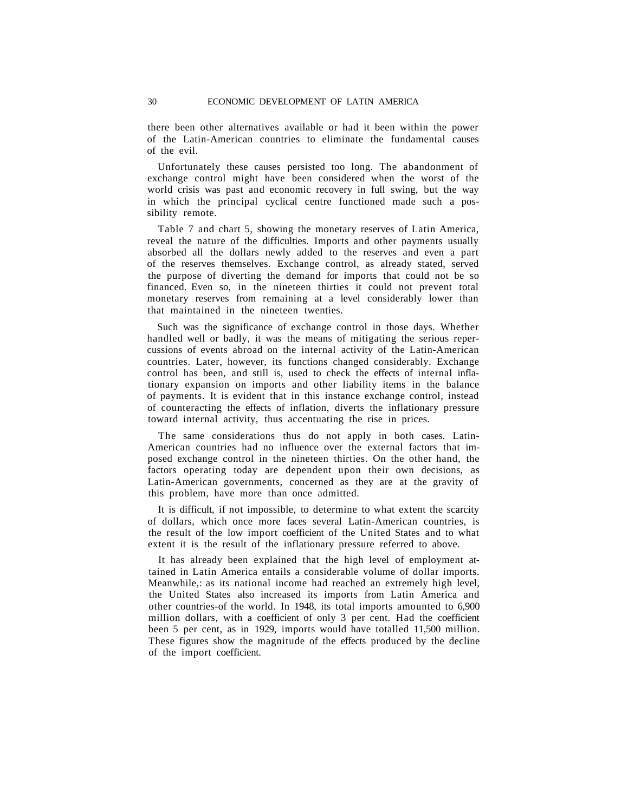there been other alternatives available or had it been within the power of the Latin-American countries to eliminate the fundamental causes of the evil.

Unfortunately these causes persisted too long. The abandonment of exchange control might have been considered when the worst of the world crisis was past and economic recovery in full swing, but the way in which the principal cyclical centre functioned made such a possibility remote.

Table 7 and chart 5, showing the monetary reserves of Latin America, reveal the nature of the difficulties. Imports and other payments usually absorbed all the dollars newly added to the reserves and even a part of the reserves themselves. Exchange control, as already stated, served the purpose of diverting the demand for imports that could not be so financed. Even so, in the nineteen thirties it could not prevent total monetary reserves from remaining at a level considerably lower than that maintained in the nineteen twenties.

Such was the significance of exchange control in those days. Whether handled well or badly, it was the means of mitigating the serious repercussions of events abroad on the internal activity of the Latin-American countries. Later, however, its functions changed considerably. Exchange control has been, and still is, used to check the effects of internal inflationary expansion on imports and other liability items in the balance of payments. It is evident that in this instance exchange control, instead of counteracting the effects of inflation, diverts the inflationary pressure toward internal activity, thus accentuating the rise in prices.

The same considerations thus do not apply in both cases. Latin-American countries had no influence over the external factors that imposed exchange control in the nineteen thirties. On the other hand, the factors operating today are dependent upon their own decisions, as Latin-American governments, concerned as they are at the gravity of this problem, have more than once admitted.

It is difficult, if not impossible, to determine to what extent the scarcity of dollars, which once more faces several Latin-American countries, is the result of the low import coefficient of the United States and to what extent it is the result of the inflationary pressure referred to above.

It has already been explained that the high level of employment attained in Latin America entails a considerable volume of dollar imports. Meanwhile,: as its national income had reached an extremely high level, the United States also increased its imports from Latin America and other countries-of the world. In 1948, its total imports amounted to 6,900 million dollars, with a coefficient of only 3 per cent. Had the coefficient been 5 per cent, as in 1929, imports would have totalled 11,500 million. These figures show the magnitude of the effects produced by the decline of the import coefficient.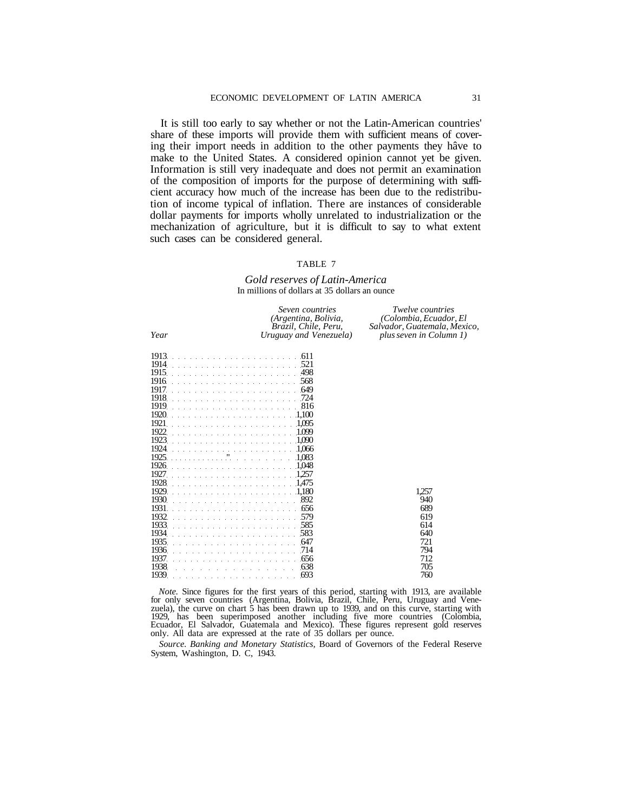It is still too early to say whether or not the Latin-American countries' share of these imports will provide them with sufficient means of covering their import needs in addition to the other payments they hâve to make to the United States. A considered opinion cannot yet be given. Information is still very inadequate and does not permit an examination of the composition of imports for the purpose of determining with sufficient accuracy how much of the increase has been due to the redistribution of income typical of inflation. There are instances of considerable dollar payments for imports wholly unrelated to industrialization or the mechanization of agriculture, but it is difficult to say to what extent such cases can be considered general.

## TABLE 7

#### *Gold reserves of Latin-America*  In millions of dollars at 35 dollars an ounce

| Year                                                                                                                                                                                                                                                                                                                                                                                                                                                                                               | Seven countries<br>(Argentina, Bolivia,<br>Brazil, Chile, Peru,<br>Uruguay and Venezuela) | <i>Twelve countries</i><br>(Colombia, Ecuador, El<br>Salvador, Guatemala, Mexico,<br>plus seven in Column 1) |
|----------------------------------------------------------------------------------------------------------------------------------------------------------------------------------------------------------------------------------------------------------------------------------------------------------------------------------------------------------------------------------------------------------------------------------------------------------------------------------------------------|-------------------------------------------------------------------------------------------|--------------------------------------------------------------------------------------------------------------|
| 1913.<br>$\sim$ 611<br>1914<br>521<br>1915<br>498<br>1916<br>568<br>1917.<br>649<br>1918<br>$\sim$ 724<br>816<br>1919.<br>1920.<br>1,100<br>1921<br>1,095<br>1922.<br>1099<br>$1923 \t\t 1090$<br>1926.<br>1.048<br>1927<br>1257<br>1928.<br>1.475<br>1929<br>1.180<br>1930.<br>1931.<br>656<br>1932<br>579<br>1933.<br>585<br>1934<br>1935<br>and a straight and<br>1936<br>and the state of the state of the state<br>1937<br>de la caractería de la caractería de la caractería<br>1938<br>1939 | <u>. 892</u><br>- 647<br>714<br>-656<br>-638<br>693                                       | 1.257<br>940<br>689<br>619<br>614<br>640<br>721<br>794<br>712<br>705<br>760                                  |

*Note.* Since figures for the first years of this period, starting with 1913, are available for only seven countries (Argentina, Bolivia, Brazil, Chile, Peru, Uruguay and Venezuela), the curve on chart 5 has been drawn up to 1939, and on this curve, starting with 1929, has been superimposed another including five more countries (Colombia, Ecuador, El Salvador, Guatemala and Mexico). These figures represent gold reserves only. All data are expressed at the rate of 35 dollars per ounce.

*Source. Banking and Monetary Statistics,* Board of Governors of the Federal Reserve System, Washington, D. C, 1943.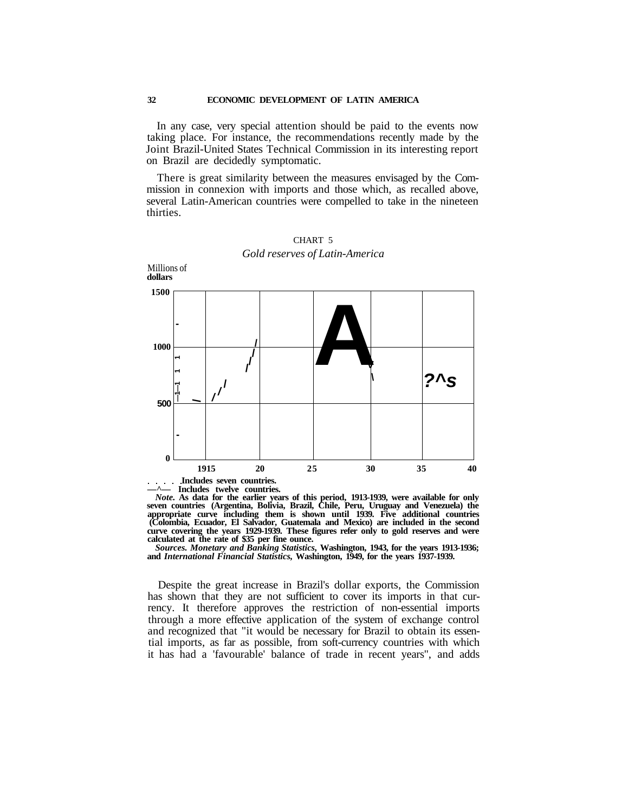In any case, very special attention should be paid to the events now taking place. For instance, the recommendations recently made by the Joint Brazil-United States Technical Commission in its interesting report on Brazil are decidedly symptomatic.

There is great similarity between the measures envisaged by the Commission in connexion with imports and those which, as recalled above, several Latin-American countries were compelled to take in the nineteen thirties.



CHART 5 *Gold reserves of Latin-America* 

*—^—* **Includes twelve countries.** 

*Note.* **As data for the earlier years of this period, 1913-1939, were available for only seven countries (Argentina, Bolivia, Brazil, Chile, Peru, Uruguay and Venezuela) the appropriate curve including them is shown until 1939. Five additional countries (Colombia, Ecuador, El Salvador, Guatemala and Mexico) are included in the second curve covering the years 1929-1939. These figures refer only to gold reserves and were calculated at the rate of \$35 per fine ounce.** 

*Sources. Monetary and Banking Statistics,* **Washington, 1943, for the years 1913-1936; and** *International Financial Statistics,* **Washington, 1949, for the years 1937-1939.** 

Despite the great increase in Brazil's dollar exports, the Commission has shown that they are not sufficient to cover its imports in that currency. It therefore approves the restriction of non-essential imports through a more effective application of the system of exchange control and recognized that "it would be necessary for Brazil to obtain its essential imports, as far as possible, from soft-currency countries with which it has had a 'favourable' balance of trade in recent years", and adds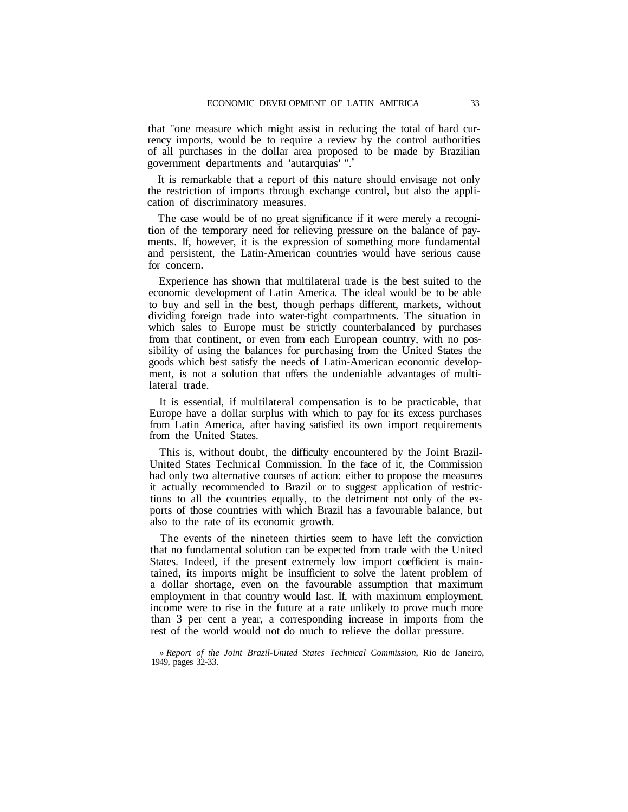that "one measure which might assist in reducing the total of hard currency imports, would be to require a review by the control authorities of all purchases in the dollar area proposed to be made by Brazilian government departments and 'autarquias' ".<sup>s</sup>

It is remarkable that a report of this nature should envisage not only the restriction of imports through exchange control, but also the application of discriminatory measures.

The case would be of no great significance if it were merely a recognition of the temporary need for relieving pressure on the balance of payments. If, however, it is the expression of something more fundamental and persistent, the Latin-American countries would have serious cause for concern.

Experience has shown that multilateral trade is the best suited to the economic development of Latin America. The ideal would be to be able to buy and sell in the best, though perhaps different, markets, without dividing foreign trade into water-tight compartments. The situation in which sales to Europe must be strictly counterbalanced by purchases from that continent, or even from each European country, with no possibility of using the balances for purchasing from the United States the goods which best satisfy the needs of Latin-American economic development, is not a solution that offers the undeniable advantages of multilateral trade.

It is essential, if multilateral compensation is to be practicable, that Europe have a dollar surplus with which to pay for its excess purchases from Latin America, after having satisfied its own import requirements from the United States.

This is, without doubt, the difficulty encountered by the Joint Brazil-United States Technical Commission. In the face of it, the Commission had only two alternative courses of action: either to propose the measures it actually recommended to Brazil or to suggest application of restrictions to all the countries equally, to the detriment not only of the exports of those countries with which Brazil has a favourable balance, but also to the rate of its economic growth.

The events of the nineteen thirties seem to have left the conviction that no fundamental solution can be expected from trade with the United States. Indeed, if the present extremely low import coefficient is maintained, its imports might be insufficient to solve the latent problem of a dollar shortage, even on the favourable assumption that maximum employment in that country would last. If, with maximum employment, income were to rise in the future at a rate unlikely to prove much more than 3 per cent a year, a corresponding increase in imports from the rest of the world would not do much to relieve the dollar pressure.

» *Report of the Joint Brazil-United States Technical Commission,* Rio de Janeiro, 1949, pages 32-33.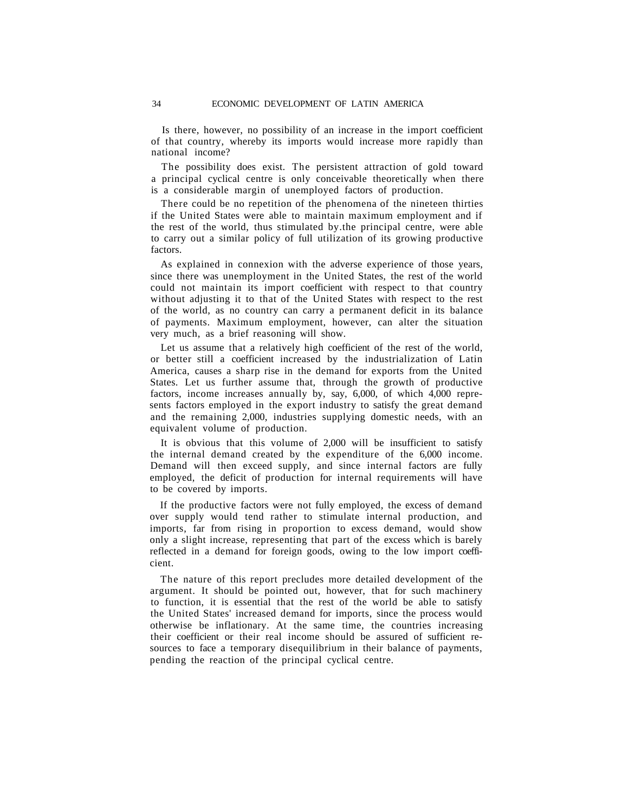Is there, however, no possibility of an increase in the import coefficient of that country, whereby its imports would increase more rapidly than national income?

The possibility does exist. The persistent attraction of gold toward a principal cyclical centre is only conceivable theoretically when there is a considerable margin of unemployed factors of production.

There could be no repetition of the phenomena of the nineteen thirties if the United States were able to maintain maximum employment and if the rest of the world, thus stimulated by.the principal centre, were able to carry out a similar policy of full utilization of its growing productive factors.

As explained in connexion with the adverse experience of those years, since there was unemployment in the United States, the rest of the world could not maintain its import coefficient with respect to that country without adjusting it to that of the United States with respect to the rest of the world, as no country can carry a permanent deficit in its balance of payments. Maximum employment, however, can alter the situation very much, as a brief reasoning will show.

Let us assume that a relatively high coefficient of the rest of the world, or better still a coefficient increased by the industrialization of Latin America, causes a sharp rise in the demand for exports from the United States. Let us further assume that, through the growth of productive factors, income increases annually by, say, 6,000, of which 4,000 represents factors employed in the export industry to satisfy the great demand and the remaining 2,000, industries supplying domestic needs, with an equivalent volume of production.

It is obvious that this volume of 2,000 will be insufficient to satisfy the internal demand created by the expenditure of the 6,000 income. Demand will then exceed supply, and since internal factors are fully employed, the deficit of production for internal requirements will have to be covered by imports.

If the productive factors were not fully employed, the excess of demand over supply would tend rather to stimulate internal production, and imports, far from rising in proportion to excess demand, would show only a slight increase, representing that part of the excess which is barely reflected in a demand for foreign goods, owing to the low import coefficient.

The nature of this report precludes more detailed development of the argument. It should be pointed out, however, that for such machinery to function, it is essential that the rest of the world be able to satisfy the United States' increased demand for imports, since the process would otherwise be inflationary. At the same time, the countries increasing their coefficient or their real income should be assured of sufficient resources to face a temporary disequilibrium in their balance of payments, pending the reaction of the principal cyclical centre.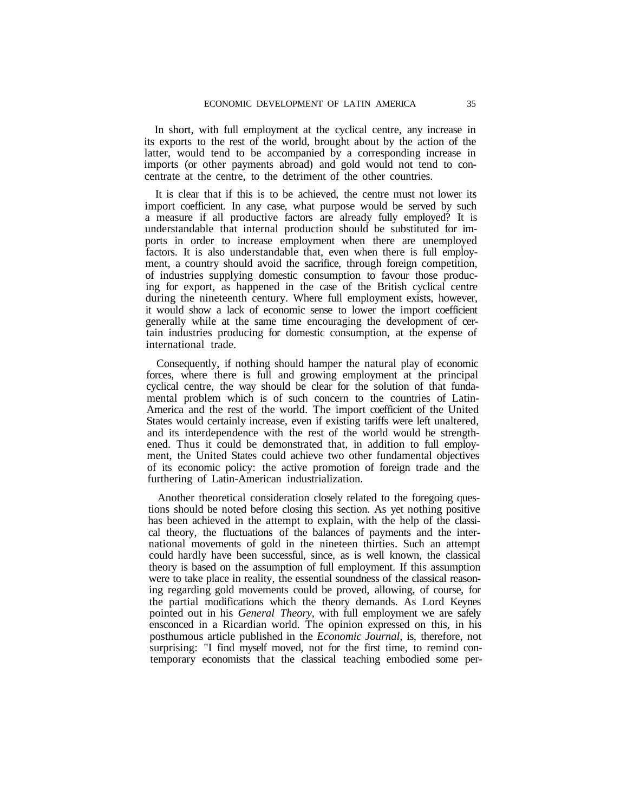In short, with full employment at the cyclical centre, any increase in its exports to the rest of the world, brought about by the action of the latter, would tend to be accompanied by a corresponding increase in imports (or other payments abroad) and gold would not tend to concentrate at the centre, to the detriment of the other countries.

It is clear that if this is to be achieved, the centre must not lower its import coefficient. In any case, what purpose would be served by such a measure if all productive factors are already fully employed? It is understandable that internal production should be substituted for imports in order to increase employment when there are unemployed factors. It is also understandable that, even when there is full employment, a country should avoid the sacrifice, through foreign competition, of industries supplying domestic consumption to favour those producing for export, as happened in the case of the British cyclical centre during the nineteenth century. Where full employment exists, however, it would show a lack of economic sense to lower the import coefficient generally while at the same time encouraging the development of certain industries producing for domestic consumption, at the expense of international trade.

Consequently, if nothing should hamper the natural play of economic forces, where there is full and growing employment at the principal cyclical centre, the way should be clear for the solution of that fundamental problem which is of such concern to the countries of Latin-America and the rest of the world. The import coefficient of the United States would certainly increase, even if existing tariffs were left unaltered, and its interdependence with the rest of the world would be strengthened. Thus it could be demonstrated that, in addition to full employment, the United States could achieve two other fundamental objectives of its economic policy: the active promotion of foreign trade and the furthering of Latin-American industrialization.

Another theoretical consideration closely related to the foregoing questions should be noted before closing this section. As yet nothing positive has been achieved in the attempt to explain, with the help of the classical theory, the fluctuations of the balances of payments and the international movements of gold in the nineteen thirties. Such an attempt could hardly have been successful, since, as is well known, the classical theory is based on the assumption of full employment. If this assumption were to take place in reality, the essential soundness of the classical reasoning regarding gold movements could be proved, allowing, of course, for the partial modifications which the theory demands. As Lord Keynes pointed out in his *General Theory,* with full employment we are safely ensconced in a Ricardian world. The opinion expressed on this, in his posthumous article published in the *Economic Journal,* is, therefore, not surprising: "I find myself moved, not for the first time, to remind contemporary economists that the classical teaching embodied some per-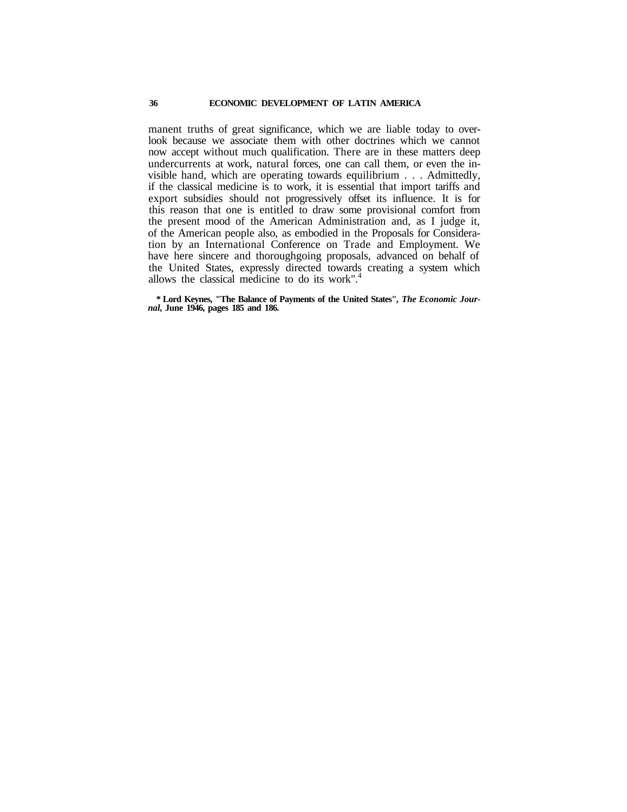## **36 ECONOMIC DEVELOPMENT OF LATIN AMERICA**

manent truths of great significance, which we are liable today to overlook because we associate them with other doctrines which we cannot now accept without much qualification. There are in these matters deep undercurrents at work, natural forces, one can call them, or even the invisible hand, which are operating towards equilibrium . . . Admittedly, if the classical medicine is to work, it is essential that import tariffs and export subsidies should not progressively offset its influence. It is for this reason that one is entitled to draw some provisional comfort from the present mood of the American Administration and, as I judge it, of the American people also, as embodied in the Proposals for Consideration by an International Conference on Trade and Employment. We have here sincere and thoroughgoing proposals, advanced on behalf of the United States, expressly directed towards creating a system which allows the classical medicine to do its work".<sup>4</sup>

**\* Lord Keynes, "The Balance of Payments of the United States",** *The Economic Journal,* **June 1946, pages 185 and 186.**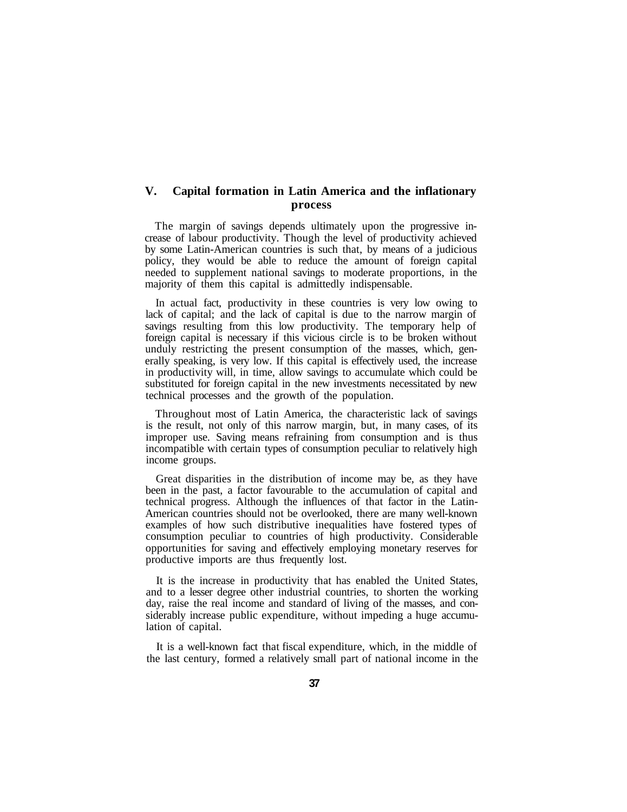# **V. Capital formation in Latin America and the inflationary process**

The margin of savings depends ultimately upon the progressive increase of labour productivity. Though the level of productivity achieved by some Latin-American countries is such that, by means of a judicious policy, they would be able to reduce the amount of foreign capital needed to supplement national savings to moderate proportions, in the majority of them this capital is admittedly indispensable.

In actual fact, productivity in these countries is very low owing to lack of capital; and the lack of capital is due to the narrow margin of savings resulting from this low productivity. The temporary help of foreign capital is necessary if this vicious circle is to be broken without unduly restricting the present consumption of the masses, which, generally speaking, is very low. If this capital is effectively used, the increase in productivity will, in time, allow savings to accumulate which could be substituted for foreign capital in the new investments necessitated by new technical processes and the growth of the population.

Throughout most of Latin America, the characteristic lack of savings is the result, not only of this narrow margin, but, in many cases, of its improper use. Saving means refraining from consumption and is thus incompatible with certain types of consumption peculiar to relatively high income groups.

Great disparities in the distribution of income may be, as they have been in the past, a factor favourable to the accumulation of capital and technical progress. Although the influences of that factor in the Latin-American countries should not be overlooked, there are many well-known examples of how such distributive inequalities have fostered types of consumption peculiar to countries of high productivity. Considerable opportunities for saving and effectively employing monetary reserves for productive imports are thus frequently lost.

It is the increase in productivity that has enabled the United States, and to a lesser degree other industrial countries, to shorten the working day, raise the real income and standard of living of the masses, and considerably increase public expenditure, without impeding a huge accumulation of capital.

It is a well-known fact that fiscal expenditure, which, in the middle of the last century, formed a relatively small part of national income in the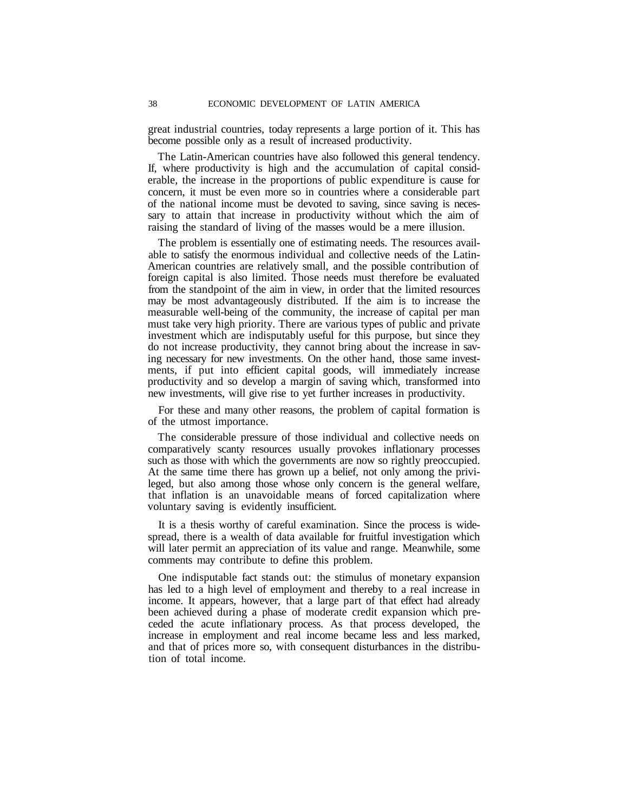great industrial countries, today represents a large portion of it. This has become possible only as a result of increased productivity.

The Latin-American countries have also followed this general tendency. If, where productivity is high and the accumulation of capital considerable, the increase in the proportions of public expenditure is cause for concern, it must be even more so in countries where a considerable part of the national income must be devoted to saving, since saving is necessary to attain that increase in productivity without which the aim of raising the standard of living of the masses would be a mere illusion.

The problem is essentially one of estimating needs. The resources available to satisfy the enormous individual and collective needs of the Latin-American countries are relatively small, and the possible contribution of foreign capital is also limited. Those needs must therefore be evaluated from the standpoint of the aim in view, in order that the limited resources may be most advantageously distributed. If the aim is to increase the measurable well-being of the community, the increase of capital per man must take very high priority. There are various types of public and private investment which are indisputably useful for this purpose, but since they do not increase productivity, they cannot bring about the increase in saving necessary for new investments. On the other hand, those same investments, if put into efficient capital goods, will immediately increase productivity and so develop a margin of saving which, transformed into new investments, will give rise to yet further increases in productivity.

For these and many other reasons, the problem of capital formation is of the utmost importance.

The considerable pressure of those individual and collective needs on comparatively scanty resources usually provokes inflationary processes such as those with which the governments are now so rightly preoccupied. At the same time there has grown up a belief, not only among the privileged, but also among those whose only concern is the general welfare, that inflation is an unavoidable means of forced capitalization where voluntary saving is evidently insufficient.

It is a thesis worthy of careful examination. Since the process is widespread, there is a wealth of data available for fruitful investigation which will later permit an appreciation of its value and range. Meanwhile, some comments may contribute to define this problem.

One indisputable fact stands out: the stimulus of monetary expansion has led to a high level of employment and thereby to a real increase in income. It appears, however, that a large part of that effect had already been achieved during a phase of moderate credit expansion which preceded the acute inflationary process. As that process developed, the increase in employment and real income became less and less marked, and that of prices more so, with consequent disturbances in the distribution of total income.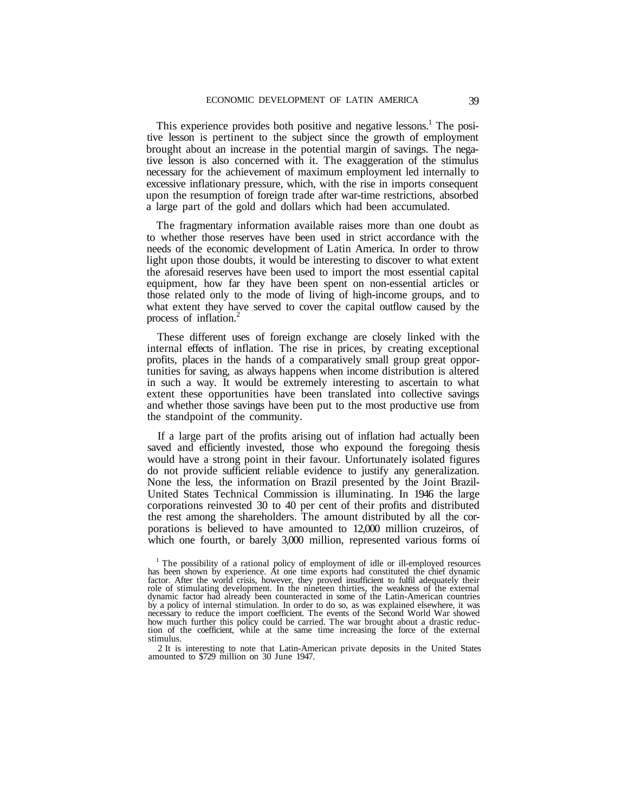This experience provides both positive and negative lessons.<sup>1</sup> The positive lesson is pertinent to the subject since the growth of employment brought about an increase in the potential margin of savings. The negative lesson is also concerned with it. The exaggeration of the stimulus necessary for the achievement of maximum employment led internally to excessive inflationary pressure, which, with the rise in imports consequent upon the resumption of foreign trade after war-time restrictions, absorbed a large part of the gold and dollars which had been accumulated.

The fragmentary information available raises more than one doubt as to whether those reserves have been used in strict accordance with the needs of the economic development of Latin America. In order to throw light upon those doubts, it would be interesting to discover to what extent the aforesaid reserves have been used to import the most essential capital equipment, how far they have been spent on non-essential articles or those related only to the mode of living of high-income groups, and to what extent they have served to cover the capital outflow caused by the process of inflation.<sup>2</sup>

These different uses of foreign exchange are closely linked with the internal effects of inflation. The rise in prices, by creating exceptional profits, places in the hands of a comparatively small group great opportunities for saving, as always happens when income distribution is altered in such a way. It would be extremely interesting to ascertain to what extent these opportunities have been translated into collective savings and whether those savings have been put to the most productive use from the standpoint of the community.

If a large part of the profits arising out of inflation had actually been saved and efficiently invested, those who expound the foregoing thesis would have a strong point in their favour. Unfortunately isolated figures do not provide sufficient reliable evidence to justify any generalization. None the less, the information on Brazil presented by the Joint Brazil-United States Technical Commission is illuminating. In 1946 the large corporations reinvested 30 to 40 per cent of their profits and distributed the rest among the shareholders. The amount distributed by all the corporations is believed to have amounted to 12,000 million cruzeiros, of which one fourth, or barely 3,000 million, represented various forms of

<sup>&</sup>lt;sup>1</sup> The possibility of a rational policy of employment of idle or ill-employed resources has been shown by experience. At one time exports had constituted the chief dynamic factor. After the world crisis, however, they proved insufficient to fulfil adequately their role of stimulating development. In the nineteen thirties, the weakness of the external dynamic factor had already been counteracted in some of the Latin-American countries by a policy of internal stimulation. In order to do so, as was explained elsewhere, it was necessary to reduce the import coefficient. The events of the Second World War showed how much further this policy could be carried. The war brought about a drastic reduction of the coefficient, while at the same time increasing the force of the external stimulus.

<sup>2</sup> It is interesting to note that Latin-American private deposits in the United States amounted to \$729 million on 30 June 1947.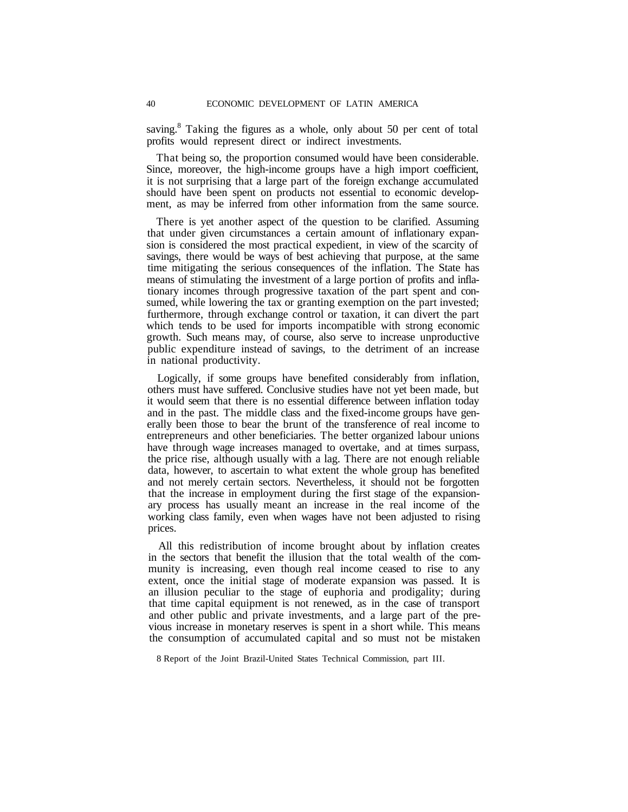saving.<sup>8</sup> Taking the figures as a whole, only about 50 per cent of total profits would represent direct or indirect investments.

That being so, the proportion consumed would have been considerable. Since, moreover, the high-income groups have a high import coefficient, it is not surprising that a large part of the foreign exchange accumulated should have been spent on products not essential to economic development, as may be inferred from other information from the same source.

There is yet another aspect of the question to be clarified. Assuming that under given circumstances a certain amount of inflationary expansion is considered the most practical expedient, in view of the scarcity of savings, there would be ways of best achieving that purpose, at the same time mitigating the serious consequences of the inflation. The State has means of stimulating the investment of a large portion of profits and inflationary incomes through progressive taxation of the part spent and consumed, while lowering the tax or granting exemption on the part invested; furthermore, through exchange control or taxation, it can divert the part which tends to be used for imports incompatible with strong economic growth. Such means may, of course, also serve to increase unproductive public expenditure instead of savings, to the detriment of an increase in national productivity.

Logically, if some groups have benefited considerably from inflation, others must have suffered. Conclusive studies have not yet been made, but it would seem that there is no essential difference between inflation today and in the past. The middle class and the fixed-income groups have generally been those to bear the brunt of the transference of real income to entrepreneurs and other beneficiaries. The better organized labour unions have through wage increases managed to overtake, and at times surpass, the price rise, although usually with a lag. There are not enough reliable data, however, to ascertain to what extent the whole group has benefited and not merely certain sectors. Nevertheless, it should not be forgotten that the increase in employment during the first stage of the expansionary process has usually meant an increase in the real income of the working class family, even when wages have not been adjusted to rising prices.

All this redistribution of income brought about by inflation creates in the sectors that benefit the illusion that the total wealth of the community is increasing, even though real income ceased to rise to any extent, once the initial stage of moderate expansion was passed. It is an illusion peculiar to the stage of euphoria and prodigality; during that time capital equipment is not renewed, as in the case of transport and other public and private investments, and a large part of the previous increase in monetary reserves is spent in a short while. This means the consumption of accumulated capital and so must not be mistaken

8 Report of the Joint Brazil-United States Technical Commission, part III.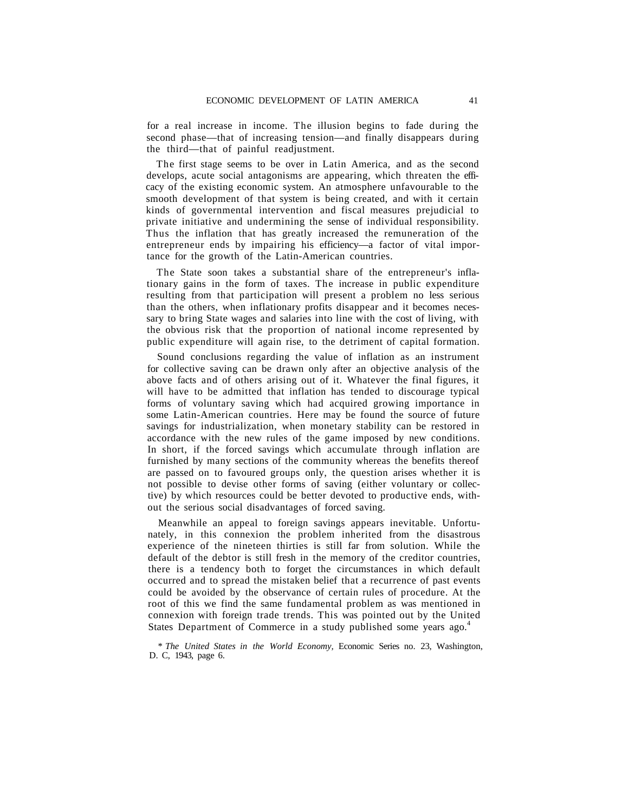for a real increase in income. The illusion begins to fade during the second phase—that of increasing tension—and finally disappears during the third—that of painful readjustment.

The first stage seems to be over in Latin America, and as the second develops, acute social antagonisms are appearing, which threaten the efficacy of the existing economic system. An atmosphere unfavourable to the smooth development of that system is being created, and with it certain kinds of governmental intervention and fiscal measures prejudicial to private initiative and undermining the sense of individual responsibility. Thus the inflation that has greatly increased the remuneration of the entrepreneur ends by impairing his efficiency—a factor of vital importance for the growth of the Latin-American countries.

The State soon takes a substantial share of the entrepreneur's inflationary gains in the form of taxes. The increase in public expenditure resulting from that participation will present a problem no less serious than the others, when inflationary profits disappear and it becomes necessary to bring State wages and salaries into line with the cost of living, with the obvious risk that the proportion of national income represented by public expenditure will again rise, to the detriment of capital formation.

Sound conclusions regarding the value of inflation as an instrument for collective saving can be drawn only after an objective analysis of the above facts and of others arising out of it. Whatever the final figures, it will have to be admitted that inflation has tended to discourage typical forms of voluntary saving which had acquired growing importance in some Latin-American countries. Here may be found the source of future savings for industrialization, when monetary stability can be restored in accordance with the new rules of the game imposed by new conditions. In short, if the forced savings which accumulate through inflation are furnished by many sections of the community whereas the benefits thereof are passed on to favoured groups only, the question arises whether it is not possible to devise other forms of saving (either voluntary or collective) by which resources could be better devoted to productive ends, without the serious social disadvantages of forced saving.

Meanwhile an appeal to foreign savings appears inevitable. Unfortunately, in this connexion the problem inherited from the disastrous experience of the nineteen thirties is still far from solution. While the default of the debtor is still fresh in the memory of the creditor countries, there is a tendency both to forget the circumstances in which default occurred and to spread the mistaken belief that a recurrence of past events could be avoided by the observance of certain rules of procedure. At the root of this we find the same fundamental problem as was mentioned in connexion with foreign trade trends. This was pointed out by the United States Department of Commerce in a study published some years ago.<sup>4</sup>

*\* The United States in the World Economy,* Economic Series no. 23, Washington, D. C, 1943, page 6.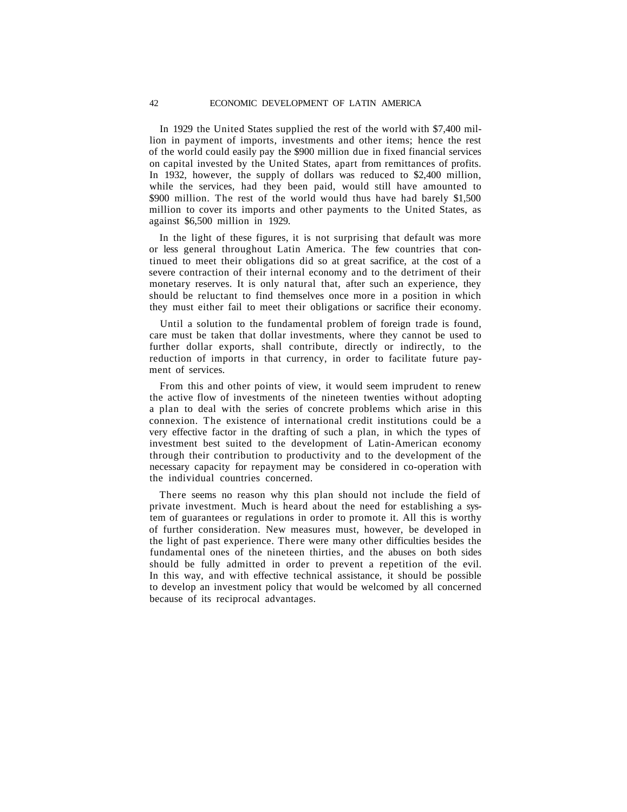In 1929 the United States supplied the rest of the world with \$7,400 million in payment of imports, investments and other items; hence the rest of the world could easily pay the \$900 million due in fixed financial services on capital invested by the United States, apart from remittances of profits. In 1932, however, the supply of dollars was reduced to \$2,400 million, while the services, had they been paid, would still have amounted to \$900 million. The rest of the world would thus have had barely \$1,500 million to cover its imports and other payments to the United States, as against \$6,500 million in 1929.

In the light of these figures, it is not surprising that default was more or less general throughout Latin America. The few countries that continued to meet their obligations did so at great sacrifice, at the cost of a severe contraction of their internal economy and to the detriment of their monetary reserves. It is only natural that, after such an experience, they should be reluctant to find themselves once more in a position in which they must either fail to meet their obligations or sacrifice their economy.

Until a solution to the fundamental problem of foreign trade is found, care must be taken that dollar investments, where they cannot be used to further dollar exports, shall contribute, directly or indirectly, to the reduction of imports in that currency, in order to facilitate future payment of services.

From this and other points of view, it would seem imprudent to renew the active flow of investments of the nineteen twenties without adopting a plan to deal with the series of concrete problems which arise in this connexion. The existence of international credit institutions could be a very effective factor in the drafting of such a plan, in which the types of investment best suited to the development of Latin-American economy through their contribution to productivity and to the development of the necessary capacity for repayment may be considered in co-operation with the individual countries concerned.

There seems no reason why this plan should not include the field of private investment. Much is heard about the need for establishing a system of guarantees or regulations in order to promote it. All this is worthy of further consideration. New measures must, however, be developed in the light of past experience. There were many other difficulties besides the fundamental ones of the nineteen thirties, and the abuses on both sides should be fully admitted in order to prevent a repetition of the evil. In this way, and with effective technical assistance, it should be possible to develop an investment policy that would be welcomed by all concerned because of its reciprocal advantages.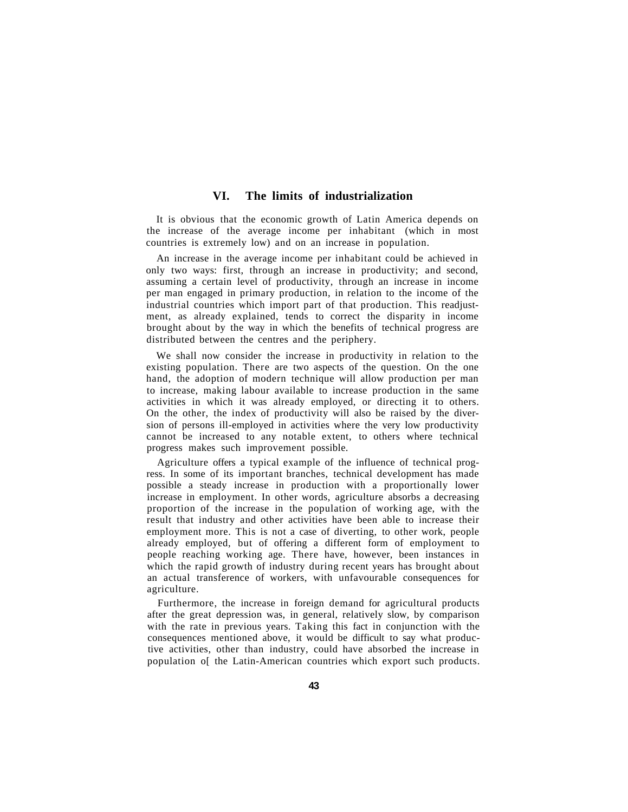# **VI. The limits of industrialization**

It is obvious that the economic growth of Latin America depends on the increase of the average income per inhabitant (which in most countries is extremely low) and on an increase in population.

An increase in the average income per inhabitant could be achieved in only two ways: first, through an increase in productivity; and second, assuming a certain level of productivity, through an increase in income per man engaged in primary production, in relation to the income of the industrial countries which import part of that production. This readjustment, as already explained, tends to correct the disparity in income brought about by the way in which the benefits of technical progress are distributed between the centres and the periphery.

We shall now consider the increase in productivity in relation to the existing population. There are two aspects of the question. On the one hand, the adoption of modern technique will allow production per man to increase, making labour available to increase production in the same activities in which it was already employed, or directing it to others. On the other, the index of productivity will also be raised by the diversion of persons ill-employed in activities where the very low productivity cannot be increased to any notable extent, to others where technical progress makes such improvement possible.

Agriculture offers a typical example of the influence of technical progress. In some of its important branches, technical development has made possible a steady increase in production with a proportionally lower increase in employment. In other words, agriculture absorbs a decreasing proportion of the increase in the population of working age, with the result that industry and other activities have been able to increase their employment more. This is not a case of diverting, to other work, people already employed, but of offering a different form of employment to people reaching working age. There have, however, been instances in which the rapid growth of industry during recent years has brought about an actual transference of workers, with unfavourable consequences for agriculture.

Furthermore, the increase in foreign demand for agricultural products after the great depression was, in general, relatively slow, by comparison with the rate in previous years. Taking this fact in conjunction with the consequences mentioned above, it would be difficult to say what productive activities, other than industry, could have absorbed the increase in population o[ the Latin-American countries which export such products.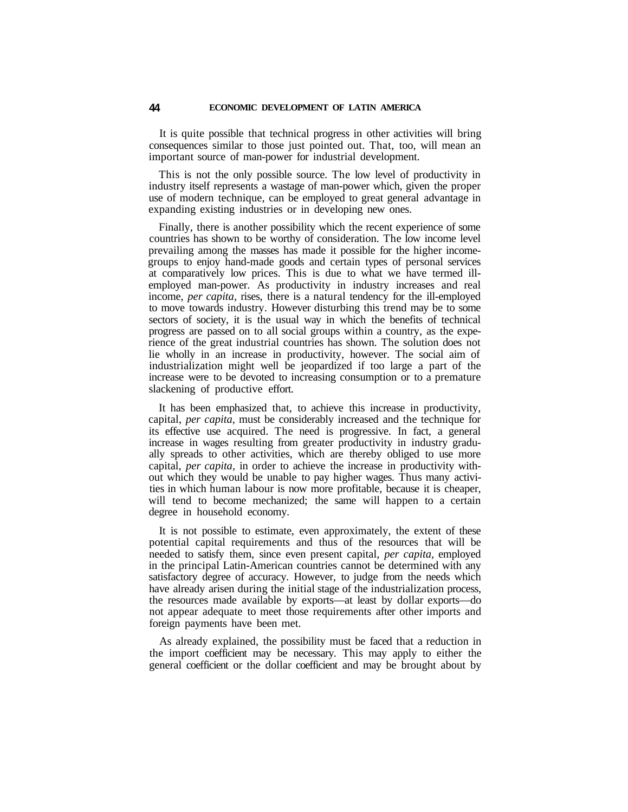## **44 ECONOMIC DEVELOPMENT OF LATIN AMERICA**

It is quite possible that technical progress in other activities will bring consequences similar to those just pointed out. That, too, will mean an important source of man-power for industrial development.

This is not the only possible source. The low level of productivity in industry itself represents a wastage of man-power which, given the proper use of modern technique, can be employed to great general advantage in expanding existing industries or in developing new ones.

Finally, there is another possibility which the recent experience of some countries has shown to be worthy of consideration. The low income level prevailing among the masses has made it possible for the higher incomegroups to enjoy hand-made goods and certain types of personal services at comparatively low prices. This is due to what we have termed illemployed man-power. As productivity in industry increases and real income, *per capita,* rises, there is a natural tendency for the ill-employed to move towards industry. However disturbing this trend may be to some sectors of society, it is the usual way in which the benefits of technical progress are passed on to all social groups within a country, as the experience of the great industrial countries has shown. The solution does not lie wholly in an increase in productivity, however. The social aim of industrialization might well be jeopardized if too large a part of the increase were to be devoted to increasing consumption or to a premature slackening of productive effort.

It has been emphasized that, to achieve this increase in productivity, capital, *per capita,* must be considerably increased and the technique for its effective use acquired. The need is progressive. In fact, a general increase in wages resulting from greater productivity in industry gradually spreads to other activities, which are thereby obliged to use more capital, *per capita,* in order to achieve the increase in productivity without which they would be unable to pay higher wages. Thus many activities in which human labour is now more profitable, because it is cheaper, will tend to become mechanized; the same will happen to a certain degree in household economy.

It is not possible to estimate, even approximately, the extent of these potential capital requirements and thus of the resources that will be needed to satisfy them, since even present capital, *per capita,* employed in the principal Latin-American countries cannot be determined with any satisfactory degree of accuracy. However, to judge from the needs which have already arisen during the initial stage of the industrialization process, the resources made available by exports—at least by dollar exports—do not appear adequate to meet those requirements after other imports and foreign payments have been met.

As already explained, the possibility must be faced that a reduction in the import coefficient may be necessary. This may apply to either the general coefficient or the dollar coefficient and may be brought about by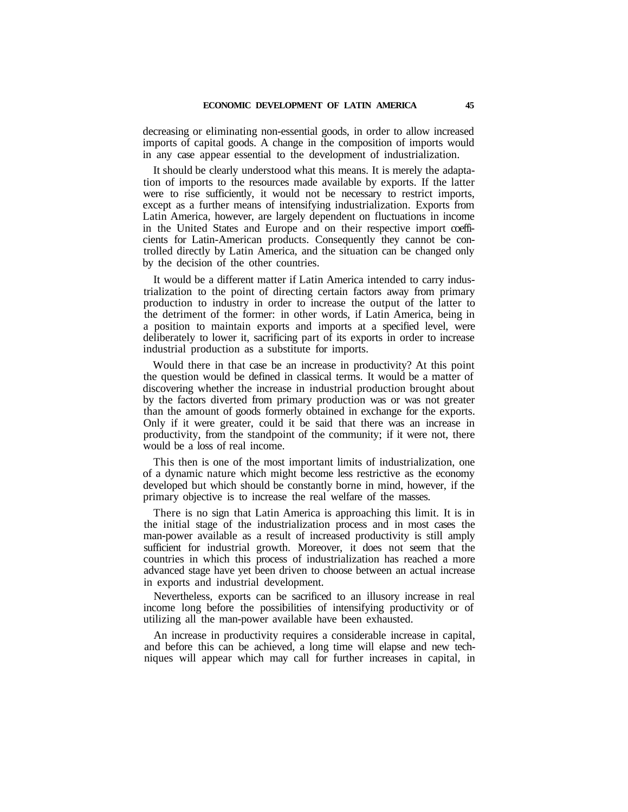decreasing or eliminating non-essential goods, in order to allow increased imports of capital goods. A change in the composition of imports would in any case appear essential to the development of industrialization.

It should be clearly understood what this means. It is merely the adaptation of imports to the resources made available by exports. If the latter were to rise sufficiently, it would not be necessary to restrict imports, except as a further means of intensifying industrialization. Exports from Latin America, however, are largely dependent on fluctuations in income in the United States and Europe and on their respective import coefficients for Latin-American products. Consequently they cannot be controlled directly by Latin America, and the situation can be changed only by the decision of the other countries.

It would be a different matter if Latin America intended to carry industrialization to the point of directing certain factors away from primary production to industry in order to increase the output of the latter to the detriment of the former: in other words, if Latin America, being in a position to maintain exports and imports at a specified level, were deliberately to lower it, sacrificing part of its exports in order to increase industrial production as a substitute for imports.

Would there in that case be an increase in productivity? At this point the question would be defined in classical terms. It would be a matter of discovering whether the increase in industrial production brought about by the factors diverted from primary production was or was not greater than the amount of goods formerly obtained in exchange for the exports. Only if it were greater, could it be said that there was an increase in productivity, from the standpoint of the community; if it were not, there would be a loss of real income.

This then is one of the most important limits of industrialization, one of a dynamic nature which might become less restrictive as the economy developed but which should be constantly borne in mind, however, if the primary objective is to increase the real welfare of the masses.

There is no sign that Latin America is approaching this limit. It is in the initial stage of the industrialization process and in most cases the man-power available as a result of increased productivity is still amply sufficient for industrial growth. Moreover, it does not seem that the countries in which this process of industrialization has reached a more advanced stage have yet been driven to choose between an actual increase in exports and industrial development.

Nevertheless, exports can be sacrificed to an illusory increase in real income long before the possibilities of intensifying productivity or of utilizing all the man-power available have been exhausted.

An increase in productivity requires a considerable increase in capital, and before this can be achieved, a long time will elapse and new techniques will appear which may call for further increases in capital, in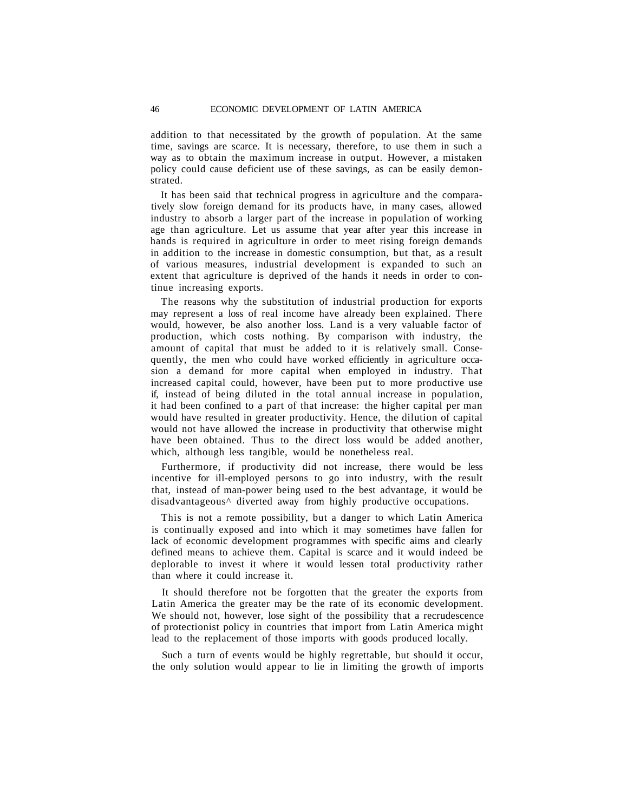addition to that necessitated by the growth of population. At the same time, savings are scarce. It is necessary, therefore, to use them in such a way as to obtain the maximum increase in output. However, a mistaken policy could cause deficient use of these savings, as can be easily demonstrated.

It has been said that technical progress in agriculture and the comparatively slow foreign demand for its products have, in many cases, allowed industry to absorb a larger part of the increase in population of working age than agriculture. Let us assume that year after year this increase in hands is required in agriculture in order to meet rising foreign demands in addition to the increase in domestic consumption, but that, as a result of various measures, industrial development is expanded to such an extent that agriculture is deprived of the hands it needs in order to continue increasing exports.

The reasons why the substitution of industrial production for exports may represent a loss of real income have already been explained. There would, however, be also another loss. Land is a very valuable factor of production, which costs nothing. By comparison with industry, the amount of capital that must be added to it is relatively small. Consequently, the men who could have worked efficiently in agriculture occasion a demand for more capital when employed in industry. That increased capital could, however, have been put to more productive use if, instead of being diluted in the total annual increase in population, it had been confined to a part of that increase: the higher capital per man would have resulted in greater productivity. Hence, the dilution of capital would not have allowed the increase in productivity that otherwise might have been obtained. Thus to the direct loss would be added another, which, although less tangible, would be nonetheless real.

Furthermore, if productivity did not increase, there would be less incentive for ill-employed persons to go into industry, with the result that, instead of man-power being used to the best advantage, it would be disadvantageous^ diverted away from highly productive occupations.

This is not a remote possibility, but a danger to which Latin America is continually exposed and into which it may sometimes have fallen for lack of economic development programmes with specific aims and clearly defined means to achieve them. Capital is scarce and it would indeed be deplorable to invest it where it would lessen total productivity rather than where it could increase it.

It should therefore not be forgotten that the greater the exports from Latin America the greater may be the rate of its economic development. We should not, however, lose sight of the possibility that a recrudescence of protectionist policy in countries that import from Latin America might lead to the replacement of those imports with goods produced locally.

Such a turn of events would be highly regrettable, but should it occur, the only solution would appear to lie in limiting the growth of imports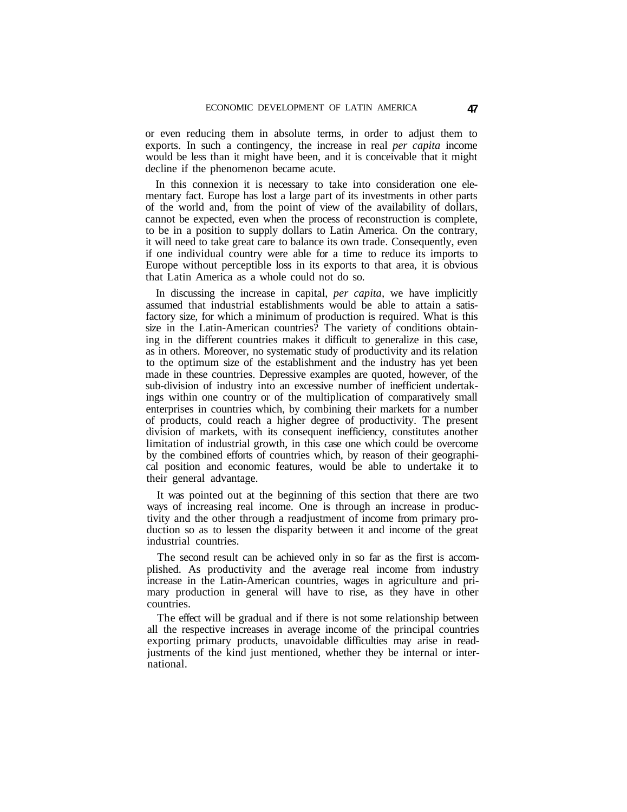or even reducing them in absolute terms, in order to adjust them to exports. In such a contingency, the increase in real *per capita* income would be less than it might have been, and it is conceivable that it might decline if the phenomenon became acute.

In this connexion it is necessary to take into consideration one elementary fact. Europe has lost a large part of its investments in other parts of the world and, from the point of view of the availability of dollars, cannot be expected, even when the process of reconstruction is complete, to be in a position to supply dollars to Latin America. On the contrary, it will need to take great care to balance its own trade. Consequently, even if one individual country were able for a time to reduce its imports to Europe without perceptible loss in its exports to that area, it is obvious that Latin America as a whole could not do so.

In discussing the increase in capital, *per capita,* we have implicitly assumed that industrial establishments would be able to attain a satisfactory size, for which a minimum of production is required. What is this size in the Latin-American countries? The variety of conditions obtaining in the different countries makes it difficult to generalize in this case, as in others. Moreover, no systematic study of productivity and its relation to the optimum size of the establishment and the industry has yet been made in these countries. Depressive examples are quoted, however, of the sub-division of industry into an excessive number of inefficient undertakings within one country or of the multiplication of comparatively small enterprises in countries which, by combining their markets for a number of products, could reach a higher degree of productivity. The present division of markets, with its consequent inefficiency, constitutes another limitation of industrial growth, in this case one which could be overcome by the combined efforts of countries which, by reason of their geographical position and economic features, would be able to undertake it to their general advantage.

It was pointed out at the beginning of this section that there are two ways of increasing real income. One is through an increase in productivity and the other through a readjustment of income from primary production so as to lessen the disparity between it and income of the great industrial countries.

The second result can be achieved only in so far as the first is accomplished. As productivity and the average real income from industry increase in the Latin-American countries, wages in agriculture and primary production in general will have to rise, as they have in other countries.

The effect will be gradual and if there is not some relationship between all the respective increases in average income of the principal countries exporting primary products, unavoidable difficulties may arise in readjustments of the kind just mentioned, whether they be internal or international.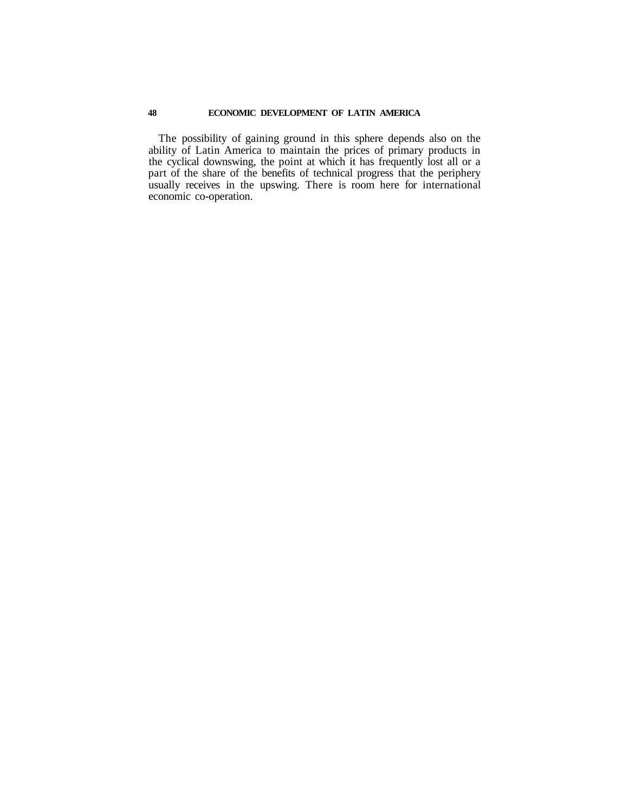# **48 ECONOMIC DEVELOPMENT OF LATIN AMERICA**

The possibility of gaining ground in this sphere depends also on the ability of Latin America to maintain the prices of primary products in the cyclical downswing, the point at which it has frequently lost all or a part of the share of the benefits of technical progress that the periphery usually receives in the upswing. There is room here for international economic co-operation.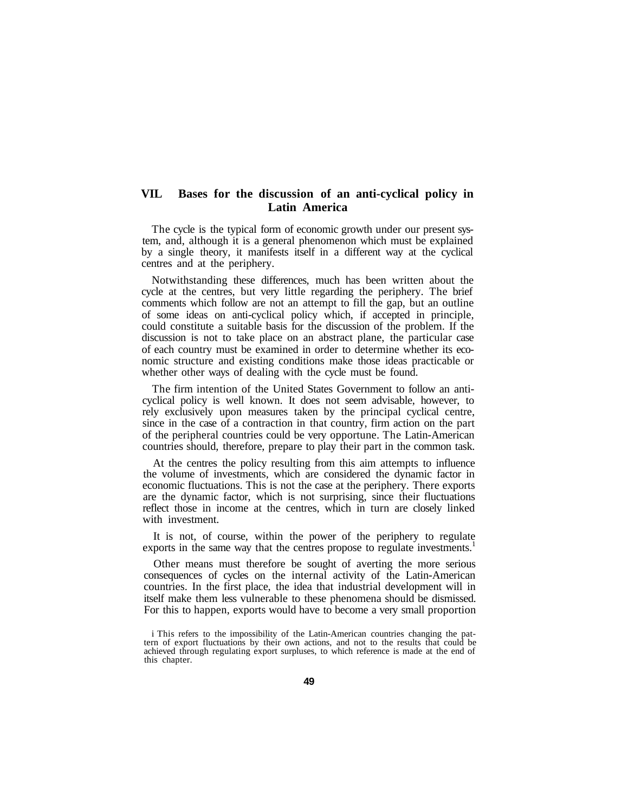# **VIL Bases for the discussion of an anti-cyclical policy in Latin America**

The cycle is the typical form of economic growth under our present system, and, although it is a general phenomenon which must be explained by a single theory, it manifests itself in a different way at the cyclical centres and at the periphery.

Notwithstanding these differences, much has been written about the cycle at the centres, but very little regarding the periphery. The brief comments which follow are not an attempt to fill the gap, but an outline of some ideas on anti-cyclical policy which, if accepted in principle, could constitute a suitable basis for the discussion of the problem. If the discussion is not to take place on an abstract plane, the particular case of each country must be examined in order to determine whether its economic structure and existing conditions make those ideas practicable or whether other ways of dealing with the cycle must be found.

The firm intention of the United States Government to follow an anticyclical policy is well known. It does not seem advisable, however, to rely exclusively upon measures taken by the principal cyclical centre, since in the case of a contraction in that country, firm action on the part of the peripheral countries could be very opportune. The Latin-American countries should, therefore, prepare to play their part in the common task.

At the centres the policy resulting from this aim attempts to influence the volume of investments, which are considered the dynamic factor in economic fluctuations. This is not the case at the periphery. There exports are the dynamic factor, which is not surprising, since their fluctuations reflect those in income at the centres, which in turn are closely linked with investment.

It is not, of course, within the power of the periphery to regulate exports in the same way that the centres propose to regulate investments.<sup>1</sup>

Other means must therefore be sought of averting the more serious consequences of cycles on the internal activity of the Latin-American countries. In the first place, the idea that industrial development will in itself make them less vulnerable to these phenomena should be dismissed. For this to happen, exports would have to become a very small proportion

i This refers to the impossibility of the Latin-American countries changing the pattern of export fluctuations by their own actions, and not to the results that could be achieved through regulating export surpluses, to which reference is made at the end of this chapter.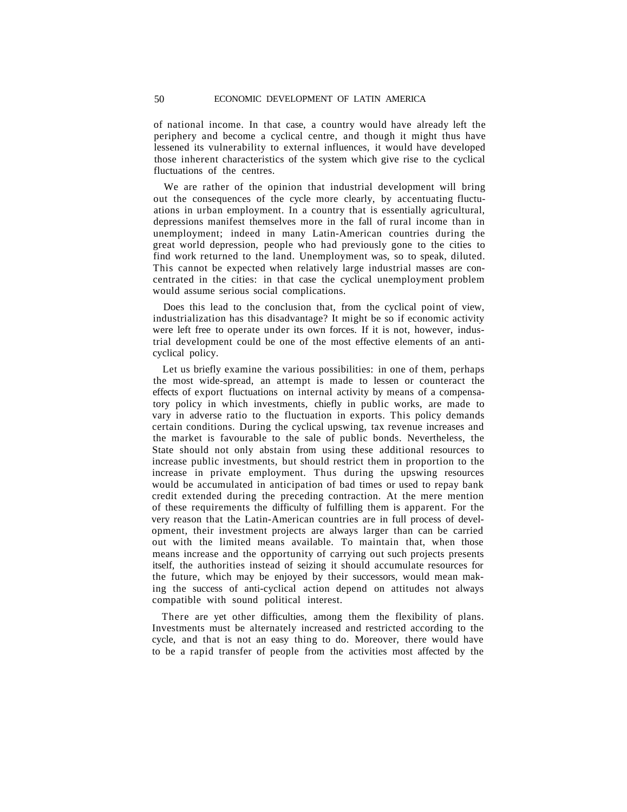of national income. In that case, a country would have already left the periphery and become a cyclical centre, and though it might thus have lessened its vulnerability to external influences, it would have developed those inherent characteristics of the system which give rise to the cyclical fluctuations of the centres.

We are rather of the opinion that industrial development will bring out the consequences of the cycle more clearly, by accentuating fluctuations in urban employment. In a country that is essentially agricultural, depressions manifest themselves more in the fall of rural income than in unemployment; indeed in many Latin-American countries during the great world depression, people who had previously gone to the cities to find work returned to the land. Unemployment was, so to speak, diluted. This cannot be expected when relatively large industrial masses are concentrated in the cities: in that case the cyclical unemployment problem would assume serious social complications.

Does this lead to the conclusion that, from the cyclical point of view, industrialization has this disadvantage? It might be so if economic activity were left free to operate under its own forces. If it is not, however, industrial development could be one of the most effective elements of an anticyclical policy.

Let us briefly examine the various possibilities: in one of them, perhaps the most wide-spread, an attempt is made to lessen or counteract the effects of export fluctuations on internal activity by means of a compensatory policy in which investments, chiefly in public works, are made to vary in adverse ratio to the fluctuation in exports. This policy demands certain conditions. During the cyclical upswing, tax revenue increases and the market is favourable to the sale of public bonds. Nevertheless, the State should not only abstain from using these additional resources to increase public investments, but should restrict them in proportion to the increase in private employment. Thus during the upswing resources would be accumulated in anticipation of bad times or used to repay bank credit extended during the preceding contraction. At the mere mention of these requirements the difficulty of fulfilling them is apparent. For the very reason that the Latin-American countries are in full process of development, their investment projects are always larger than can be carried out with the limited means available. To maintain that, when those means increase and the opportunity of carrying out such projects presents itself, the authorities instead of seizing it should accumulate resources for the future, which may be enjoyed by their successors, would mean making the success of anti-cyclical action depend on attitudes not always compatible with sound political interest.

There are yet other difficulties, among them the flexibility of plans. Investments must be alternately increased and restricted according to the cycle, and that is not an easy thing to do. Moreover, there would have to be a rapid transfer of people from the activities most affected by the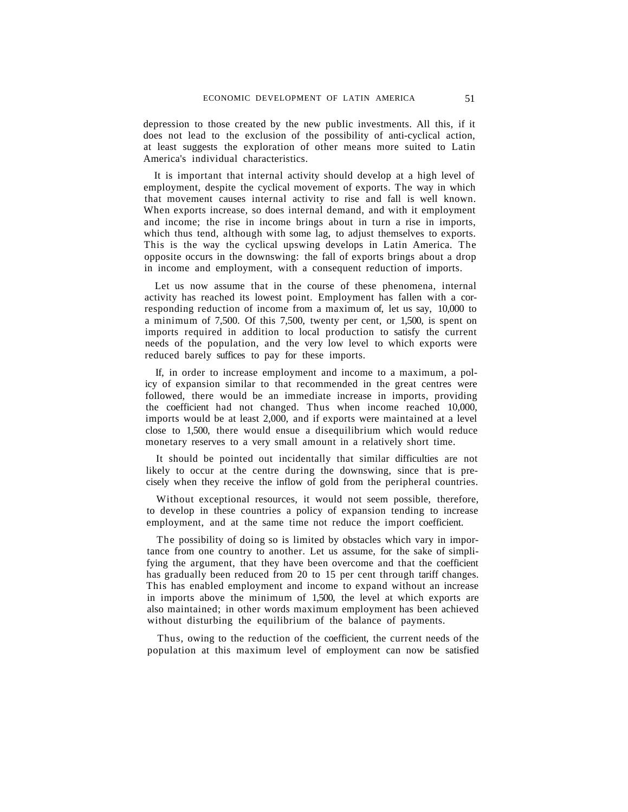depression to those created by the new public investments. All this, if it does not lead to the exclusion of the possibility of anti-cyclical action, at least suggests the exploration of other means more suited to Latin America's individual characteristics.

It is important that internal activity should develop at a high level of employment, despite the cyclical movement of exports. The way in which that movement causes internal activity to rise and fall is well known. When exports increase, so does internal demand, and with it employment and income; the rise in income brings about in turn a rise in imports, which thus tend, although with some lag, to adjust themselves to exports. This is the way the cyclical upswing develops in Latin America. The opposite occurs in the downswing: the fall of exports brings about a drop in income and employment, with a consequent reduction of imports.

Let us now assume that in the course of these phenomena, internal activity has reached its lowest point. Employment has fallen with a corresponding reduction of income from a maximum of, let us say, 10,000 to a minimum of 7,500. Of this 7,500, twenty per cent, or 1,500, is spent on imports required in addition to local production to satisfy the current needs of the population, and the very low level to which exports were reduced barely suffices to pay for these imports.

If, in order to increase employment and income to a maximum, a policy of expansion similar to that recommended in the great centres were followed, there would be an immediate increase in imports, providing the coefficient had not changed. Thus when income reached 10,000, imports would be at least 2,000, and if exports were maintained at a level close to 1,500, there would ensue a disequilibrium which would reduce monetary reserves to a very small amount in a relatively short time.

It should be pointed out incidentally that similar difficulties are not likely to occur at the centre during the downswing, since that is precisely when they receive the inflow of gold from the peripheral countries.

Without exceptional resources, it would not seem possible, therefore, to develop in these countries a policy of expansion tending to increase employment, and at the same time not reduce the import coefficient.

The possibility of doing so is limited by obstacles which vary in importance from one country to another. Let us assume, for the sake of simplifying the argument, that they have been overcome and that the coefficient has gradually been reduced from 20 to 15 per cent through tariff changes. This has enabled employment and income to expand without an increase in imports above the minimum of 1,500, the level at which exports are also maintained; in other words maximum employment has been achieved without disturbing the equilibrium of the balance of payments.

Thus, owing to the reduction of the coefficient, the current needs of the population at this maximum level of employment can now be satisfied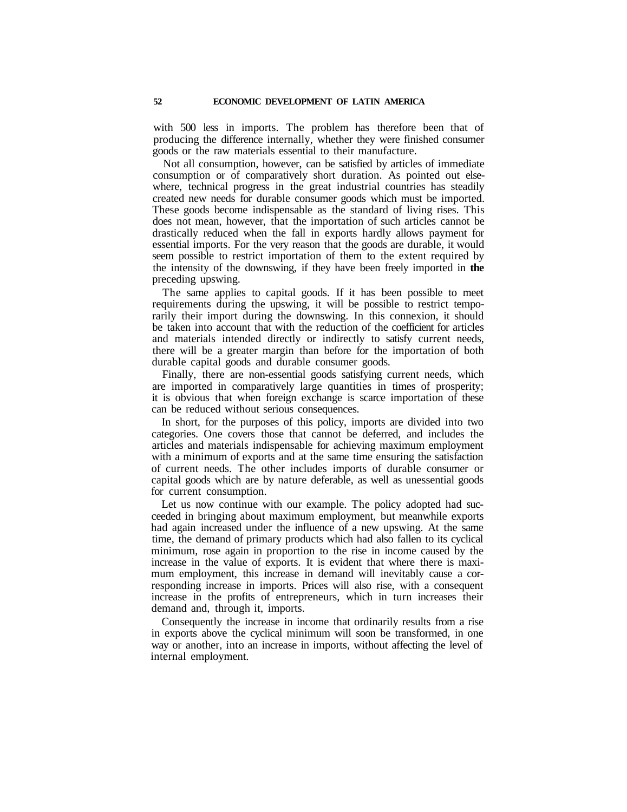with 500 less in imports. The problem has therefore been that of producing the difference internally, whether they were finished consumer goods or the raw materials essential to their manufacture.

Not all consumption, however, can be satisfied by articles of immediate consumption or of comparatively short duration. As pointed out elsewhere, technical progress in the great industrial countries has steadily created new needs for durable consumer goods which must be imported. These goods become indispensable as the standard of living rises. This does not mean, however, that the importation of such articles cannot be drastically reduced when the fall in exports hardly allows payment for essential imports. For the very reason that the goods are durable, it would seem possible to restrict importation of them to the extent required by the intensity of the downswing, if they have been freely imported in **the**  preceding upswing.

The same applies to capital goods. If it has been possible to meet requirements during the upswing, it will be possible to restrict temporarily their import during the downswing. In this connexion, it should be taken into account that with the reduction of the coefficient for articles and materials intended directly or indirectly to satisfy current needs, there will be a greater margin than before for the importation of both durable capital goods and durable consumer goods.

Finally, there are non-essential goods satisfying current needs, which are imported in comparatively large quantities in times of prosperity; it is obvious that when foreign exchange is scarce importation of these can be reduced without serious consequences.

In short, for the purposes of this policy, imports are divided into two categories. One covers those that cannot be deferred, and includes the articles and materials indispensable for achieving maximum employment with a minimum of exports and at the same time ensuring the satisfaction of current needs. The other includes imports of durable consumer or capital goods which are by nature deferable, as well as unessential goods for current consumption.

Let us now continue with our example. The policy adopted had succeeded in bringing about maximum employment, but meanwhile exports had again increased under the influence of a new upswing. At the same time, the demand of primary products which had also fallen to its cyclical minimum, rose again in proportion to the rise in income caused by the increase in the value of exports. It is evident that where there is maximum employment, this increase in demand will inevitably cause a corresponding increase in imports. Prices will also rise, with a consequent increase in the profits of entrepreneurs, which in turn increases their demand and, through it, imports.

Consequently the increase in income that ordinarily results from a rise in exports above the cyclical minimum will soon be transformed, in one way or another, into an increase in imports, without affecting the level of internal employment.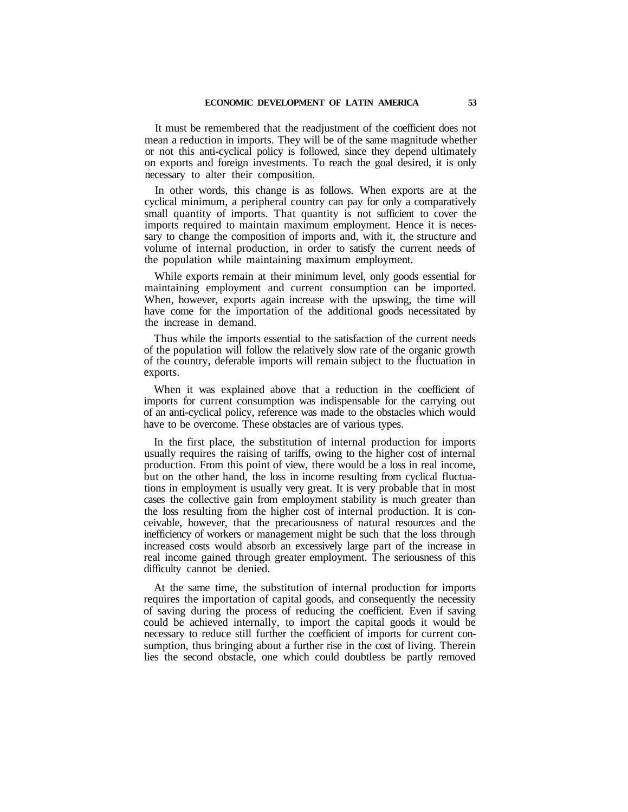It must be remembered that the readjustment of the coefficient does not mean a reduction in imports. They will be of the same magnitude whether or not this anti-cyclical policy is followed, since they depend ultimately on exports and foreign investments. To reach the goal desired, it is only necessary to alter their composition.

In other words, this change is as follows. When exports are at the cyclical minimum, a peripheral country can pay for only a comparatively small quantity of imports. That quantity is not sufficient to cover the imports required to maintain maximum employment. Hence it is necessary to change the composition of imports and, with it, the structure and volume of internal production, in order to satisfy the current needs of the population while maintaining maximum employment.

While exports remain at their minimum level, only goods essential for maintaining employment and current consumption can be imported. When, however, exports again increase with the upswing, the time will have come for the importation of the additional goods necessitated by the increase in demand.

Thus while the imports essential to the satisfaction of the current needs of the population will follow the relatively slow rate of the organic growth of the country, deferable imports will remain subject to the fluctuation in exports.

When it was explained above that a reduction in the coefficient of imports for current consumption was indispensable for the carrying out of an anti-cyclical policy, reference was made to the obstacles which would have to be overcome. These obstacles are of various types.

In the first place, the substitution of internal production for imports usually requires the raising of tariffs, owing to the higher cost of internal production. From this point of view, there would be a loss in real income, but on the other hand, the loss in income resulting from cyclical fluctuations in employment is usually very great. It is very probable that in most cases the collective gain from employment stability is much greater than the loss resulting from the higher cost of internal production. It is conceivable, however, that the precariousness of natural resources and the inefficiency of workers or management might be such that the loss through increased costs would absorb an excessively large part of the increase in real income gained through greater employment. The seriousness of this difficulty cannot be denied.

At the same time, the substitution of internal production for imports requires the importation of capital goods, and consequently the necessity of saving during the process of reducing the coefficient. Even if saving could be achieved internally, to import the capital goods it would be necessary to reduce still further the coefficient of imports for current consumption, thus bringing about a further rise in the cost of living. Therein lies the second obstacle, one which could doubtless be partly removed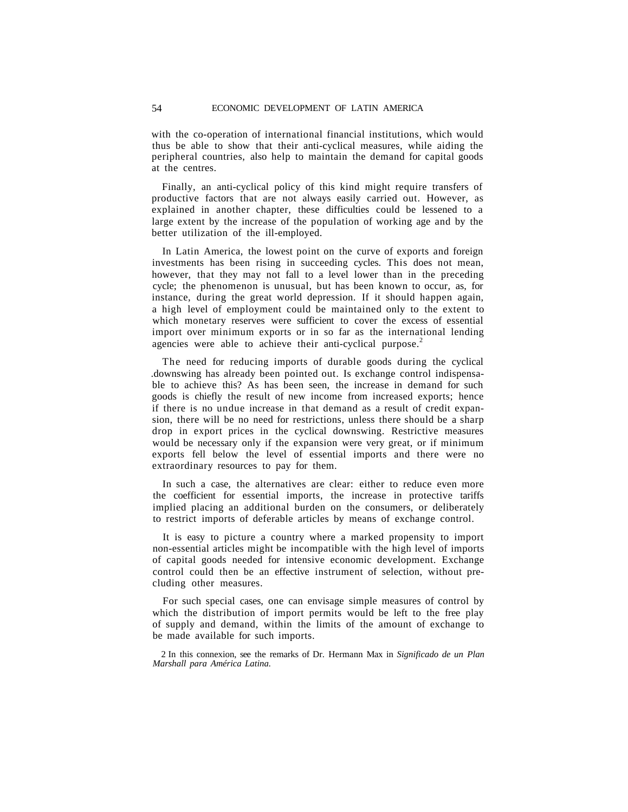with the co-operation of international financial institutions, which would thus be able to show that their anti-cyclical measures, while aiding the peripheral countries, also help to maintain the demand for capital goods at the centres.

Finally, an anti-cyclical policy of this kind might require transfers of productive factors that are not always easily carried out. However, as explained in another chapter, these difficulties could be lessened to a large extent by the increase of the population of working age and by the better utilization of the ill-employed.

In Latin America, the lowest point on the curve of exports and foreign investments has been rising in succeeding cycles. This does not mean, however, that they may not fall to a level lower than in the preceding cycle; the phenomenon is unusual, but has been known to occur, as, for instance, during the great world depression. If it should happen again, a high level of employment could be maintained only to the extent to which monetary reserves were sufficient to cover the excess of essential import over minimum exports or in so far as the international lending agencies were able to achieve their anti-cyclical purpose.<sup>2</sup>

The need for reducing imports of durable goods during the cyclical .downswing has already been pointed out. Is exchange control indispensable to achieve this? As has been seen, the increase in demand for such goods is chiefly the result of new income from increased exports; hence if there is no undue increase in that demand as a result of credit expansion, there will be no need for restrictions, unless there should be a sharp drop in export prices in the cyclical downswing. Restrictive measures would be necessary only if the expansion were very great, or if minimum exports fell below the level of essential imports and there were no extraordinary resources to pay for them.

In such a case, the alternatives are clear: either to reduce even more the coefficient for essential imports, the increase in protective tariffs implied placing an additional burden on the consumers, or deliberately to restrict imports of deferable articles by means of exchange control.

It is easy to picture a country where a marked propensity to import non-essential articles might be incompatible with the high level of imports of capital goods needed for intensive economic development. Exchange control could then be an effective instrument of selection, without precluding other measures.

For such special cases, one can envisage simple measures of control by which the distribution of import permits would be left to the free play of supply and demand, within the limits of the amount of exchange to be made available for such imports.

2 In this connexion, see the remarks of Dr. Hermann Max in *Significado de un Plan Marshall para América Latina.*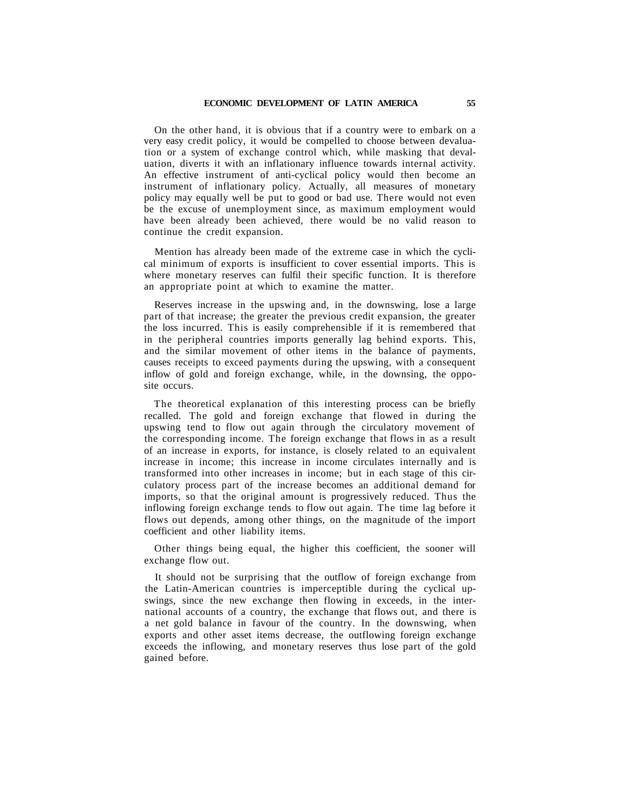On the other hand, it is obvious that if a country were to embark on a very easy credit policy, it would be compelled to choose between devaluation or a system of exchange control which, while masking that devaluation, diverts it with an inflationary influence towards internal activity. An effective instrument of anti-cyclical policy would then become an instrument of inflationary policy. Actually, all measures of monetary policy may equally well be put to good or bad use. There would not even be the excuse of unemployment since, as maximum employment would have been already been achieved, there would be no valid reason to continue the credit expansion.

Mention has already been made of the extreme case in which the cyclical minimum of exports is insufficient to cover essential imports. This is where monetary reserves can fulfil their specific function. It is therefore an appropriate point at which to examine the matter.

Reserves increase in the upswing and, in the downswing, lose a large part of that increase; the greater the previous credit expansion, the greater the loss incurred. This is easily comprehensible if it is remembered that in the peripheral countries imports generally lag behind exports. This, and the similar movement of other items in the balance of payments, causes receipts to exceed payments during the upswing, with a consequent inflow of gold and foreign exchange, while, in the downsing, the opposite occurs.

The theoretical explanation of this interesting process can be briefly recalled. The gold and foreign exchange that flowed in during the upswing tend to flow out again through the circulatory movement of the corresponding income. The foreign exchange that flows in as a result of an increase in exports, for instance, is closely related to an equivalent increase in income; this increase in income circulates internally and is transformed into other increases in income; but in each stage of this circulatory process part of the increase becomes an additional demand for imports, so that the original amount is progressively reduced. Thus the inflowing foreign exchange tends to flow out again. The time lag before it flows out depends, among other things, on the magnitude of the import coefficient and other liability items.

Other things being equal, the higher this coefficient, the sooner will exchange flow out.

It should not be surprising that the outflow of foreign exchange from the Latin-American countries is imperceptible during the cyclical upswings, since the new exchange then flowing in exceeds, in the international accounts of a country, the exchange that flows out, and there is a net gold balance in favour of the country. In the downswing, when exports and other asset items decrease, the outflowing foreign exchange exceeds the inflowing, and monetary reserves thus lose part of the gold gained before.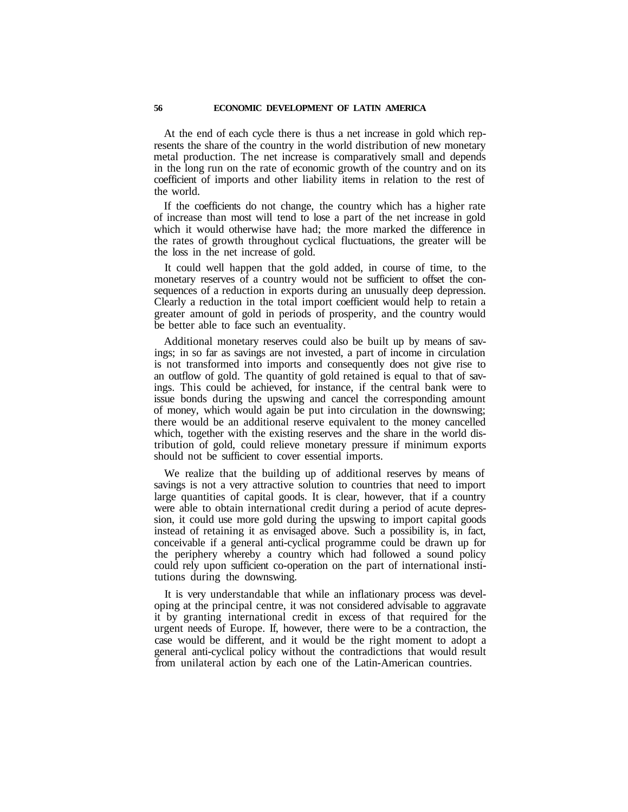#### **56 ECONOMIC DEVELOPMENT OF LATIN AMERICA**

At the end of each cycle there is thus a net increase in gold which represents the share of the country in the world distribution of new monetary metal production. The net increase is comparatively small and depends in the long run on the rate of economic growth of the country and on its coefficient of imports and other liability items in relation to the rest of the world.

If the coefficients do not change, the country which has a higher rate of increase than most will tend to lose a part of the net increase in gold which it would otherwise have had; the more marked the difference in the rates of growth throughout cyclical fluctuations, the greater will be the loss in the net increase of gold.

It could well happen that the gold added, in course of time, to the monetary reserves of a country would not be sufficient to offset the consequences of a reduction in exports during an unusually deep depression. Clearly a reduction in the total import coefficient would help to retain a greater amount of gold in periods of prosperity, and the country would be better able to face such an eventuality.

Additional monetary reserves could also be built up by means of savings; in so far as savings are not invested, a part of income in circulation is not transformed into imports and consequently does not give rise to an outflow of gold. The quantity of gold retained is equal to that of savings. This could be achieved, for instance, if the central bank were to issue bonds during the upswing and cancel the corresponding amount of money, which would again be put into circulation in the downswing; there would be an additional reserve equivalent to the money cancelled which, together with the existing reserves and the share in the world distribution of gold, could relieve monetary pressure if minimum exports should not be sufficient to cover essential imports.

We realize that the building up of additional reserves by means of savings is not a very attractive solution to countries that need to import large quantities of capital goods. It is clear, however, that if a country were able to obtain international credit during a period of acute depression, it could use more gold during the upswing to import capital goods instead of retaining it as envisaged above. Such a possibility is, in fact, conceivable if a general anti-cyclical programme could be drawn up for the periphery whereby a country which had followed a sound policy could rely upon sufficient co-operation on the part of international institutions during the downswing.

It is very understandable that while an inflationary process was developing at the principal centre, it was not considered advisable to aggravate it by granting international credit in excess of that required for the urgent needs of Europe. If, however, there were to be a contraction, the case would be different, and it would be the right moment to adopt a general anti-cyclical policy without the contradictions that would result from unilateral action by each one of the Latin-American countries.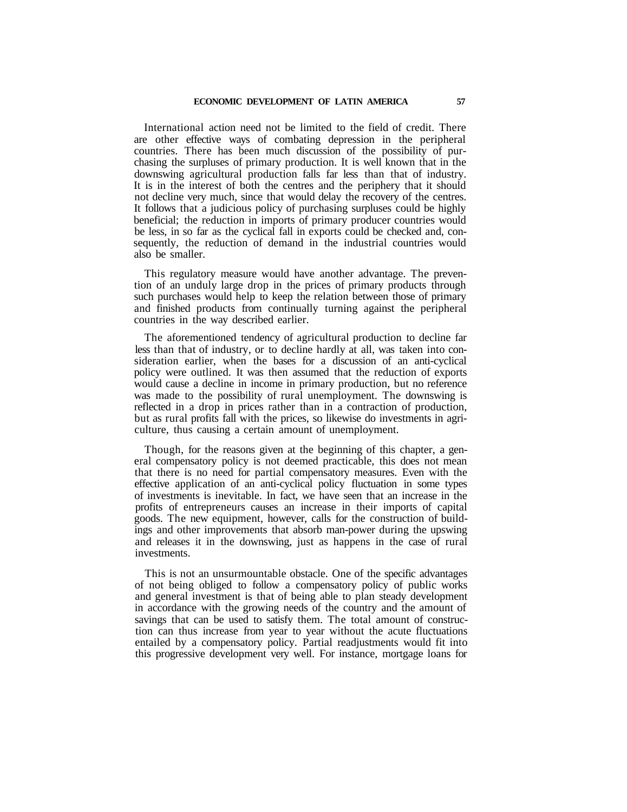International action need not be limited to the field of credit. There are other effective ways of combating depression in the peripheral countries. There has been much discussion of the possibility of purchasing the surpluses of primary production. It is well known that in the downswing agricultural production falls far less than that of industry. It is in the interest of both the centres and the periphery that it should not decline very much, since that would delay the recovery of the centres. It follows that a judicious policy of purchasing surpluses could be highly beneficial; the reduction in imports of primary producer countries would be less, in so far as the cyclical fall in exports could be checked and, consequently, the reduction of demand in the industrial countries would also be smaller.

This regulatory measure would have another advantage. The prevention of an unduly large drop in the prices of primary products through such purchases would help to keep the relation between those of primary and finished products from continually turning against the peripheral countries in the way described earlier.

The aforementioned tendency of agricultural production to decline far less than that of industry, or to decline hardly at all, was taken into consideration earlier, when the bases for a discussion of an anti-cyclical policy were outlined. It was then assumed that the reduction of exports would cause a decline in income in primary production, but no reference was made to the possibility of rural unemployment. The downswing is reflected in a drop in prices rather than in a contraction of production, but as rural profits fall with the prices, so likewise do investments in agriculture, thus causing a certain amount of unemployment.

Though, for the reasons given at the beginning of this chapter, a general compensatory policy is not deemed practicable, this does not mean that there is no need for partial compensatory measures. Even with the effective application of an anti-cyclical policy fluctuation in some types of investments is inevitable. In fact, we have seen that an increase in the profits of entrepreneurs causes an increase in their imports of capital goods. The new equipment, however, calls for the construction of buildings and other improvements that absorb man-power during the upswing and releases it in the downswing, just as happens in the case of rural investments.

This is not an unsurmountable obstacle. One of the specific advantages of not being obliged to follow a compensatory policy of public works and general investment is that of being able to plan steady development in accordance with the growing needs of the country and the amount of savings that can be used to satisfy them. The total amount of construction can thus increase from year to year without the acute fluctuations entailed by a compensatory policy. Partial readjustments would fit into this progressive development very well. For instance, mortgage loans for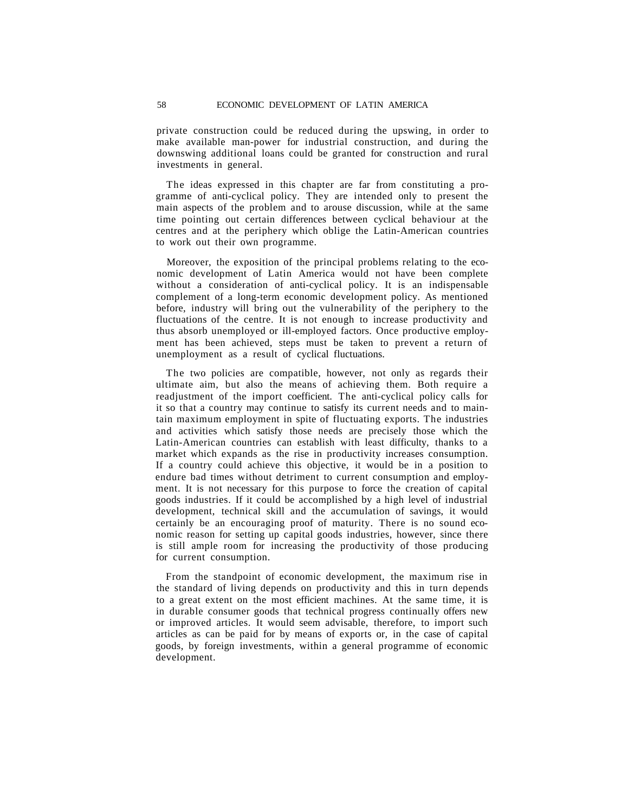private construction could be reduced during the upswing, in order to make available man-power for industrial construction, and during the downswing additional loans could be granted for construction and rural investments in general.

The ideas expressed in this chapter are far from constituting a programme of anti-cyclical policy. They are intended only to present the main aspects of the problem and to arouse discussion, while at the same time pointing out certain differences between cyclical behaviour at the centres and at the periphery which oblige the Latin-American countries to work out their own programme.

Moreover, the exposition of the principal problems relating to the economic development of Latin America would not have been complete without a consideration of anti-cyclical policy. It is an indispensable complement of a long-term economic development policy. As mentioned before, industry will bring out the vulnerability of the periphery to the fluctuations of the centre. It is not enough to increase productivity and thus absorb unemployed or ill-employed factors. Once productive employment has been achieved, steps must be taken to prevent a return of unemployment as a result of cyclical fluctuations.

The two policies are compatible, however, not only as regards their ultimate aim, but also the means of achieving them. Both require a readjustment of the import coefficient. The anti-cyclical policy calls for it so that a country may continue to satisfy its current needs and to maintain maximum employment in spite of fluctuating exports. The industries and activities which satisfy those needs are precisely those which the Latin-American countries can establish with least difficulty, thanks to a market which expands as the rise in productivity increases consumption. If a country could achieve this objective, it would be in a position to endure bad times without detriment to current consumption and employment. It is not necessary for this purpose to force the creation of capital goods industries. If it could be accomplished by a high level of industrial development, technical skill and the accumulation of savings, it would certainly be an encouraging proof of maturity. There is no sound economic reason for setting up capital goods industries, however, since there is still ample room for increasing the productivity of those producing for current consumption.

From the standpoint of economic development, the maximum rise in the standard of living depends on productivity and this in turn depends to a great extent on the most efficient machines. At the same time, it is in durable consumer goods that technical progress continually offers new or improved articles. It would seem advisable, therefore, to import such articles as can be paid for by means of exports or, in the case of capital goods, by foreign investments, within a general programme of economic development.